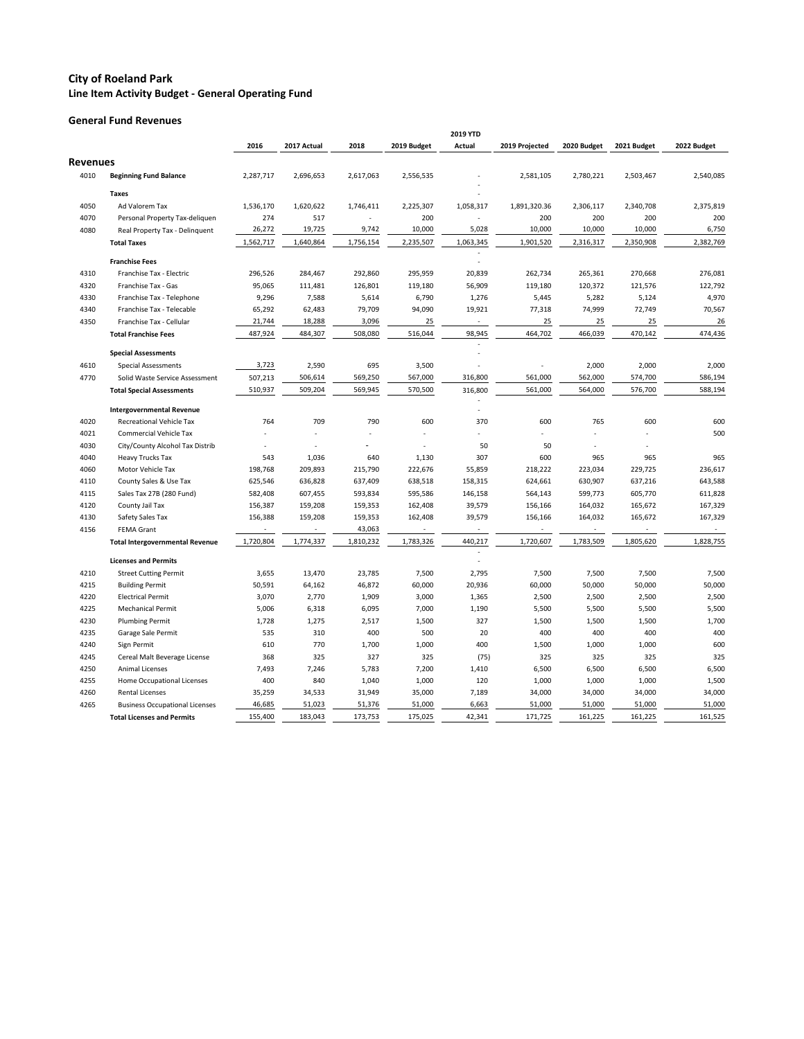**General Fund Revenues**

|                 |                                        |           |             |           |             | 2019 YTD                 |                |             |             |             |
|-----------------|----------------------------------------|-----------|-------------|-----------|-------------|--------------------------|----------------|-------------|-------------|-------------|
|                 |                                        | 2016      | 2017 Actual | 2018      | 2019 Budget | Actual                   | 2019 Projected | 2020 Budget | 2021 Budget | 2022 Budget |
| <b>Revenues</b> |                                        |           |             |           |             |                          |                |             |             |             |
| 4010            | <b>Beginning Fund Balance</b>          | 2,287,717 | 2,696,653   | 2,617,063 | 2,556,535   |                          | 2,581,105      | 2,780,221   | 2,503,467   | 2,540,085   |
|                 |                                        |           |             |           |             |                          |                |             |             |             |
|                 | <b>Taxes</b>                           |           |             |           |             |                          |                |             |             |             |
| 4050            | Ad Valorem Tax                         | 1,536,170 | 1,620,622   | 1,746,411 | 2,225,307   | 1,058,317                | 1,891,320.36   | 2,306,117   | 2,340,708   | 2,375,819   |
| 4070            | Personal Property Tax-deliquen         | 274       | 517         |           | 200         |                          | 200            | 200         | 200         | 200         |
| 4080            | Real Property Tax - Delinquent         | 26,272    | 19,725      | 9,742     | 10,000      | 5,028                    | 10,000         | 10,000      | 10,000      | 6,750       |
|                 | <b>Total Taxes</b>                     | 1,562,717 | 1,640,864   | 1,756,154 | 2,235,507   | 1,063,345                | 1,901,520      | 2,316,317   | 2,350,908   | 2,382,769   |
|                 | <b>Franchise Fees</b>                  |           |             |           |             |                          |                |             |             |             |
| 4310            | Franchise Tax - Electric               | 296,526   | 284,467     | 292,860   | 295,959     | 20,839                   | 262,734        | 265,361     | 270,668     | 276,081     |
| 4320            | Franchise Tax - Gas                    | 95,065    | 111,481     | 126,801   | 119,180     | 56,909                   | 119,180        | 120,372     | 121,576     | 122,792     |
| 4330            | Franchise Tax - Telephone              | 9,296     | 7,588       | 5,614     | 6,790       | 1,276                    | 5,445          | 5,282       | 5,124       | 4,970       |
| 4340            | Franchise Tax - Telecable              | 65,292    | 62,483      | 79,709    | 94,090      | 19,921                   | 77,318         | 74,999      | 72,749      | 70,567      |
| 4350            | Franchise Tax - Cellular               | 21,744    | 18,288      | 3,096     | 25          | $\overline{\phantom{a}}$ | 25             | 25          | 25          | 26          |
|                 | <b>Total Franchise Fees</b>            | 487,924   | 484,307     | 508,080   | 516,044     | 98,945                   | 464,702        | 466,039     | 470,142     | 474,436     |
|                 |                                        |           |             |           |             |                          |                |             |             |             |
|                 | <b>Special Assessments</b>             | 3,723     |             |           |             |                          |                |             |             |             |
| 4610            | <b>Special Assessments</b>             |           | 2,590       | 695       | 3,500       |                          |                | 2,000       | 2,000       | 2,000       |
| 4770            | Solid Waste Service Assessment         | 507,213   | 506,614     | 569,250   | 567,000     | 316,800                  | 561,000        | 562,000     | 574,700     | 586,194     |
|                 | <b>Total Special Assessments</b>       | 510,937   | 509,204     | 569,945   | 570,500     | 316,800                  | 561,000        | 564,000     | 576,700     | 588,194     |
|                 | <b>Intergovernmental Revenue</b>       |           |             |           |             |                          |                |             |             |             |
| 4020            | <b>Recreational Vehicle Tax</b>        | 764       | 709         | 790       | 600         | 370                      | 600            | 765         | 600         | 600         |
| 4021            | <b>Commercial Vehicle Tax</b>          |           |             |           |             |                          |                |             |             | 500         |
| 4030            | City/County Alcohol Tax Distrib        |           |             |           |             | 50                       | 50             |             |             |             |
| 4040            | <b>Heavy Trucks Tax</b>                | 543       | 1,036       | 640       | 1,130       | 307                      | 600            | 965         | 965         | 965         |
| 4060            | Motor Vehicle Tax                      | 198,768   | 209,893     | 215,790   | 222,676     | 55,859                   | 218,222        | 223,034     | 229,725     | 236,617     |
| 4110            | County Sales & Use Tax                 | 625,546   | 636,828     | 637,409   | 638,518     | 158,315                  | 624,661        | 630,907     | 637,216     | 643,588     |
| 4115            | Sales Tax 27B (280 Fund)               | 582,408   | 607,455     | 593,834   | 595,586     | 146,158                  | 564,143        | 599,773     | 605,770     | 611,828     |
| 4120            | County Jail Tax                        | 156,387   | 159,208     | 159,353   | 162,408     | 39,579                   | 156,166        | 164,032     | 165,672     | 167,329     |
| 4130            | Safety Sales Tax                       | 156,388   | 159,208     | 159,353   | 162,408     | 39,579                   | 156,166        | 164,032     | 165,672     | 167,329     |
| 4156            | <b>FEMA Grant</b>                      |           |             | 43,063    |             |                          |                |             |             |             |
|                 | <b>Total Intergovernmental Revenue</b> | 1,720,804 | 1,774,337   | 1,810,232 | 1,783,326   | 440,217                  | 1,720,607      | 1,783,509   | 1,805,620   | 1,828,755   |
|                 | <b>Licenses and Permits</b>            |           |             |           |             |                          |                |             |             |             |
| 4210            | <b>Street Cutting Permit</b>           | 3,655     | 13,470      | 23,785    | 7,500       | 2,795                    | 7,500          | 7,500       | 7,500       | 7,500       |
| 4215            | <b>Building Permit</b>                 | 50,591    | 64,162      | 46,872    | 60,000      | 20,936                   | 60,000         | 50,000      | 50,000      | 50,000      |
| 4220            | <b>Electrical Permit</b>               | 3,070     | 2,770       | 1,909     | 3,000       | 1,365                    | 2,500          | 2,500       | 2,500       | 2,500       |
| 4225            | <b>Mechanical Permit</b>               | 5,006     | 6,318       | 6,095     | 7,000       | 1,190                    | 5,500          | 5,500       | 5,500       | 5,500       |
| 4230            | <b>Plumbing Permit</b>                 | 1,728     | 1,275       | 2,517     | 1,500       | 327                      | 1,500          | 1,500       | 1,500       | 1,700       |
| 4235            | Garage Sale Permit                     | 535       | 310         | 400       | 500         | 20                       | 400            | 400         | 400         | 400         |
| 4240            | Sign Permit                            | 610       | 770         | 1,700     | 1,000       | 400                      | 1,500          | 1,000       | 1,000       | 600         |
| 4245            | Cereal Malt Beverage License           | 368       | 325         | 327       | 325         | (75)                     | 325            | 325         | 325         | 325         |
| 4250            | Animal Licenses                        | 7,493     | 7,246       | 5,783     | 7,200       | 1,410                    | 6,500          | 6,500       | 6,500       | 6,500       |
| 4255            | Home Occupational Licenses             | 400       | 840         | 1,040     | 1,000       | 120                      | 1,000          | 1,000       | 1,000       | 1,500       |
| 4260            | Rental Licenses                        | 35,259    | 34,533      | 31,949    | 35,000      | 7,189                    | 34,000         | 34,000      | 34,000      | 34,000      |
| 4265            | <b>Business Occupational Licenses</b>  | 46,685    | 51,023      | 51,376    | 51,000      | 6,663                    | 51,000         | 51,000      | 51,000      | 51,000      |
|                 | <b>Total Licenses and Permits</b>      | 155,400   | 183,043     | 173,753   | 175,025     | 42,341                   | 171,725        | 161,225     | 161,225     | 161,525     |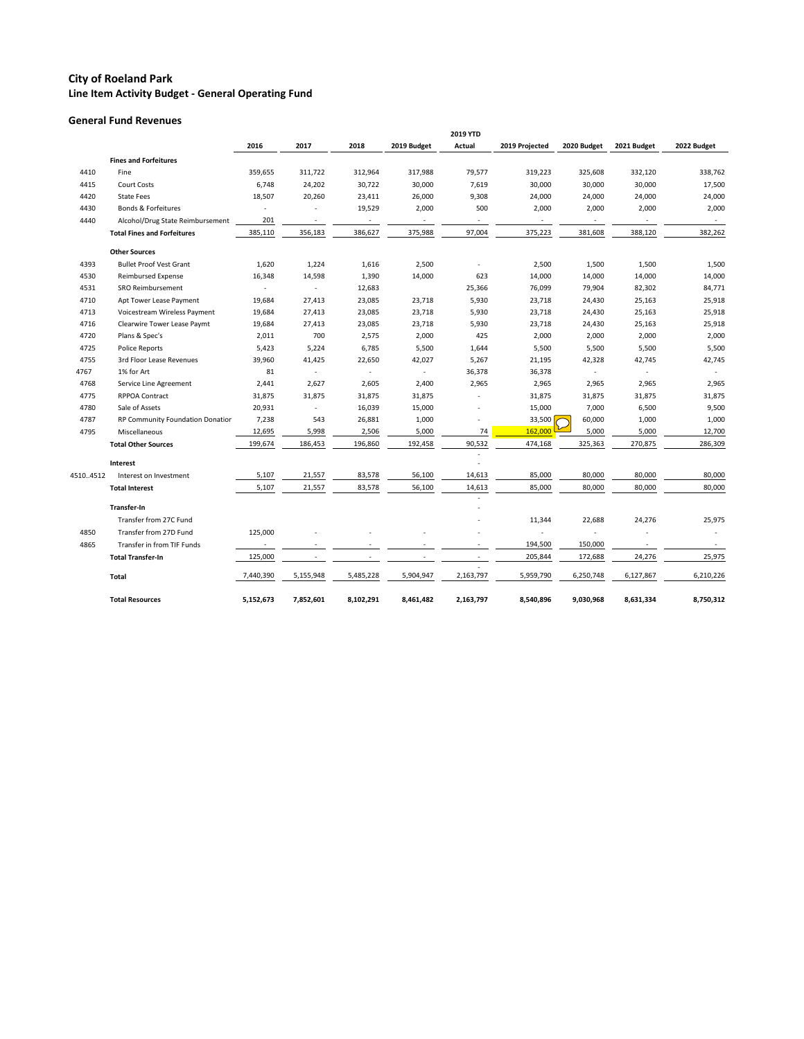#### **General Fund Revenues**

|          |                                    |                |                          |                          |                | 2019 YTD                 |                          |                          |                          |                          |
|----------|------------------------------------|----------------|--------------------------|--------------------------|----------------|--------------------------|--------------------------|--------------------------|--------------------------|--------------------------|
|          |                                    | 2016           | 2017                     | 2018                     | 2019 Budget    | Actual                   | 2019 Projected           | 2020 Budget              | 2021 Budget              | 2022 Budget              |
|          | <b>Fines and Forfeitures</b>       |                |                          |                          |                |                          |                          |                          |                          |                          |
| 4410     | Fine                               | 359,655        | 311,722                  | 312,964                  | 317,988        | 79,577                   | 319,223                  | 325,608                  | 332,120                  | 338,762                  |
| 4415     | <b>Court Costs</b>                 | 6,748          | 24,202                   | 30,722                   | 30,000         | 7,619                    | 30,000                   | 30,000                   | 30,000                   | 17,500                   |
| 4420     | <b>State Fees</b>                  | 18,507         | 20,260                   | 23,411                   | 26,000         | 9,308                    | 24,000                   | 24,000                   | 24,000                   | 24,000                   |
| 4430     | <b>Bonds &amp; Forfeitures</b>     |                |                          | 19,529                   | 2,000          | 500                      | 2,000                    | 2,000                    | 2,000                    | 2,000                    |
| 4440     | Alcohol/Drug State Reimbursement   | 201            | $\overline{\phantom{a}}$ | $\overline{\phantom{a}}$ | $\sim$         | $\overline{\phantom{a}}$ | $\overline{\phantom{a}}$ | $\overline{\phantom{a}}$ | $\overline{\phantom{a}}$ | $\sim$                   |
|          | <b>Total Fines and Forfeitures</b> | 385,110        | 356,183                  | 386,627                  | 375,988        | 97,004                   | 375,223                  | 381,608                  | 388,120                  | 382,262                  |
|          | <b>Other Sources</b>               |                |                          |                          |                |                          |                          |                          |                          |                          |
| 4393     | <b>Bullet Proof Vest Grant</b>     | 1,620          | 1,224                    | 1,616                    | 2,500          |                          | 2,500                    | 1,500                    | 1,500                    | 1,500                    |
| 4530     | <b>Reimbursed Expense</b>          | 16,348         | 14,598                   | 1,390                    | 14,000         | 623                      | 14,000                   | 14,000                   | 14,000                   | 14,000                   |
| 4531     | <b>SRO Reimbursement</b>           | $\blacksquare$ | $\sim$                   | 12,683                   |                | 25,366                   | 76,099                   | 79,904                   | 82,302                   | 84,771                   |
| 4710     | Apt Tower Lease Payment            | 19,684         | 27,413                   | 23,085                   | 23,718         | 5,930                    | 23,718                   | 24,430                   | 25,163                   | 25,918                   |
| 4713     | Voicestream Wireless Payment       | 19,684         | 27,413                   | 23,085                   | 23,718         | 5,930                    | 23,718                   | 24,430                   | 25,163                   | 25,918                   |
| 4716     | Clearwire Tower Lease Paymt        | 19,684         | 27,413                   | 23,085                   | 23,718         | 5,930                    | 23,718                   | 24,430                   | 25,163                   | 25,918                   |
| 4720     | Plans & Spec's                     | 2,011          | 700                      | 2,575                    | 2,000          | 425                      | 2,000                    | 2,000                    | 2,000                    | 2,000                    |
| 4725     | <b>Police Reports</b>              | 5,423          | 5,224                    | 6,785                    | 5,500          | 1,644                    | 5,500                    | 5,500                    | 5,500                    | 5,500                    |
| 4755     | 3rd Floor Lease Revenues           | 39,960         | 41,425                   | 22,650                   | 42,027         | 5,267                    | 21,195                   | 42,328                   | 42,745                   | 42,745                   |
| 4767     | 1% for Art                         | 81             | $\overline{\phantom{a}}$ | $\sim$                   | $\blacksquare$ | 36,378                   | 36,378                   | $\blacksquare$           |                          | $\overline{\phantom{a}}$ |
| 4768     | Service Line Agreement             | 2,441          | 2,627                    | 2,605                    | 2,400          | 2,965                    | 2,965                    | 2,965                    | 2,965                    | 2,965                    |
| 4775     | <b>RPPOA Contract</b>              | 31,875         | 31,875                   | 31,875                   | 31,875         |                          | 31,875                   | 31,875                   | 31,875                   | 31,875                   |
| 4780     | Sale of Assets                     | 20,931         | $\overline{\phantom{a}}$ | 16,039                   | 15,000         |                          | 15,000                   | 7,000                    | 6,500                    | 9,500                    |
| 4787     | RP Community Foundation Donatior   | 7,238          | 543                      | 26,881                   | 1,000          |                          | 33,500                   | 60,000                   | 1,000                    | 1,000                    |
| 4795     | Miscellaneous                      | 12,695         | 5,998                    | 2,506                    | 5,000          | 74                       | 162,000                  | 5,000                    | 5,000                    | 12,700                   |
|          | <b>Total Other Sources</b>         | 199,674        | 186,453                  | 196,860                  | 192,458        | 90,532                   | 474,168                  | 325,363                  | 270,875                  | 286,309                  |
|          | Interest                           |                |                          |                          |                |                          |                          |                          |                          |                          |
| 45104512 | Interest on Investment             | 5,107          | 21,557                   | 83,578                   | 56,100         | 14,613                   | 85,000                   | 80,000                   | 80,000                   | 80,000                   |
|          | <b>Total Interest</b>              | 5,107          | 21,557                   | 83,578                   | 56,100         | 14,613                   | 85,000                   | 80,000                   | 80,000                   | 80,000                   |
|          |                                    |                |                          |                          |                |                          |                          |                          |                          |                          |
|          | <b>Transfer-In</b>                 |                |                          |                          |                |                          |                          |                          |                          |                          |
|          | Transfer from 27C Fund             |                |                          |                          |                |                          | 11,344                   | 22,688                   | 24,276                   | 25,975                   |
| 4850     | Transfer from 27D Fund             | 125,000        |                          |                          |                |                          |                          |                          |                          |                          |
| 4865     | Transfer in from TIF Funds         |                |                          |                          |                |                          | 194,500                  | 150,000                  |                          |                          |
|          | <b>Total Transfer-In</b>           | 125,000        |                          |                          |                |                          | 205,844                  | 172,688                  | 24,276                   | 25,975                   |
|          | Total                              | 7,440,390      | 5,155,948                | 5,485,228                | 5,904,947      | 2,163,797                | 5,959,790                | 6,250,748                | 6,127,867                | 6,210,226                |
|          | <b>Total Resources</b>             | 5,152,673      | 7,852,601                | 8,102,291                | 8,461,482      | 2,163,797                | 8,540,896                | 9,030,968                | 8,631,334                | 8,750,312                |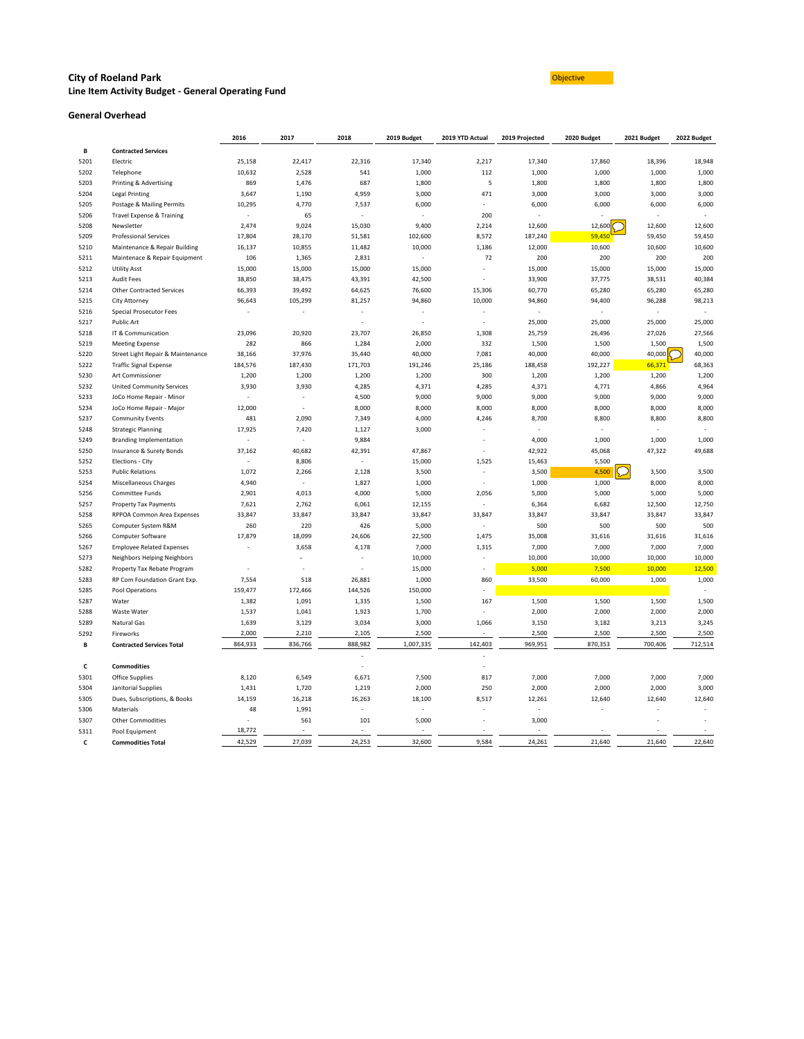#### **City of Roeland Park Construction Construction Construction Construction Construction Construction Construction Line Item Activity Budget - General Operating Fund**

#### **General Overhead**

|      |                                   | 2016                     | 2017                     | 2018                     | 2019 Budget              | 2019 YTD Actual          | 2019 Projected | 2020 Budget    | 2021 Budget    | 2022 Budget |
|------|-----------------------------------|--------------------------|--------------------------|--------------------------|--------------------------|--------------------------|----------------|----------------|----------------|-------------|
| В    | <b>Contracted Services</b>        |                          |                          |                          |                          |                          |                |                |                |             |
| 5201 | Electric                          | 25,158                   | 22,417                   | 22,316                   | 17,340                   | 2,217                    | 17,340         | 17,860         | 18,396         | 18,948      |
| 5202 | Telephone                         | 10,632                   | 2,528                    | 541                      | 1,000                    | 112                      | 1,000          | 1,000          | 1,000          | 1,000       |
| 5203 | Printing & Advertising            | 869                      | 1,476                    | 687                      | 1,800                    | 5                        | 1,800          | 1,800          | 1,800          | 1,800       |
| 5204 | Legal Printing                    | 3,647                    | 1,190                    | 4,959                    | 3,000                    | 471                      | 3,000          | 3,000          | 3,000          | 3,000       |
| 5205 | Postage & Mailing Permits         | 10,295                   | 4,770                    | 7,537                    | 6,000                    | $\blacksquare$           | 6,000          | 6,000          | 6,000          | 6,000       |
| 5206 | Travel Expense & Training         | $\blacksquare$           | 65                       | $\blacksquare$           | $\overline{\phantom{a}}$ | 200                      |                |                |                |             |
| 5208 | Newsletter                        | 2,474                    | 9,024                    | 15,030                   | 9,400                    | 2,214                    | 12,600         | 12,600         | 12,600         | 12,600      |
| 5209 | <b>Professional Services</b>      | 17,804                   | 28,170                   | 51,581                   | 102,600                  | 8,572                    | 187,240        | 59,450         | 59,450         | 59,450      |
| 5210 | Maintenance & Repair Building     | 16,137                   | 10,855                   | 11,482                   | 10,000                   | 1,186                    | 12,000         | 10,600         | 10,600         | 10,600      |
| 5211 | Maintenace & Repair Equipment     | 106                      | 1,365                    | 2,831                    | $\overline{\phantom{a}}$ | 72                       | 200            | 200            | 200            | 200         |
| 5212 | <b>Utility Asst</b>               | 15,000                   | 15,000                   | 15,000                   | 15,000                   |                          | 15,000         | 15,000         | 15,000         | 15,000      |
| 5213 | <b>Audit Fees</b>                 | 38,850                   | 38,475                   | 43,391                   | 42,500                   |                          | 33,900         | 37,775         | 38,531         | 40,384      |
| 5214 | <b>Other Contracted Services</b>  | 66,393                   | 39,492                   | 64,625                   | 76,600                   | 15,306                   | 60,770         | 65,280         | 65,280         | 65,280      |
| 5215 | City Attorney                     | 96,643                   | 105,299                  | 81,257                   | 94,860                   | 10,000                   | 94,860         | 94,400         | 96,288         | 98,213      |
| 5216 | <b>Special Prosecutor Fees</b>    |                          |                          | $\overline{\phantom{a}}$ |                          |                          |                |                |                | $\sim$      |
| 5217 | <b>Public Art</b>                 |                          |                          |                          |                          |                          | 25,000         | 25,000         | 25,000         | 25,000      |
| 5218 | IT & Communication                | 23,096                   | 20,920                   | 23,707                   | 26,850                   | 1,308                    | 25,759         | 26,496         | 27,026         | 27,566      |
| 5219 | <b>Meeting Expense</b>            | 282                      | 866                      | 1,284                    | 2,000                    | 332                      | 1,500          | 1,500          | 1,500          | 1,500       |
| 5220 | Street Light Repair & Maintenance | 38,166                   | 37,976                   | 35,440                   | 40,000                   | 7,081                    | 40,000         | 40,000         | 40,000         | 40,000      |
| 5222 | <b>Traffic Signal Expense</b>     | 184,576                  | 187,430                  | 171,703                  | 191,246                  | 25,186                   | 188,458        | 192,227        | 66,371         | 68,363      |
| 5230 | Art Commissioner                  | 1,200                    | 1,200                    | 1,200                    | 1,200                    | 300                      | 1,200          | 1,200          |                | 1,200       |
| 5232 |                                   | 3,930                    | 3,930                    | 4,285                    | 4,371                    | 4,285                    | 4,371          | 4,771          | 1,200<br>4,866 | 4,964       |
| 5233 | <b>United Community Services</b>  | $\sim$                   |                          | 4,500                    | 9,000                    | 9,000                    | 9,000          | 9,000          | 9,000          | 9,000       |
| 5234 | JoCo Home Repair - Minor          | 12,000                   |                          | 8,000                    | 8,000                    | 8,000                    | 8,000          | 8,000          | 8,000          | 8,000       |
|      | JoCo Home Repair - Major          |                          |                          |                          |                          |                          |                |                |                |             |
| 5237 | <b>Community Events</b>           | 481                      | 2,090                    | 7,349                    | 4,000                    | 4,246                    | 8,700          | 8,800          | 8,800          | 8,800       |
| 5248 | <b>Strategic Planning</b>         | 17,925                   | 7,420                    | 1,127                    | 3,000                    |                          |                | $\blacksquare$ |                |             |
| 5249 | <b>Branding Implementation</b>    | $\overline{\phantom{a}}$ | $\sim$                   | 9,884                    |                          |                          | 4,000          | 1,000          | 1,000          | 1,000       |
| 5250 | Insurance & Surety Bonds          | 37,162                   | 40,682                   | 42,391                   | 47,867                   |                          | 42,922         | 45,068         | 47,322         | 49,688      |
| 5252 | Elections - City                  | $\omega$                 | 8,806                    | $\blacksquare$           | 15,000                   | 1,525                    | 15,463         | 5,500          |                |             |
| 5253 | <b>Public Relations</b>           | 1,072                    | 2,266                    | 2,128                    | 3,500                    |                          | 3,500          | 4,500          | 3,500          | 3,500       |
| 5254 | Miscellaneous Charges             | 4,940                    | $\overline{\phantom{a}}$ | 1,827                    | 1,000                    | $\overline{\phantom{a}}$ | 1,000          | 1,000          | 8,000          | 8,000       |
| 5256 | <b>Committee Funds</b>            | 2,901                    | 4,013                    | 4,000                    | 5,000                    | 2,056                    | 5,000          | 5,000          | 5,000          | 5,000       |
| 5257 | <b>Property Tax Payments</b>      | 7,621                    | 2,762                    | 6,061                    | 12,155                   |                          | 6,364          | 6,682          | 12,500         | 12,750      |
| 5258 | RPPOA Common Area Expenses        | 33,847                   | 33,847                   | 33,847                   | 33,847                   | 33,847                   | 33,847         | 33,847         | 33,847         | 33,847      |
| 5265 | Computer System R&M               | 260                      | 220                      | 426                      | 5,000                    |                          | 500            | 500            | 500            | 500         |
| 5266 | Computer Software                 | 17,879                   | 18,099                   | 24,606                   | 22,500                   | 1,475                    | 35,008         | 31,616         | 31,616         | 31,616      |
| 5267 | <b>Employee Related Expenses</b>  |                          | 3,658                    | 4,178                    | 7,000                    | 1,315                    | 7,000          | 7,000          | 7,000          | 7,000       |
| 5273 | Neighbors Helping Neighbors       |                          |                          |                          | 10,000                   |                          | 10,000         | 10,000         | 10,000         | 10,000      |
| 5282 | Property Tax Rebate Program       | $\overline{\phantom{a}}$ |                          |                          | 15,000                   |                          | 5,000          | 7,500          | 10,000         | 12,500      |
| 5283 | RP Com Foundation Grant Exp.      | 7,554                    | 518                      | 26,881                   | 1,000                    | 860                      | 33,500         | 60,000         | 1,000          | 1,000       |
| 5285 | Pool Operations                   | 159,477                  | 172,466                  | 144,526                  | 150,000                  |                          |                |                |                |             |
| 5287 | Water                             | 1,382                    | 1,091                    | 1,335                    | 1,500                    | 167                      | 1,500          | 1,500          | 1,500          | 1,500       |
| 5288 | Waste Water                       | 1,537                    | 1,041                    | 1,923                    | 1,700                    |                          | 2,000          | 2,000          | 2,000          | 2,000       |
| 5289 | Natural Gas                       | 1,639                    | 3,129                    | 3,034                    | 3,000                    | 1,066                    | 3,150          | 3,182          | 3,213          | 3,245       |
| 5292 | Fireworks                         | 2,000                    | 2,210                    | 2,105                    | 2,500                    |                          | 2,500          | 2,500          | 2,500          | 2,500       |
| В    | <b>Contracted Services Total</b>  | 864,933                  | 836,766                  | 888,982                  | 1,007,335                | 142,403                  | 969,951        | 870,353        | 700,406        | 712,514     |
|      |                                   |                          |                          |                          |                          |                          |                |                |                |             |
| C    | <b>Commodities</b>                |                          |                          |                          |                          |                          |                |                |                |             |
| 5301 | <b>Office Supplies</b>            | 8,120                    | 6,549                    | 6,671                    | 7,500                    | 817                      | 7,000          | 7,000          | 7,000          | 7,000       |
| 5304 | Janitorial Supplies               | 1,431                    | 1,720                    | 1,219                    | 2,000                    | 250                      | 2,000          | 2,000          | 2,000          | 3,000       |
| 5305 | Dues, Subscriptions, & Books      | 14,159                   | 16,218                   | 16,263                   | 18,100                   | 8,517                    | 12,261         | 12,640         | 12,640         | 12,640      |
| 5306 | Materials                         | 48                       | 1,991                    | $\overline{\phantom{a}}$ | $\overline{\phantom{a}}$ |                          |                |                |                |             |
| 5307 | <b>Other Commodities</b>          |                          | 561                      | 101                      | 5,000                    |                          | 3,000          |                |                |             |
| 5311 | Pool Equipment                    | 18,772                   |                          | $\overline{\phantom{a}}$ | $\overline{\phantom{a}}$ |                          |                |                |                |             |
| C    | <b>Commodities Total</b>          | 42,529                   | 27,039                   | 24,253                   | 32,600                   | 9,584                    | 24,261         | 21,640         | 21,640         | 22,640      |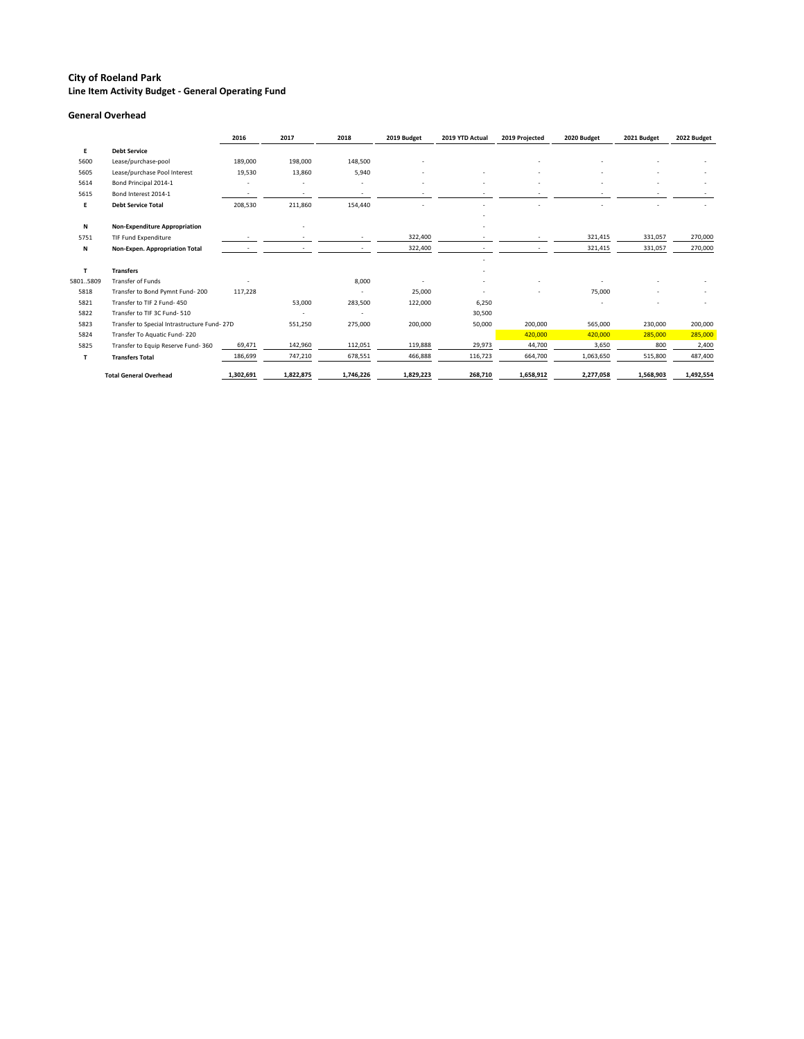### **General Overhead**

|                                      | 2016                          | 2017                                                     | 2018      | 2019 Budget | 2019 YTD Actual | 2019 Projected | 2020 Budget | 2021 Budget | 2022 Budget |
|--------------------------------------|-------------------------------|----------------------------------------------------------|-----------|-------------|-----------------|----------------|-------------|-------------|-------------|
| <b>Debt Service</b>                  |                               |                                                          |           |             |                 |                |             |             |             |
| Lease/purchase-pool                  | 189,000                       | 198,000                                                  | 148,500   |             |                 |                |             |             |             |
| Lease/purchase Pool Interest         | 19,530                        | 13,860                                                   | 5,940     |             |                 |                |             |             |             |
| Bond Principal 2014-1                |                               |                                                          |           |             |                 |                |             |             |             |
| Bond Interest 2014-1                 |                               |                                                          |           |             |                 |                |             |             |             |
| <b>Debt Service Total</b>            | 208,530                       | 211,860                                                  | 154,440   |             |                 |                |             |             |             |
|                                      |                               |                                                          |           |             |                 |                |             |             |             |
| <b>Non-Expenditure Appropriation</b> |                               |                                                          |           |             |                 |                |             |             |             |
| TIF Fund Expenditure                 |                               |                                                          |           | 322,400     |                 |                | 321,415     | 331,057     | 270,000     |
| Non-Expen. Appropriation Total       |                               |                                                          |           | 322,400     |                 |                | 321,415     | 331,057     | 270,000     |
|                                      |                               |                                                          |           |             |                 |                |             |             |             |
| <b>Transfers</b>                     |                               |                                                          |           |             |                 |                |             |             |             |
| <b>Transfer of Funds</b>             |                               |                                                          | 8,000     |             |                 |                |             |             |             |
| Transfer to Bond Pymnt Fund-200      | 117,228                       |                                                          |           | 25,000      |                 |                | 75,000      |             |             |
| Transfer to TIF 2 Fund- 450          |                               | 53,000                                                   | 283,500   | 122,000     | 6,250           |                |             |             |             |
| Transfer to TIF 3C Fund-510          |                               |                                                          |           |             | 30,500          |                |             |             |             |
|                                      |                               | 551,250                                                  | 275,000   | 200,000     | 50,000          | 200,000        | 565,000     | 230,000     | 200,000     |
| Transfer To Aquatic Fund-220         |                               |                                                          |           |             |                 | 420,000        | 420,000     | 285,000     | 285,000     |
| Transfer to Equip Reserve Fund-360   | 69,471                        | 142,960                                                  | 112,051   | 119,888     | 29,973          | 44,700         | 3,650       | 800         | 2,400       |
| <b>Transfers Total</b>               | 186,699                       | 747,210                                                  | 678,551   | 466,888     | 116,723         | 664,700        | 1,063,650   | 515,800     | 487,400     |
|                                      |                               | 1,822,875                                                | 1,746,226 | 1,829,223   |                 | 1,658,912      |             |             | 1,492,554   |
|                                      | <b>Total General Overhead</b> | Transfer to Special Intrastructure Fund-27D<br>1,302,691 |           |             |                 | 268,710        |             | 2,277,058   | 1,568,903   |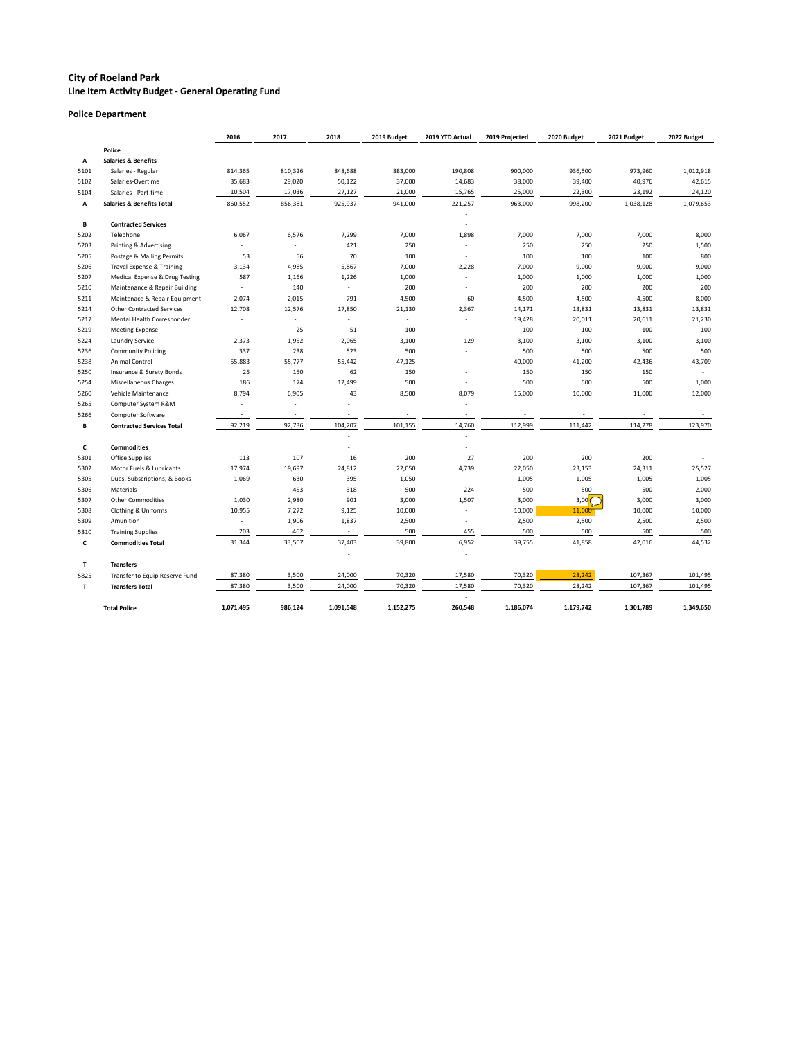**Line Item Activity Budget - General Operating Fund**

### **Police Department**

|      |                                      | 2016                     | 2017                     | 2018                     | 2019 Budget              | 2019 YTD Actual          | 2019 Projected           | 2020 Budget     | 2021 Budget | 2022 Budget |
|------|--------------------------------------|--------------------------|--------------------------|--------------------------|--------------------------|--------------------------|--------------------------|-----------------|-------------|-------------|
|      | Police                               |                          |                          |                          |                          |                          |                          |                 |             |             |
| Α    | <b>Salaries &amp; Benefits</b>       |                          |                          |                          |                          |                          |                          |                 |             |             |
| 5101 | Salaries - Regular                   | 814,365                  | 810,326                  | 848,688                  | 883,000                  | 190,808                  | 900,000                  | 936,500         | 973,960     | 1,012,918   |
| 5102 | Salaries-Overtime                    | 35,683                   | 29,020                   | 50,122                   | 37,000                   | 14,683                   | 38,000                   | 39,400          | 40,976      | 42,615      |
| 5104 | Salaries - Part-time                 | 10,504                   | 17,036                   | 27,127                   | 21,000                   | 15,765                   | 25,000                   | 22,300          | 23,192      | 24,120      |
| Α    | <b>Salaries &amp; Benefits Total</b> | 860,552                  | 856,381                  | 925,937                  | 941,000                  | 221,257                  | 963,000                  | 998,200         | 1,038,128   | 1,079,653   |
|      |                                      |                          |                          |                          |                          |                          |                          |                 |             |             |
| В    | <b>Contracted Services</b>           |                          |                          |                          |                          |                          |                          |                 |             |             |
| 5202 | Telephone                            | 6,067                    | 6,576                    | 7,299                    | 7,000                    | 1,898                    | 7,000                    | 7,000           | 7,000       | 8,000       |
| 5203 | Printing & Advertising               |                          |                          | 421                      | 250                      |                          | 250                      | 250             | 250         | 1,500       |
| 5205 | Postage & Mailing Permits            | 53                       | 56                       | 70                       | 100                      | $\overline{\phantom{a}}$ | 100                      | 100             | 100         | 800         |
| 5206 | Travel Expense & Training            | 3,134                    | 4,985                    | 5,867                    | 7,000                    | 2,228                    | 7,000                    | 9,000           | 9,000       | 9,000       |
| 5207 | Medical Expense & Drug Testing       | 587                      | 1,166                    | 1,226                    | 1,000                    |                          | 1,000                    | 1,000           | 1,000       | 1,000       |
| 5210 | Maintenance & Repair Building        | $\overline{\phantom{a}}$ | 140                      | $\overline{\phantom{a}}$ | 200                      |                          | 200                      | 200             | 200         | 200         |
| 5211 | Maintenace & Repair Equipment        | 2,074                    | 2,015                    | 791                      | 4,500                    | 60                       | 4,500                    | 4,500           | 4,500       | 8,000       |
| 5214 | <b>Other Contracted Services</b>     | 12,708                   | 12,576                   | 17,850                   | 21,130                   | 2,367                    | 14,171                   | 13,831          | 13,831      | 13,831      |
| 5217 | Mental Health Corresponder           | $\overline{\phantom{a}}$ |                          |                          | $\blacksquare$           |                          | 19,428                   | 20,011          | 20,611      | 21,230      |
| 5219 | <b>Meeting Expense</b>               |                          | 25                       | 51                       | 100                      |                          | 100                      | 100             | 100         | 100         |
| 5224 | Laundry Service                      | 2,373                    | 1,952                    | 2,065                    | 3,100                    | 129                      | 3,100                    | 3,100           | 3,100       | 3,100       |
| 5236 | <b>Community Policing</b>            | 337                      | 238                      | 523                      | 500                      |                          | 500                      | 500             | 500         | 500         |
| 5238 | Animal Control                       | 55,883                   | 55,777                   | 55,442                   | 47,125                   |                          | 40,000                   | 41,200          | 42,436      | 43,709      |
| 5250 | Insurance & Surety Bonds             | 25                       | 150                      | 62                       | 150                      |                          | 150                      | 150             | 150         |             |
| 5254 | Miscellaneous Charges                | 186                      | 174                      | 12,499                   | 500                      |                          | 500                      | 500             | 500         | 1,000       |
| 5260 | Vehicle Maintenance                  | 8,794                    | 6,905                    | 43                       | 8,500                    | 8,079                    | 15,000                   | 10,000          | 11,000      | 12,000      |
| 5265 | Computer System R&M                  |                          |                          |                          |                          |                          |                          |                 |             |             |
| 5266 | <b>Computer Software</b>             | $\overline{\phantom{a}}$ | $\overline{\phantom{a}}$ | $\overline{\phantom{a}}$ | $\overline{\phantom{a}}$ | $\overline{\phantom{a}}$ | $\overline{\phantom{a}}$ |                 |             |             |
| В    | <b>Contracted Services Total</b>     | 92,219                   | 92,736                   | 104,207                  | 101,155                  | 14,760                   | 112,999                  | 111,442         | 114,278     | 123,970     |
|      |                                      |                          |                          |                          |                          |                          |                          |                 |             |             |
| C    | <b>Commodities</b>                   |                          |                          |                          |                          |                          |                          |                 |             |             |
| 5301 | <b>Office Supplies</b>               | 113                      | 107                      | 16                       | 200                      | 27                       | 200                      | 200             | 200         |             |
| 5302 | Motor Fuels & Lubricants             | 17,974                   | 19,697                   | 24,812                   | 22,050                   | 4,739                    | 22,050                   | 23,153          | 24,311      | 25,527      |
| 5305 | Dues, Subscriptions, & Books         | 1,069                    | 630                      | 395                      | 1,050                    |                          | 1,005                    | 1,005           | 1,005       | 1,005       |
| 5306 | Materials                            | $\overline{\phantom{a}}$ | 453                      | 318                      | 500                      | 224                      | 500                      | 500             | 500         | 2,000       |
| 5307 | <b>Other Commodities</b>             | 1,030                    | 2,980                    | 901                      | 3,000                    | 1,507                    | 3,000                    | 3,00 $\sqrt{\}$ | 3,000       | 3,000       |
| 5308 | Clothing & Uniforms                  | 10,955                   | 7,272                    | 9,125                    | 10,000                   |                          | 10,000                   | 11,000          | 10,000      | 10,000      |
| 5309 | Amunition                            |                          | 1,906                    | 1,837                    | 2,500                    |                          | 2,500                    | 2,500           | 2,500       | 2,500       |
| 5310 | <b>Training Supplies</b>             | 203                      | 462                      |                          | 500                      | 455                      | 500                      | 500             | 500         | 500         |
| C    | <b>Commodities Total</b>             | 31,344                   | 33,507                   | 37,403                   | 39,800                   | 6,952                    | 39,755                   | 41,858          | 42,016      | 44,532      |
|      |                                      |                          |                          |                          |                          |                          |                          |                 |             |             |
| T    | <b>Transfers</b>                     |                          |                          |                          |                          |                          |                          |                 |             |             |
| 5825 | Transfer to Equip Reserve Fund       | 87,380                   | 3,500                    | 24,000                   | 70,320                   | 17,580                   | 70,320                   | 28,242          | 107,367     | 101,495     |
| T    | <b>Transfers Total</b>               | 87,380                   | 3,500                    | 24,000                   | 70,320                   | 17,580                   | 70,320                   | 28,242          | 107,367     | 101,495     |
|      |                                      |                          |                          |                          |                          |                          |                          |                 |             |             |
|      | <b>Total Police</b>                  | 1,071,495                | 986,124                  | 1,091,548                | 1,152,275                | 260,548                  | 1,186,074                | 1,179,742       | 1,301,789   | 1,349,650   |
|      |                                      |                          |                          |                          |                          |                          |                          |                 |             |             |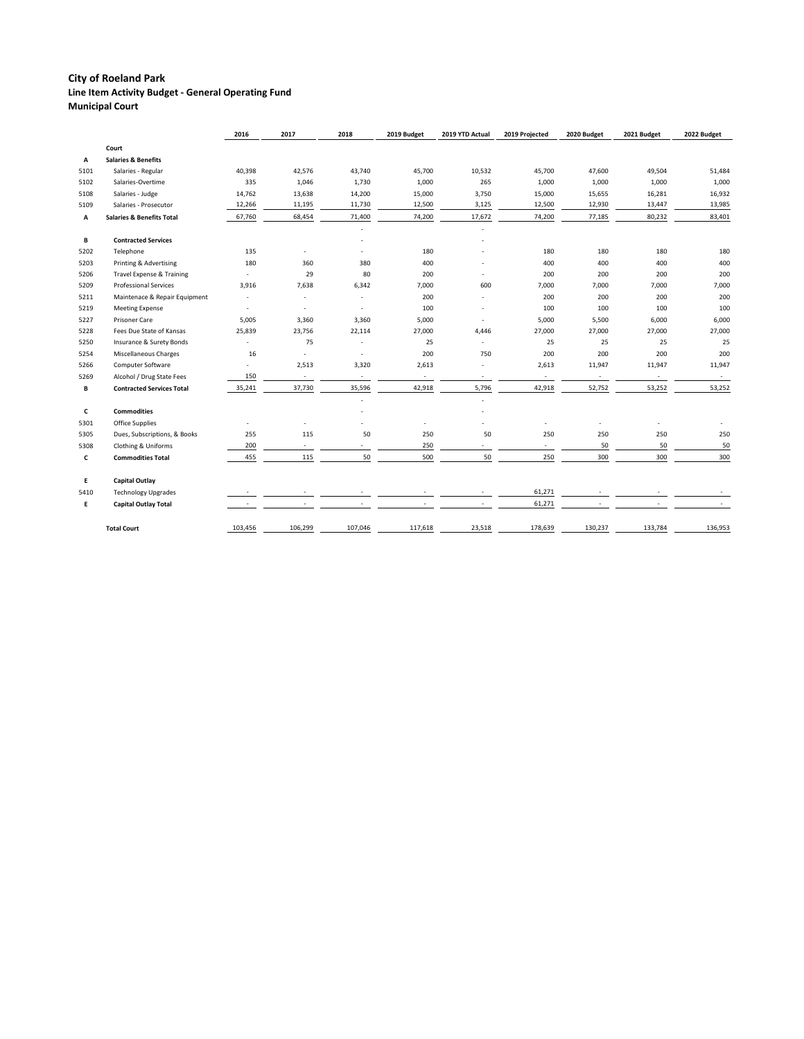|      |                                      | 2016           | 2017                     | 2018                     | 2019 Budget              | 2019 YTD Actual          | 2019 Projected           | 2020 Budget              | 2021 Budget | 2022 Budget |
|------|--------------------------------------|----------------|--------------------------|--------------------------|--------------------------|--------------------------|--------------------------|--------------------------|-------------|-------------|
|      | Court                                |                |                          |                          |                          |                          |                          |                          |             |             |
| Α    | <b>Salaries &amp; Benefits</b>       |                |                          |                          |                          |                          |                          |                          |             |             |
| 5101 | Salaries - Regular                   | 40,398         | 42,576                   | 43,740                   | 45,700                   | 10,532                   | 45,700                   | 47,600                   | 49,504      | 51,484      |
| 5102 | Salaries-Overtime                    | 335            | 1,046                    | 1,730                    | 1,000                    | 265                      | 1,000                    | 1,000                    | 1,000       | 1,000       |
| 5108 | Salaries - Judge                     | 14,762         | 13,638                   | 14,200                   | 15,000                   | 3,750                    | 15,000                   | 15,655                   | 16,281      | 16,932      |
| 5109 | Salaries - Prosecutor                | 12,266         | 11,195                   | 11,730                   | 12,500                   | 3,125                    | 12,500                   | 12,930                   | 13,447      | 13,985      |
| Α    | <b>Salaries &amp; Benefits Total</b> | 67,760         | 68,454                   | 71,400                   | 74,200                   | 17,672                   | 74,200                   | 77,185                   | 80,232      | 83,401      |
|      |                                      |                |                          |                          |                          |                          |                          |                          |             |             |
| В    | <b>Contracted Services</b>           |                |                          |                          |                          |                          |                          |                          |             |             |
| 5202 | Telephone                            | 135            |                          |                          | 180                      |                          | 180                      | 180                      | 180         | 180         |
| 5203 | Printing & Advertising               | 180            | 360                      | 380                      | 400                      |                          | 400                      | 400                      | 400         | 400         |
| 5206 | Travel Expense & Training            | $\blacksquare$ | 29                       | 80                       | 200                      |                          | 200                      | 200                      | 200         | 200         |
| 5209 | <b>Professional Services</b>         | 3,916          | 7,638                    | 6,342                    | 7,000                    | 600                      | 7,000                    | 7,000                    | 7,000       | 7,000       |
| 5211 | Maintenace & Repair Equipment        | $\blacksquare$ | $\overline{\phantom{a}}$ | $\overline{\phantom{a}}$ | 200                      |                          | 200                      | 200                      | 200         | 200         |
| 5219 | <b>Meeting Expense</b>               |                |                          |                          | 100                      |                          | 100                      | 100                      | 100         | 100         |
| 5227 | Prisoner Care                        | 5,005          | 3,360                    | 3,360                    | 5,000                    |                          | 5,000                    | 5,500                    | 6,000       | 6,000       |
| 5228 | Fees Due State of Kansas             | 25,839         | 23,756                   | 22,114                   | 27,000                   | 4,446                    | 27,000                   | 27,000                   | 27,000      | 27,000      |
| 5250 | Insurance & Surety Bonds             | $\blacksquare$ | 75                       | $\overline{\phantom{a}}$ | 25                       | $\overline{\phantom{a}}$ | 25                       | 25                       | 25          | 25          |
| 5254 | Miscellaneous Charges                | 16             | $\blacksquare$           | $\sim$                   | 200                      | 750                      | 200                      | 200                      | 200         | 200         |
| 5266 | Computer Software                    | $\blacksquare$ | 2,513                    | 3,320                    | 2,613                    | $\overline{\phantom{a}}$ | 2,613                    | 11,947                   | 11,947      | 11,947      |
| 5269 | Alcohol / Drug State Fees            | 150            | $\overline{\phantom{a}}$ | $\sim$                   | $\overline{\phantom{a}}$ | $\overline{\phantom{a}}$ | $\sim$                   | $\overline{\phantom{a}}$ | $\sim$      | $\sim$      |
| В    | <b>Contracted Services Total</b>     | 35,241         | 37,730                   | 35,596                   | 42,918                   | 5,796                    | 42,918                   | 52,752                   | 53,252      | 53,252      |
|      |                                      |                |                          |                          |                          |                          |                          |                          |             |             |
| C    | <b>Commodities</b>                   |                |                          |                          |                          |                          |                          |                          |             |             |
| 5301 | <b>Office Supplies</b>               |                |                          |                          |                          |                          | $\overline{\phantom{m}}$ |                          |             |             |
| 5305 | Dues, Subscriptions, & Books         | 255            | 115                      | 50                       | 250                      | 50                       | 250                      | 250                      | 250         | 250         |
| 5308 | Clothing & Uniforms                  | 200            | $\sim$                   | $\sim$                   | 250                      | $\sim$                   | $\sim$                   | 50                       | 50          | 50          |
| C    | <b>Commodities Total</b>             | 455            | 115                      | 50                       | 500                      | 50                       | 250                      | 300                      | 300         | 300         |
| E.   | <b>Capital Outlay</b>                |                |                          |                          |                          |                          |                          |                          |             |             |
| 5410 | <b>Technology Upgrades</b>           |                |                          |                          |                          |                          | 61,271                   |                          |             |             |
| E.   | <b>Capital Outlay Total</b>          |                |                          |                          |                          |                          | 61,271                   |                          |             |             |
|      | <b>Total Court</b>                   | 103,456        | 106,299                  | 107,046                  | 117,618                  | 23,518                   | 178,639                  | 130,237                  | 133,784     | 136,953     |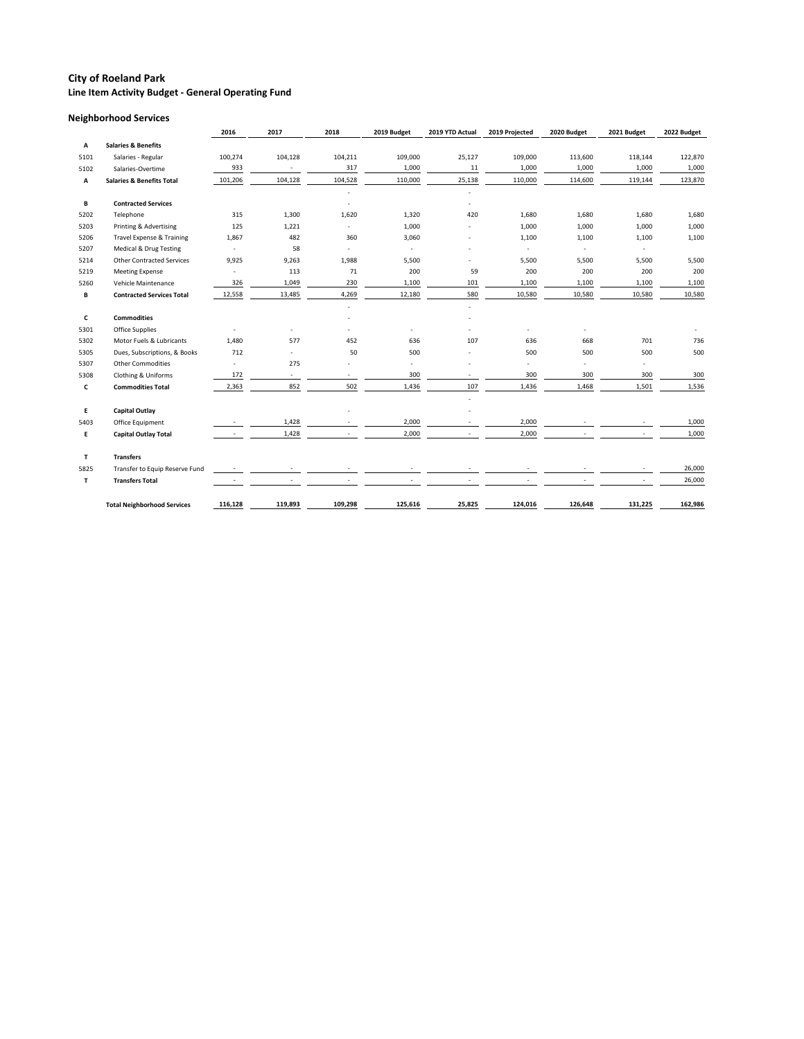### **Neighborhood Services**

|      |                                      | 2016                     | 2017                     | 2018                     | 2019 Budget              | 2019 YTD Actual | 2019 Projected | 2020 Budget              | 2021 Budget              | 2022 Budget |
|------|--------------------------------------|--------------------------|--------------------------|--------------------------|--------------------------|-----------------|----------------|--------------------------|--------------------------|-------------|
| Α    | <b>Salaries &amp; Benefits</b>       |                          |                          |                          |                          |                 |                |                          |                          |             |
| 5101 | Salaries - Regular                   | 100,274                  | 104,128                  | 104,211                  | 109,000                  | 25,127          | 109,000        | 113,600                  | 118,144                  | 122,870     |
| 5102 | Salaries-Overtime                    | 933                      | $\sim$                   | 317                      | 1,000                    | 11              | 1,000          | 1,000                    | 1,000                    | 1,000       |
| Α    | <b>Salaries &amp; Benefits Total</b> | 101,206                  | 104,128                  | 104,528                  | 110,000                  | 25,138          | 110,000        | 114,600                  | 119,144                  | 123,870     |
|      |                                      |                          |                          |                          |                          |                 |                |                          |                          |             |
| B    | <b>Contracted Services</b>           |                          |                          |                          |                          |                 |                |                          |                          |             |
| 5202 | Telephone                            | 315                      | 1,300                    | 1,620                    | 1,320                    | 420             | 1,680          | 1,680                    | 1,680                    | 1,680       |
| 5203 | Printing & Advertising               | 125                      | 1,221                    | $\overline{\phantom{a}}$ | 1,000                    |                 | 1,000          | 1,000                    | 1,000                    | 1,000       |
| 5206 | Travel Expense & Training            | 1,867                    | 482                      | 360                      | 3,060                    |                 | 1,100          | 1,100                    | 1,100                    | 1,100       |
| 5207 | Medical & Drug Testing               | $\sim$                   | 58                       | $\sim$                   | $\sim$                   |                 |                | $\sim$                   |                          |             |
| 5214 | <b>Other Contracted Services</b>     | 9,925                    | 9,263                    | 1,988                    | 5,500                    |                 | 5,500          | 5,500                    | 5,500                    | 5,500       |
| 5219 | <b>Meeting Expense</b>               | $\overline{\phantom{a}}$ | 113                      | 71                       | 200                      | 59              | 200            | 200                      | 200                      | 200         |
| 5260 | Vehicle Maintenance                  | 326                      | 1,049                    | 230                      | 1,100                    | 101             | 1,100          | 1,100                    | 1,100                    | 1,100       |
| В    | <b>Contracted Services Total</b>     | 12,558                   | 13,485                   | 4,269                    | 12,180                   | 580             | 10,580         | 10,580                   | 10,580                   | 10,580      |
|      |                                      |                          |                          | $\sim$                   |                          |                 |                |                          |                          |             |
| C    | <b>Commodities</b>                   |                          |                          |                          |                          |                 |                |                          |                          |             |
| 5301 | <b>Office Supplies</b>               |                          | $\overline{\phantom{a}}$ |                          | $\overline{\phantom{a}}$ |                 |                | $\overline{\phantom{a}}$ |                          |             |
| 5302 | Motor Fuels & Lubricants             | 1,480                    | 577                      | 452                      | 636                      | 107             | 636            | 668                      | 701                      | 736         |
| 5305 | Dues, Subscriptions, & Books         | 712                      | $\overline{\phantom{a}}$ | 50                       | 500                      |                 | 500            | 500                      | 500                      | 500         |
| 5307 | <b>Other Commodities</b>             | $\overline{\phantom{a}}$ | 275                      |                          | $\overline{a}$           |                 | $\overline{a}$ | $\overline{\phantom{a}}$ | $\overline{\phantom{a}}$ |             |
| 5308 | Clothing & Uniforms                  | 172                      | $\blacksquare$           | $\blacksquare$           | 300                      | $\sim$          | 300            | 300                      | 300                      | 300         |
| c    | <b>Commodities Total</b>             | 2,363                    | 852                      | 502                      | 1,436                    | 107             | 1,436          | 1,468                    | 1,501                    | 1,536       |
|      |                                      |                          |                          |                          |                          |                 |                |                          |                          |             |
| E.   | <b>Capital Outlay</b>                |                          |                          |                          |                          |                 |                |                          |                          |             |
| 5403 | Office Equipment                     |                          | 1,428                    |                          | 2,000                    |                 | 2,000          |                          |                          | 1,000       |
| E.   | <b>Capital Outlay Total</b>          | $\sim$                   | 1,428                    | $\sim$                   | 2,000                    |                 | 2,000          |                          |                          | 1,000       |
| T    | <b>Transfers</b>                     |                          |                          |                          |                          |                 |                |                          |                          |             |
| 5825 | Transfer to Equip Reserve Fund       |                          |                          |                          |                          |                 |                |                          |                          | 26,000      |
| T    | <b>Transfers Total</b>               |                          |                          |                          |                          |                 |                |                          |                          | 26,000      |
|      | <b>Total Neighborhood Services</b>   | 116,128                  | 119,893                  | 109,298                  | 125,616                  | 25,825          | 124,016        | 126,648                  | 131,225                  | 162,986     |
|      |                                      |                          |                          |                          |                          |                 |                |                          |                          |             |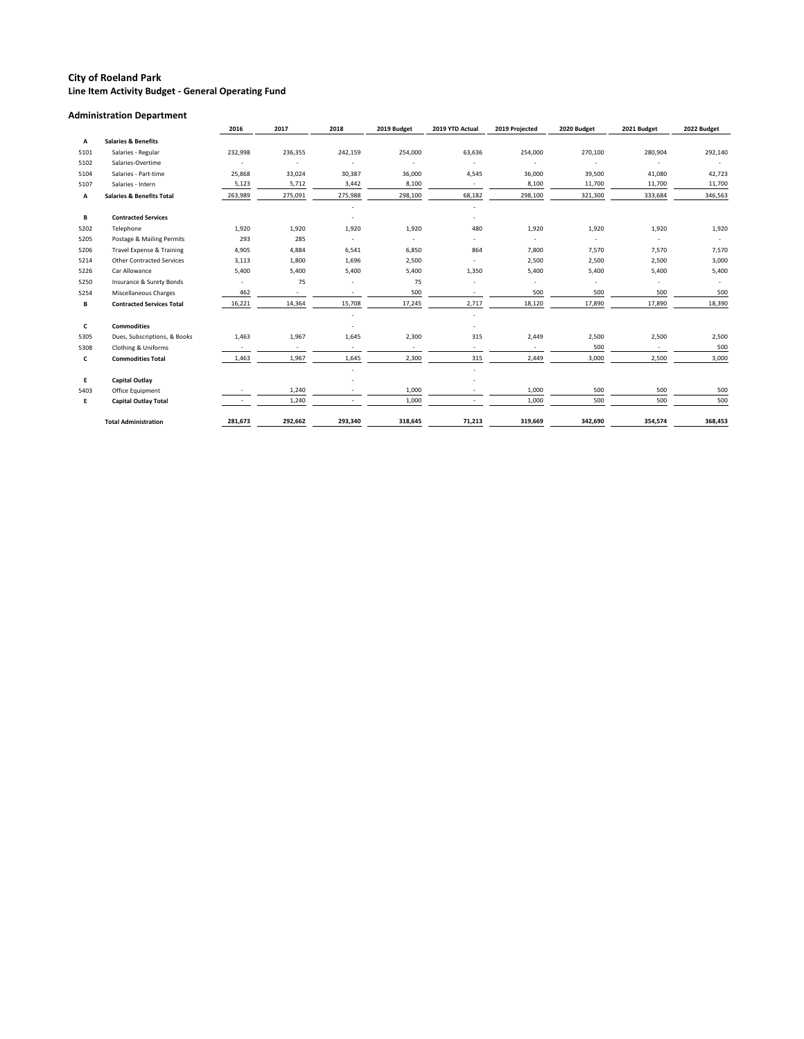#### **Administration Department**

|             |                                      | 2016    | 2017    | 2018                     | 2019 Budget              | 2019 YTD Actual | 2019 Projected | 2020 Budget              | 2021 Budget              | 2022 Budget |
|-------------|--------------------------------------|---------|---------|--------------------------|--------------------------|-----------------|----------------|--------------------------|--------------------------|-------------|
| Α           | <b>Salaries &amp; Benefits</b>       |         |         |                          |                          |                 |                |                          |                          |             |
| 5101        | Salaries - Regular                   | 232,998 | 236,355 | 242,159                  | 254,000                  | 63,636          | 254,000        | 270,100                  | 280,904                  | 292,140     |
| 5102        | Salaries-Overtime                    |         | $\sim$  |                          |                          |                 |                |                          |                          |             |
| 5104        | Salaries - Part-time                 | 25,868  | 33,024  | 30,387                   | 36,000                   | 4,545           | 36,000         | 39,500                   | 41,080                   | 42,723      |
| 5107        | Salaries - Intern                    | 5,123   | 5,712   | 3,442                    | 8,100                    | $\sim$          | 8,100          | 11,700                   | 11,700                   | 11,700      |
| Α           | <b>Salaries &amp; Benefits Total</b> | 263,989 | 275,091 | 275,988                  | 298,100                  | 68,182          | 298,100        | 321,300                  | 333,684                  | 346,563     |
|             |                                      |         |         |                          |                          |                 |                |                          |                          |             |
| B           | <b>Contracted Services</b>           |         |         |                          |                          |                 |                |                          |                          |             |
| 5202        | Telephone                            | 1,920   | 1,920   | 1,920                    | 1,920                    | 480             | 1,920          | 1,920                    | 1,920                    | 1,920       |
| 5205        | Postage & Mailing Permits            | 293     | 285     | $\overline{\phantom{a}}$ |                          |                 |                | $\overline{\phantom{a}}$ |                          |             |
| 5206        | <b>Travel Expense &amp; Training</b> | 4,905   | 4,884   | 6,541                    | 6,850                    | 864             | 7,800          | 7,570                    | 7,570                    | 7,570       |
| 5214        | <b>Other Contracted Services</b>     | 3,113   | 1,800   | 1,696                    | 2,500                    |                 | 2,500          | 2,500                    | 2,500                    | 3,000       |
| 5226        | Car Allowance                        | 5,400   | 5,400   | 5,400                    | 5,400                    | 1,350           | 5,400          | 5,400                    | 5,400                    | 5,400       |
| 5250        | Insurance & Surety Bonds             | $\sim$  | 75      |                          | 75                       |                 |                | $\blacksquare$           |                          |             |
| 5254        | Miscellaneous Charges                | 462     | $\sim$  | $\overline{\phantom{a}}$ | 500                      | $\sim$          | 500            | 500                      | 500                      | 500         |
| В           | <b>Contracted Services Total</b>     | 16,221  | 14,364  | 15,708                   | 17,245                   | 2,717           | 18,120         | 17,890                   | 17,890                   | 18,390      |
|             |                                      |         |         |                          |                          |                 |                |                          |                          |             |
| $\mathbf c$ | <b>Commodities</b>                   |         |         |                          |                          |                 |                |                          |                          |             |
| 5305        | Dues, Subscriptions, & Books         | 1,463   | 1,967   | 1,645                    | 2,300                    | 315             | 2,449          | 2,500                    | 2,500                    | 2,500       |
| 5308        | <b>Clothing &amp; Uniforms</b>       | $\sim$  | $\sim$  | $\overline{\phantom{a}}$ | $\overline{\phantom{a}}$ | $\sim$          | $\sim$         | 500                      | $\overline{\phantom{a}}$ | 500         |
| C           | <b>Commodities Total</b>             | 1,463   | 1,967   | 1,645                    | 2,300                    | 315             | 2,449          | 3,000                    | 2,500                    | 3,000       |
|             |                                      |         |         |                          |                          |                 |                |                          |                          |             |
| E.          | <b>Capital Outlay</b>                |         |         |                          |                          |                 |                |                          |                          |             |
| 5403        | Office Equipment                     |         | 1,240   |                          | 1,000                    |                 | 1,000          | 500                      | 500                      | 500         |
| E.          | <b>Capital Outlay Total</b>          |         | 1,240   |                          | 1,000                    |                 | 1,000          | 500                      | 500                      | 500         |
|             | <b>Total Administration</b>          | 281,673 | 292,662 | 293,340                  | 318,645                  | 71,213          | 319,669        | 342,690                  | 354,574                  | 368,453     |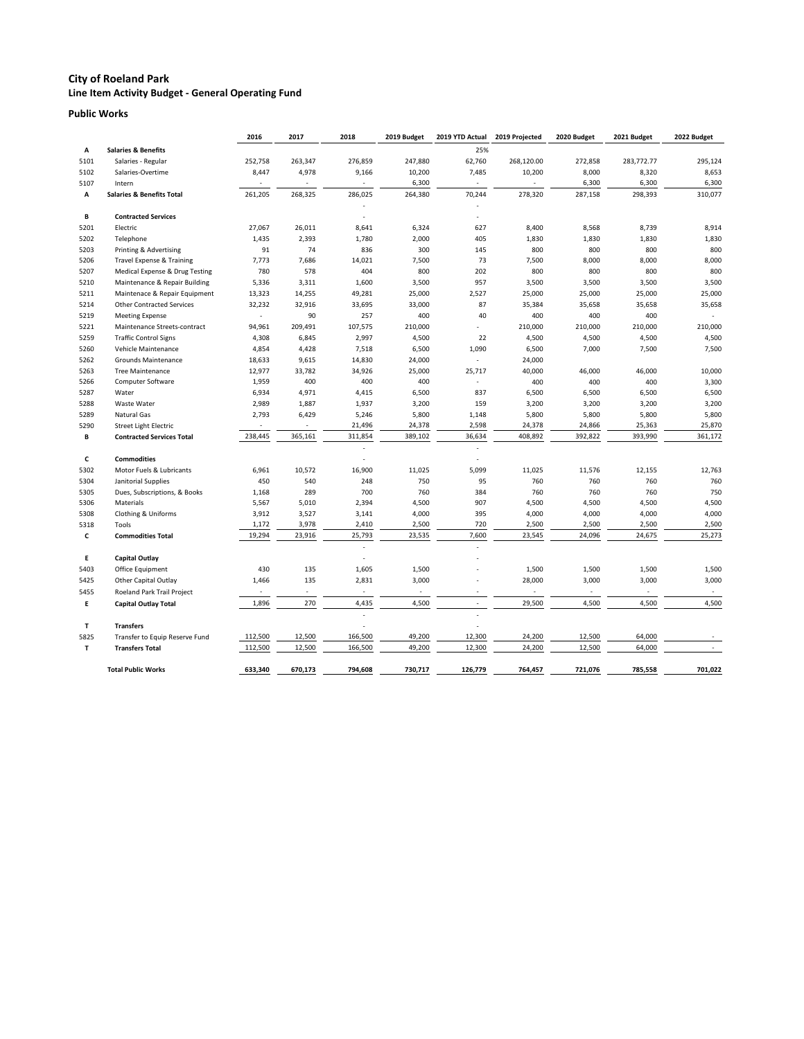#### **Public Works**

|              |                                      | 2016                     | 2017                     | 2018                                       | 2019 Budget | 2019 YTD Actual          | 2019 Projected           | 2020 Budget | 2021 Budget | 2022 Budget |
|--------------|--------------------------------------|--------------------------|--------------------------|--------------------------------------------|-------------|--------------------------|--------------------------|-------------|-------------|-------------|
| Α            | <b>Salaries &amp; Benefits</b>       |                          |                          |                                            |             | 25%                      |                          |             |             |             |
| 5101         | Salaries - Regular                   | 252,758                  | 263,347                  | 276,859                                    | 247,880     | 62,760                   | 268,120.00               | 272,858     | 283,772.77  | 295,124     |
| 5102         | Salaries-Overtime                    | 8,447                    | 4,978                    | 9,166                                      | 10,200      | 7,485                    | 10,200                   | 8,000       | 8,320       | 8,653       |
| 5107         | Intern                               |                          |                          | $\overline{\phantom{a}}$                   | 6,300       |                          |                          | 6,300       | 6,300       | 6,300       |
| Α            | <b>Salaries &amp; Benefits Total</b> | 261,205                  | 268,325                  | 286,025                                    | 264,380     | 70,244                   | 278,320                  | 287,158     | 298,393     | 310,077     |
|              |                                      |                          |                          |                                            |             |                          |                          |             |             |             |
| В            | <b>Contracted Services</b>           |                          |                          |                                            |             |                          |                          |             |             |             |
| 5201         | Electric                             | 27,067                   | 26,011                   | 8,641                                      | 6,324       | 627                      | 8,400                    | 8,568       | 8,739       | 8,914       |
| 5202         | Telephone                            | 1,435                    | 2,393                    | 1,780                                      | 2,000       | 405                      | 1,830                    | 1,830       | 1,830       | 1,830       |
| 5203         | Printing & Advertising               | 91                       | 74                       | 836                                        | 300         | 145                      | 800                      | 800         | 800         | 800         |
| 5206         | Travel Expense & Training            | 7,773                    | 7,686                    | 14,021                                     | 7,500       | 73                       | 7,500                    | 8,000       | 8,000       | 8,000       |
| 5207         | Medical Expense & Drug Testing       | 780                      | 578                      | 404                                        | 800         | 202                      | 800                      | 800         | 800         | 800         |
| 5210         | Maintenance & Repair Building        | 5,336                    | 3,311                    | 1,600                                      | 3,500       | 957                      | 3,500                    | 3,500       | 3,500       | 3,500       |
| 5211         | Maintenace & Repair Equipment        | 13,323                   | 14,255                   | 49,281                                     | 25,000      | 2,527                    | 25,000                   | 25,000      | 25,000      | 25,000      |
| 5214         | <b>Other Contracted Services</b>     | 32,232                   | 32,916                   | 33,695                                     | 33,000      | 87                       | 35,384                   | 35,658      | 35,658      | 35,658      |
| 5219         | <b>Meeting Expense</b>               |                          | 90                       | 257                                        | 400         | 40                       | 400                      | 400         | 400         |             |
| 5221         | Maintenance Streets-contract         | 94,961                   | 209,491                  | 107,575                                    | 210,000     | $\blacksquare$           | 210,000                  | 210,000     | 210,000     | 210,000     |
| 5259         | <b>Traffic Control Signs</b>         | 4,308                    | 6,845                    | 2,997                                      | 4,500       | 22                       | 4,500                    | 4,500       | 4,500       | 4,500       |
| 5260         | Vehicle Maintenance                  | 4,854                    | 4,428                    | 7,518                                      | 6,500       | 1,090                    | 6,500                    | 7,000       | 7,500       | 7,500       |
| 5262         | <b>Grounds Maintenance</b>           | 18,633                   | 9,615                    | 14,830                                     | 24,000      |                          | 24,000                   |             |             |             |
| 5263         | <b>Tree Maintenance</b>              | 12,977                   | 33,782                   | 34,926                                     | 25,000      | 25,717                   | 40,000                   | 46,000      | 46,000      | 10,000      |
| 5266         | <b>Computer Software</b>             | 1,959                    | 400                      | 400                                        | 400         |                          | 400                      | 400         | 400         | 3,300       |
| 5287         | Water                                | 6,934                    | 4,971                    | 4,415                                      | 6,500       | 837                      | 6,500                    | 6,500       | 6,500       | 6,500       |
| 5288         | Waste Water                          | 2,989                    | 1,887                    | 1,937                                      | 3,200       | 159                      | 3,200                    | 3,200       | 3,200       | 3,200       |
| 5289         | Natural Gas                          | 2,793                    | 6,429                    | 5,246                                      | 5,800       | 1,148                    | 5,800                    | 5,800       | 5,800       | 5,800       |
| 5290         | <b>Street Light Electric</b>         | $\blacksquare$           |                          | 21,496                                     | 24,378      | 2,598                    | 24,378                   | 24,866      | 25,363      | 25,870      |
| В            | <b>Contracted Services Total</b>     | 238,445                  | 365,161                  | 311,854                                    | 389,102     | 36,634                   | 408,892                  | 392,822     | 393,990     | 361,172     |
|              |                                      |                          |                          |                                            |             |                          |                          |             |             |             |
| C            | <b>Commodities</b>                   |                          |                          |                                            |             |                          |                          |             |             |             |
| 5302         | Motor Fuels & Lubricants             | 6,961                    | 10,572                   | 16,900                                     | 11,025      | 5,099                    | 11,025                   | 11,576      | 12,155      | 12,763      |
| 5304         | Janitorial Supplies                  | 450                      | 540                      | 248                                        | 750         | 95                       | 760                      | 760         | 760         | 760         |
| 5305         | Dues, Subscriptions, & Books         | 1,168                    | 289                      | 700                                        | 760         | 384                      | 760                      | 760         | 760         | 750         |
| 5306         | Materials                            | 5,567                    | 5,010                    | 2,394                                      | 4,500       | 907                      | 4,500                    | 4,500       | 4,500       | 4,500       |
| 5308         | <b>Clothing &amp; Uniforms</b>       | 3,912                    | 3,527                    | 3,141                                      | 4,000       | 395                      | 4,000                    | 4,000       | 4,000       | 4,000       |
| 5318         | Tools                                | 1,172                    | 3,978                    | 2,410                                      | 2,500       | 720                      | 2,500                    | 2,500       | 2,500       | 2,500       |
| C            | <b>Commodities Total</b>             | 19,294                   | 23,916                   | 25,793                                     | 23,535      | 7,600                    | 23,545                   | 24,096      | 24,675      | 25,273      |
|              |                                      |                          |                          | $\overline{\phantom{a}}$                   |             |                          |                          |             |             |             |
| E.           | Capital Outlay                       |                          |                          | $\overline{\phantom{a}}$                   |             |                          |                          |             |             |             |
| 5403         | Office Equipment                     | 430                      | 135                      | 1,605                                      | 1,500       |                          | 1,500                    | 1,500       | 1,500       | 1,500       |
| 5425         | <b>Other Capital Outlay</b>          | 1,466                    | 135                      | 2,831                                      | 3,000       |                          | 28,000                   | 3,000       | 3,000       | 3,000       |
| 5455         | Roeland Park Trail Project           | $\overline{\phantom{a}}$ | $\overline{\phantom{a}}$ | $\sim$                                     | $\sim$      | $\overline{\phantom{a}}$ | $\overline{\phantom{a}}$ | $\sim$      | $\sim$      | $\sim$      |
| E.           | <b>Capital Outlay Total</b>          | 1,896                    | 270                      | 4,435                                      | 4,500       | $\sim$                   | 29,500                   | 4,500       | 4,500       | 4,500       |
| T.           | <b>Transfers</b>                     |                          |                          | $\blacksquare$<br>$\overline{\phantom{a}}$ |             | $\blacksquare$           |                          |             |             |             |
| 5825         | Transfer to Equip Reserve Fund       | 112,500                  | 12,500                   | 166,500                                    | 49,200      | 12,300                   | 24,200                   | 12,500      | 64,000      |             |
| $\mathbf{T}$ | <b>Transfers Total</b>               | 112,500                  | 12,500                   | 166,500                                    | 49,200      | 12,300                   | 24,200                   | 12,500      | 64,000      |             |
|              |                                      |                          |                          |                                            |             |                          |                          |             |             |             |
|              | <b>Total Public Works</b>            | 633,340                  | 670,173                  | 794,608                                    | 730,717     | 126,779                  | 764,457                  | 721,076     | 785,558     | 701,022     |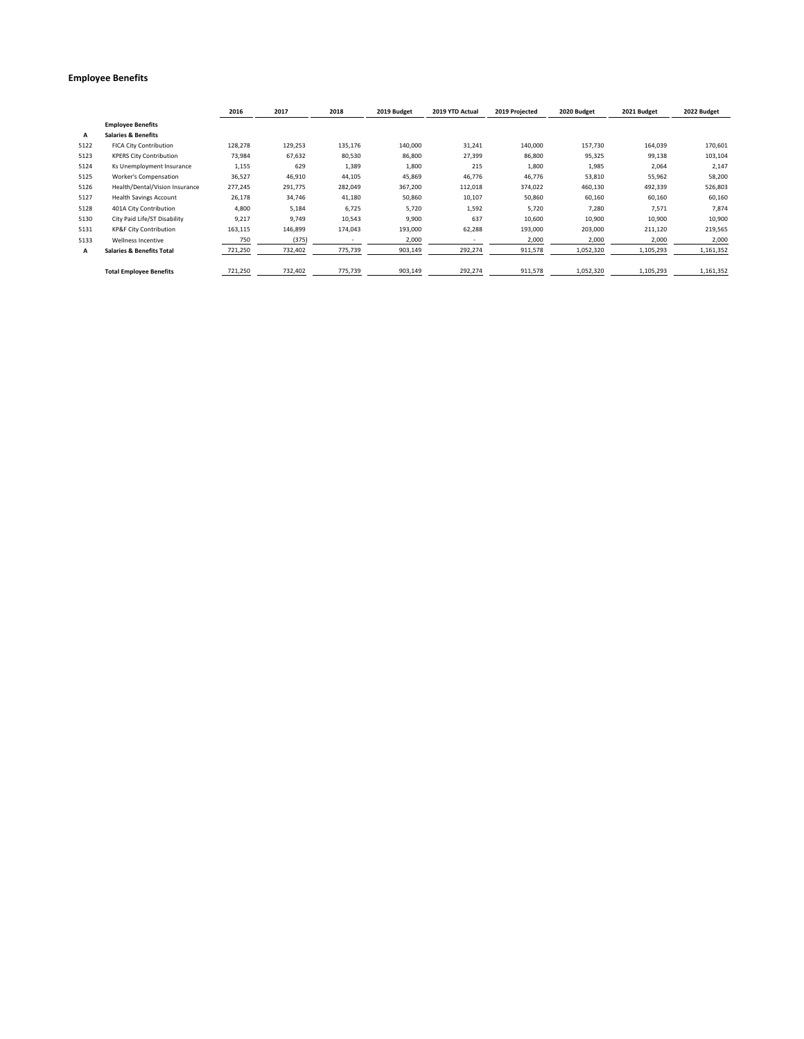#### **Employee Benefits**

|      |                                      | 2016    | 2017    | 2018    | 2019 Budget | 2019 YTD Actual | 2019 Projected | 2020 Budget | 2021 Budget | 2022 Budget |
|------|--------------------------------------|---------|---------|---------|-------------|-----------------|----------------|-------------|-------------|-------------|
|      | <b>Employee Benefits</b>             |         |         |         |             |                 |                |             |             |             |
| A    | <b>Salaries &amp; Benefits</b>       |         |         |         |             |                 |                |             |             |             |
| 5122 | <b>FICA City Contribution</b>        | 128,278 | 129,253 | 135,176 | 140,000     | 31,241          | 140,000        | 157,730     | 164,039     | 170,601     |
| 5123 | <b>KPERS City Contribution</b>       | 73,984  | 67,632  | 80,530  | 86,800      | 27,399          | 86,800         | 95,325      | 99,138      | 103,104     |
| 5124 | Ks Unemployment Insurance            | 1,155   | 629     | 1,389   | 1,800       | 215             | 1,800          | 1,985       | 2,064       | 2,147       |
| 5125 | <b>Worker's Compensation</b>         | 36,527  | 46,910  | 44,105  | 45,869      | 46,776          | 46,776         | 53,810      | 55,962      | 58,200      |
| 5126 | Health/Dental/Vision Insurance       | 277,245 | 291,775 | 282,049 | 367,200     | 112,018         | 374,022        | 460,130     | 492,339     | 526,803     |
| 5127 | <b>Health Savings Account</b>        | 26,178  | 34,746  | 41,180  | 50,860      | 10,107          | 50,860         | 60,160      | 60,160      | 60,160      |
| 5128 | 401A City Contribution               | 4,800   | 5,184   | 6,725   | 5,720       | 1,592           | 5,720          | 7,280       | 7,571       | 7,874       |
| 5130 | City Paid Life/ST Disability         | 9,217   | 9,749   | 10,543  | 9,900       | 637             | 10,600         | 10,900      | 10,900      | 10,900      |
| 5131 | <b>KP&amp;F City Contribution</b>    | 163,115 | 146,899 | 174,043 | 193,000     | 62,288          | 193,000        | 203,000     | 211,120     | 219,565     |
| 5133 | Wellness Incentive                   | 750     | (375)   |         | 2,000       |                 | 2,000          | 2,000       | 2,000       | 2,000       |
| A    | <b>Salaries &amp; Benefits Total</b> | 721,250 | 732,402 | 775,739 | 903,149     | 292,274         | 911,578        | 1,052,320   | 1,105,293   | 1,161,352   |
|      | <b>Total Employee Benefits</b>       | 721,250 | 732,402 | 775,739 | 903,149     | 292,274         | 911,578        | 1,052,320   | 1,105,293   | 1,161,352   |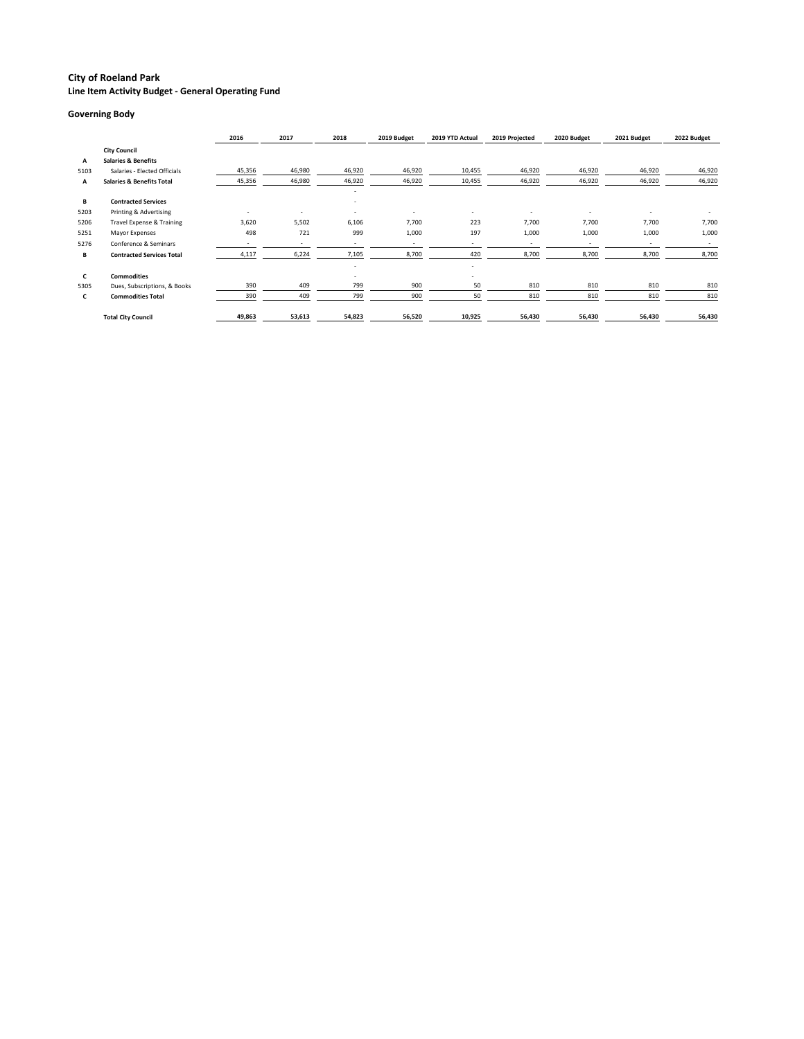**Line Item Activity Budget - General Operating Fund**

#### **Governing Body**

|      |                                      | 2016                     | 2017                     | 2018                                                 | 2019 Budget | 2019 YTD Actual          | 2019 Projected | 2020 Budget | 2021 Budget | 2022 Budget |
|------|--------------------------------------|--------------------------|--------------------------|------------------------------------------------------|-------------|--------------------------|----------------|-------------|-------------|-------------|
|      | <b>City Council</b>                  |                          |                          |                                                      |             |                          |                |             |             |             |
| Α    | <b>Salaries &amp; Benefits</b>       |                          |                          |                                                      |             |                          |                |             |             |             |
| 5103 | Salaries - Elected Officials         | 45,356                   | 46,980                   | 46,920                                               | 46,920      | 10,455                   | 46,920         | 46,920      | 46,920      | 46,920      |
| Α    | <b>Salaries &amp; Benefits Total</b> | 45,356                   | 46,980                   | 46,920                                               | 46,920      | 10,455                   | 46,920         | 46,920      | 46,920      | 46,920      |
| B    | <b>Contracted Services</b>           |                          |                          | $\overline{\phantom{a}}$<br>$\overline{\phantom{a}}$ |             |                          |                |             |             |             |
| 5203 | Printing & Advertising               | $\overline{\phantom{a}}$ | $\sim$                   | $\overline{\phantom{a}}$                             |             |                          |                |             |             |             |
| 5206 | Travel Expense & Training            | 3,620                    | 5,502                    | 6,106                                                | 7,700       | 223                      | 7,700          | 7,700       | 7,700       | 7,700       |
| 5251 | Mayor Expenses                       | 498                      | 721                      | 999                                                  | 1,000       | 197                      | 1,000          | 1,000       | 1,000       | 1,000       |
| 5276 | Conference & Seminars                |                          | $\overline{\phantom{a}}$ | $\overline{\phantom{a}}$                             |             | $\overline{\phantom{a}}$ |                |             |             |             |
| В    | <b>Contracted Services Total</b>     | 4,117                    | 6,224                    | 7,105                                                | 8,700       | 420                      | 8,700          | 8,700       | 8,700       | 8,700       |
|      |                                      |                          |                          | $\overline{\phantom{a}}$                             |             | $\overline{\phantom{a}}$ |                |             |             |             |
| C    | <b>Commodities</b>                   |                          |                          | $\overline{\phantom{0}}$                             |             |                          |                |             |             |             |
| 5305 | Dues, Subscriptions, & Books         | 390                      | 409                      | 799                                                  | 900         | 50                       | 810            | 810         | 810         | 810         |
| C    | <b>Commodities Total</b>             | 390                      | 409                      | 799                                                  | 900         | 50                       | 810            | 810         | 810         | 810         |
|      | <b>Total City Council</b>            | 49,863                   | 53,613                   | 54,823                                               | 56,520      | 10,925                   | 56,430         | 56,430      | 56,430      | 56,430      |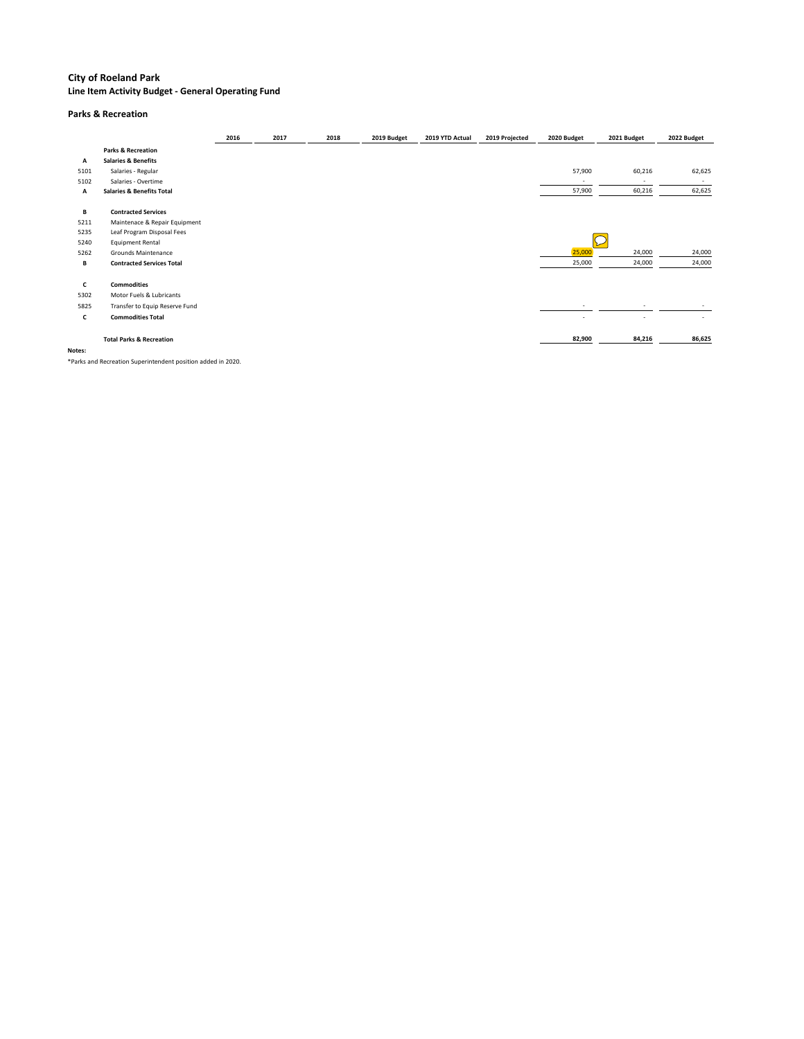**Line Item Activity Budget - General Operating Fund**

#### **Parks & Recreation**

|              |                                      | 2016 | 2017 | 2018 | 2019 Budget | 2019 YTD Actual | 2019 Projected | 2020 Budget | 2021 Budget | 2022 Budget              |
|--------------|--------------------------------------|------|------|------|-------------|-----------------|----------------|-------------|-------------|--------------------------|
|              | <b>Parks &amp; Recreation</b>        |      |      |      |             |                 |                |             |             |                          |
| Α            | <b>Salaries &amp; Benefits</b>       |      |      |      |             |                 |                |             |             |                          |
| 5101         | Salaries - Regular                   |      |      |      |             |                 |                | 57,900      | 60,216      | 62,625                   |
| 5102         | Salaries - Overtime                  |      |      |      |             |                 |                |             |             | $\sim$                   |
| Α            | <b>Salaries &amp; Benefits Total</b> |      |      |      |             |                 |                | 57,900      | 60,216      | 62,625                   |
| В            | <b>Contracted Services</b>           |      |      |      |             |                 |                |             |             |                          |
| 5211         | Maintenace & Repair Equipment        |      |      |      |             |                 |                |             |             |                          |
| 5235         | Leaf Program Disposal Fees           |      |      |      |             |                 |                |             |             |                          |
| 5240         | <b>Equipment Rental</b>              |      |      |      |             |                 |                |             |             |                          |
| 5262         | Grounds Maintenance                  |      |      |      |             |                 |                | 25,000      | 24,000      | 24,000                   |
| В            | <b>Contracted Services Total</b>     |      |      |      |             |                 |                | 25,000      | 24,000      | 24,000                   |
| $\mathsf{C}$ | <b>Commodities</b>                   |      |      |      |             |                 |                |             |             |                          |
| 5302         | Motor Fuels & Lubricants             |      |      |      |             |                 |                |             |             |                          |
| 5825         | Transfer to Equip Reserve Fund       |      |      |      |             |                 |                |             |             |                          |
| $\mathsf{C}$ | <b>Commodities Total</b>             |      |      |      |             |                 |                |             |             | $\overline{\phantom{a}}$ |
|              | <b>Total Parks &amp; Recreation</b>  |      |      |      |             |                 |                | 82,900      | 84,216      | 86,625                   |
| Notes:       |                                      |      |      |      |             |                 |                |             |             |                          |

\*Parks and Recreation Superintendent position added in 2020.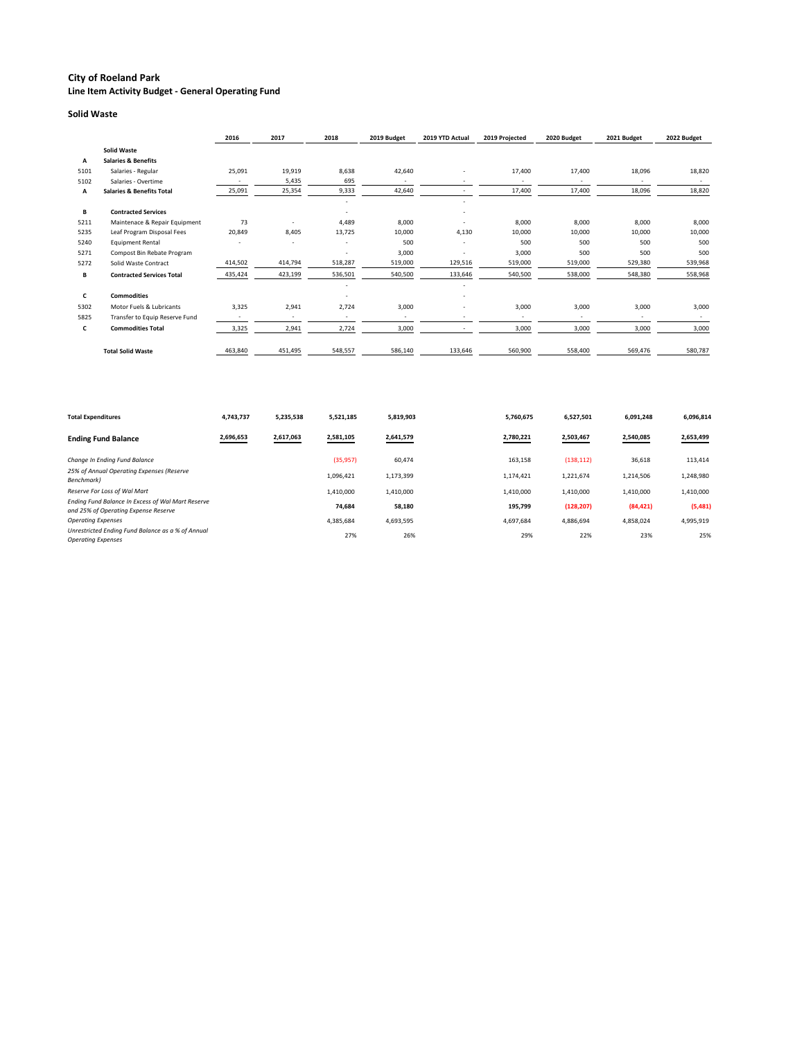**Line Item Activity Budget - General Operating Fund**

#### **Solid Waste**

|      |                                      | 2016    | 2017                     | 2018                     | 2019 Budget | 2019 YTD Actual | 2019 Projected | 2020 Budget | 2021 Budget | 2022 Budget |
|------|--------------------------------------|---------|--------------------------|--------------------------|-------------|-----------------|----------------|-------------|-------------|-------------|
|      | <b>Solid Waste</b>                   |         |                          |                          |             |                 |                |             |             |             |
| Α    | <b>Salaries &amp; Benefits</b>       |         |                          |                          |             |                 |                |             |             |             |
| 5101 | Salaries - Regular                   | 25,091  | 19,919                   | 8,638                    | 42,640      |                 | 17,400         | 17,400      | 18,096      | 18,820      |
| 5102 | Salaries - Overtime                  |         | 5,435                    | 695                      |             |                 |                |             |             |             |
| Α    | <b>Salaries &amp; Benefits Total</b> | 25,091  | 25,354                   | 9,333                    | 42,640      |                 | 17,400         | 17,400      | 18,096      | 18,820      |
|      |                                      |         |                          |                          |             |                 |                |             |             |             |
| В    | <b>Contracted Services</b>           |         |                          | $\overline{\phantom{a}}$ |             |                 |                |             |             |             |
| 5211 | Maintenace & Repair Equipment        | 73      |                          | 4,489                    | 8,000       |                 | 8,000          | 8,000       | 8,000       | 8,000       |
| 5235 | Leaf Program Disposal Fees           | 20,849  | 8,405                    | 13,725                   | 10,000      | 4,130           | 10,000         | 10,000      | 10,000      | 10,000      |
| 5240 | <b>Equipment Rental</b>              |         |                          | $\overline{\phantom{a}}$ | 500         |                 | 500            | 500         | 500         | 500         |
| 5271 | Compost Bin Rebate Program           |         |                          | $\overline{\phantom{a}}$ | 3,000       |                 | 3,000          | 500         | 500         | 500         |
| 5272 | Solid Waste Contract                 | 414,502 | 414,794                  | 518,287                  | 519,000     | 129,516         | 519,000        | 519,000     | 529,380     | 539,968     |
| В    | <b>Contracted Services Total</b>     | 435,424 | 423,199                  | 536,501                  | 540,500     | 133,646         | 540,500        | 538,000     | 548,380     | 558,968     |
|      |                                      |         |                          | $\overline{\phantom{a}}$ |             |                 |                |             |             |             |
| C    | <b>Commodities</b>                   |         |                          |                          |             |                 |                |             |             |             |
| 5302 | Motor Fuels & Lubricants             | 3,325   | 2,941                    | 2,724                    | 3,000       |                 | 3,000          | 3,000       | 3,000       | 3,000       |
| 5825 | Transfer to Equip Reserve Fund       |         | $\overline{\phantom{a}}$ |                          |             |                 |                |             |             |             |
| C    | <b>Commodities Total</b>             | 3,325   | 2,941                    | 2,724                    | 3,000       |                 | 3,000          | 3,000       | 3,000       | 3,000       |
|      | <b>Total Solid Waste</b>             | 463,840 | 451,495                  | 548,557                  | 586,140     | 133,646         | 560,900        | 558,400     | 569,476     | 580,787     |

| <b>Total Expenditures</b>                                                                        | 4,743,737 | 5,235,538 | 5,521,185 | 5,819,903 | 5,760,675 | 6,527,501  | 6,091,248 | 6,096,814 |
|--------------------------------------------------------------------------------------------------|-----------|-----------|-----------|-----------|-----------|------------|-----------|-----------|
| <b>Ending Fund Balance</b>                                                                       | 2,696,653 | 2,617,063 | 2,581,105 | 2,641,579 | 2,780,221 | 2,503,467  | 2,540,085 | 2,653,499 |
| Change In Ending Fund Balance                                                                    |           |           | (35, 957) | 60,474    | 163,158   | (138, 112) | 36,618    | 113,414   |
| 25% of Annual Operating Expenses (Reserve<br>Benchmark)                                          |           |           | 1,096,421 | 1,173,399 | 1,174,421 | 1,221,674  | 1,214,506 | 1,248,980 |
| Reserve For Loss of Wal Mart                                                                     |           |           | 1,410,000 | 1,410,000 | 1,410,000 | 1,410,000  | 1,410,000 | 1,410,000 |
| <b>Ending Fund Balance In Excess of Wal Mart Reserve</b><br>and 25% of Operating Expense Reserve |           |           | 74,684    | 58,180    | 195,799   | (128, 207) | (84, 421) | (5,481)   |
| <b>Operating Expenses</b>                                                                        |           |           | 4,385,684 | 4,693,595 | 4,697,684 | 4,886,694  | 4,858,024 | 4,995,919 |
| Unrestricted Ending Fund Balance as a % of Annual<br><b>Operating Expenses</b>                   |           |           | 27%       | 26%       | 29%       | 22%        | 23%       | 25%       |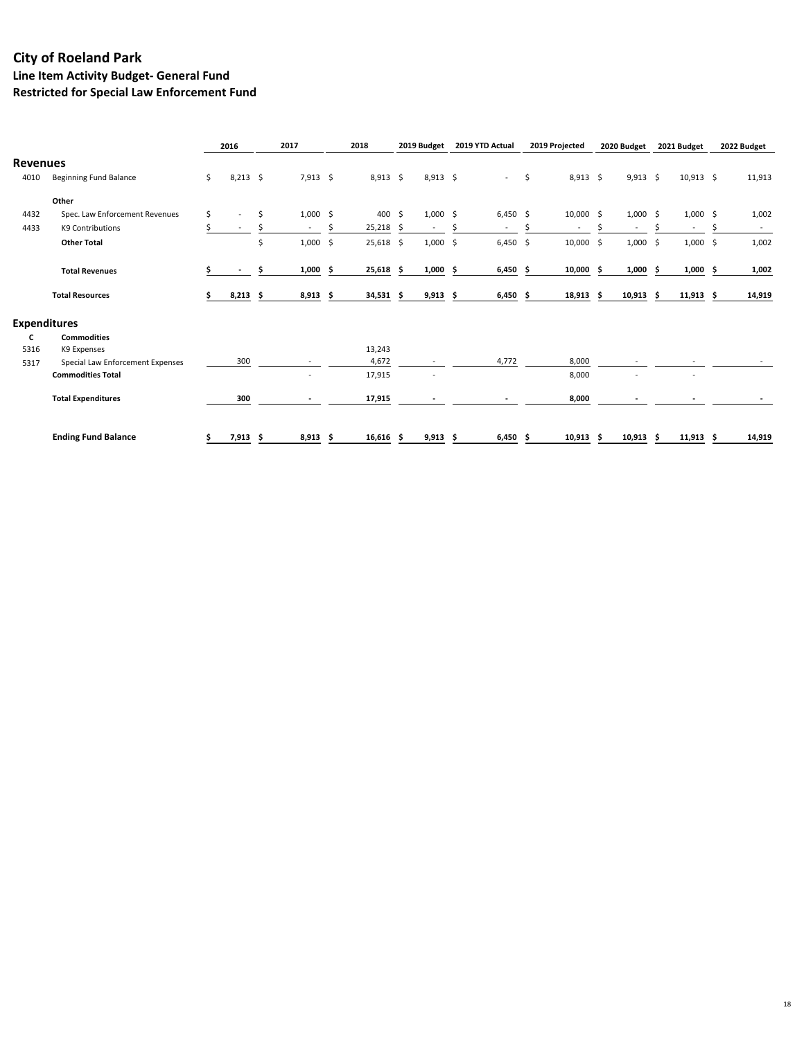**Line Item Activity Budget- General Fund**

**Restricted for Special Law Enforcement Fund**

|                     |                                  | 2016                           | 2017             |    | 2018        |    | 2019 Budget              | 2019 YTD Actual  |     | 2019 Projected | 2020 Budget              |     | 2021 Budget | 2022 Budget |
|---------------------|----------------------------------|--------------------------------|------------------|----|-------------|----|--------------------------|------------------|-----|----------------|--------------------------|-----|-------------|-------------|
| <b>Revenues</b>     |                                  |                                |                  |    |             |    |                          |                  |     |                |                          |     |             |             |
| 4010                | <b>Beginning Fund Balance</b>    | \$<br>$8,213$ \$               | $7,913$ \$       |    | $8,913$ \$  |    | $8,913$ \$               | $\sim$           | \$  | $8,913$ \$     | $9,913$ \$               |     | $10,913$ \$ | 11,913      |
|                     | Other                            |                                |                  |    |             |    |                          |                  |     |                |                          |     |             |             |
| 4432                | Spec. Law Enforcement Revenues   | \$<br>$\overline{\phantom{a}}$ | \$<br>$1,000$ \$ |    | 400 \$      |    | $1,000 \leq$             | $6,450$ \$       |     | $10,000$ \$    | $1,000 \leq$             |     | $1,000$ \$  | 1,002       |
| 4433                | K9 Contributions                 |                                | $\blacksquare$   |    | 25,218      | -S | $\overline{\phantom{a}}$ | $\sim$           |     |                | $\overline{\phantom{a}}$ |     | $\sim$      | $\sim$      |
|                     | <b>Other Total</b>               |                                | \$<br>1,000      | \$ | $25,618$ \$ |    | 1,000                    | \$<br>$6,450$ \$ |     | $10,000$ \$    | $1,000$ \$               |     | $1,000$ \$  | 1,002       |
|                     | <b>Total Revenues</b>            |                                | $1,000$ \$       |    | $25,618$ \$ |    | $1,000$ \$               | 6,450            | - S | $10,000$ \$    | $1,000$ \$               |     | $1,000$ \$  | 1,002       |
|                     | <b>Total Resources</b>           | $8,213$ \$                     | $8,913$ \$       |    | $34,531$ \$ |    | $9,913$ \$               | $6,450$ \$       |     | $18,913$ \$    | $10,913$ \$              |     | $11,913$ \$ | 14,919      |
| <b>Expenditures</b> |                                  |                                |                  |    |             |    |                          |                  |     |                |                          |     |             |             |
| C                   | <b>Commodities</b>               |                                |                  |    |             |    |                          |                  |     |                |                          |     |             |             |
| 5316                | K9 Expenses                      |                                |                  |    | 13,243      |    |                          |                  |     |                |                          |     |             |             |
| 5317                | Special Law Enforcement Expenses | 300                            |                  |    | 4,672       |    |                          | 4,772            |     | 8,000          |                          |     |             |             |
|                     | <b>Commodities Total</b>         |                                |                  |    | 17,915      |    |                          |                  |     | 8,000          |                          |     |             |             |
|                     | <b>Total Expenditures</b>        | 300                            |                  |    | 17,915      |    |                          |                  |     | 8,000          |                          |     |             |             |
|                     | <b>Ending Fund Balance</b>       | $7,913$ \$                     | 8,913            | -S | $16,616$ \$ |    | $9,913$ \$               | $6,450$ \$       |     | $10,913$ \$    | 10,913                   | - S | $11,913$ \$ | 14,919      |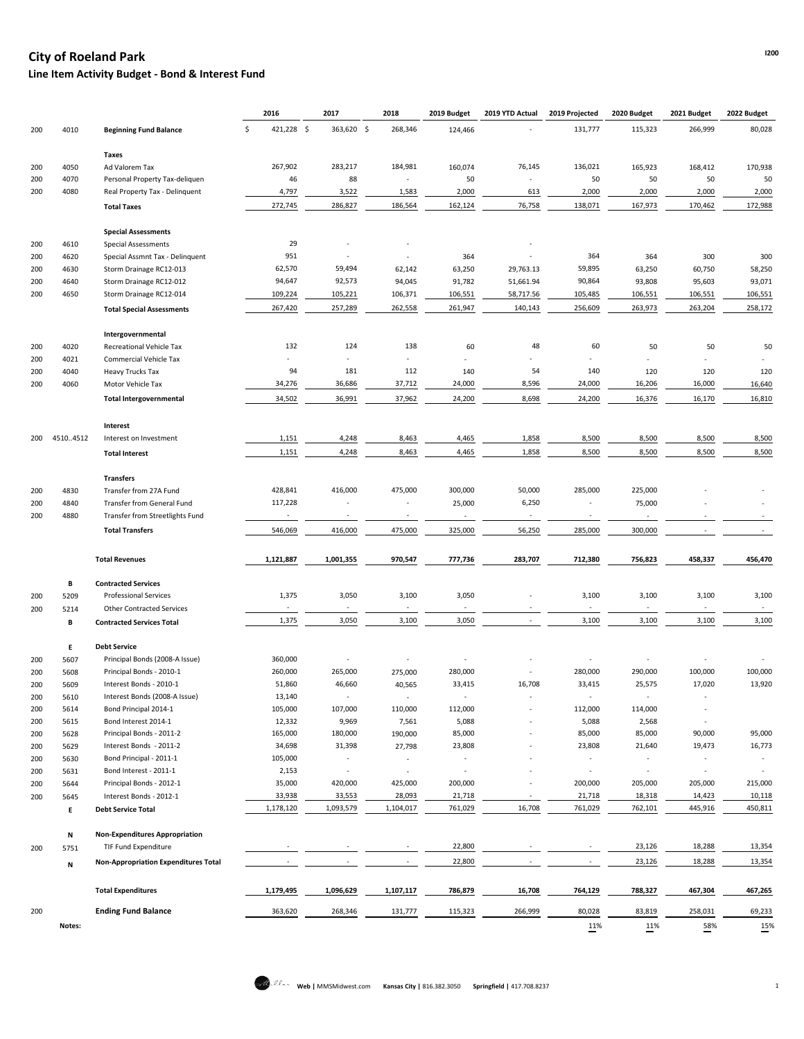## **I200 City of Roeland Park**

**Line Item Activity Budget - Bond & Interest Fund**

|     |           |                                             | 2016             | 2017                     | 2018           | 2019 Budget              | 2019 YTD Actual          | 2019 Projected           | 2020 Budget              | 2021 Budget              | 2022 Budget    |
|-----|-----------|---------------------------------------------|------------------|--------------------------|----------------|--------------------------|--------------------------|--------------------------|--------------------------|--------------------------|----------------|
| 200 | 4010      | <b>Beginning Fund Balance</b>               | 421,228 \$<br>\$ | 363,620 \$               | 268,346        | 124,466                  |                          | 131,777                  | 115,323                  | 266,999                  | 80,028         |
|     |           | Taxes                                       |                  |                          |                |                          |                          |                          |                          |                          |                |
| 200 | 4050      | Ad Valorem Tax                              | 267,902          | 283,217                  | 184,981        | 160,074                  | 76,145                   | 136,021                  | 165,923                  | 168,412                  | 170,938        |
| 200 | 4070      | Personal Property Tax-deliquen              | 46               | 88                       |                | 50                       |                          | 50                       | 50                       | 50                       | 50             |
| 200 | 4080      | Real Property Tax - Delinquent              | 4,797            | 3,522                    | 1,583          | 2,000                    | 613                      | 2,000                    | 2,000                    | 2,000                    | 2,000          |
|     |           | <b>Total Taxes</b>                          | 272,745          | 286,827                  | 186,564        | 162,124                  | 76,758                   | 138,071                  | 167,973                  | 170,462                  | 172,988        |
|     |           |                                             |                  |                          |                |                          |                          |                          |                          |                          |                |
|     |           | <b>Special Assessments</b>                  |                  |                          |                |                          |                          |                          |                          |                          |                |
| 200 | 4610      | <b>Special Assessments</b>                  | 29               |                          |                |                          |                          |                          |                          |                          |                |
| 200 | 4620      | Special Assmnt Tax - Delinquent             | 951              |                          |                | 364                      |                          | 364                      | 364                      | 300                      | 300            |
| 200 | 4630      | Storm Drainage RC12-013                     | 62,570           | 59,494                   | 62,142         | 63,250                   | 29,763.13                | 59,895                   | 63,250                   | 60,750                   | 58,250         |
| 200 | 4640      | Storm Drainage RC12-012                     | 94,647           | 92,573                   | 94,045         | 91,782                   | 51,661.94                | 90,864                   | 93,808                   | 95,603                   | 93,071         |
| 200 | 4650      | Storm Drainage RC12-014                     | 109,224          | 105,221                  | 106,371        | 106,551                  | 58,717.56                | 105,485                  | 106,551                  | 106,551                  | 106,551        |
|     |           | <b>Total Special Assessments</b>            | 267,420          | 257,289                  | 262,558        | 261,947                  | 140,143                  | 256,609                  | 263,973                  | 263,204                  | 258,172        |
|     |           | Intergovernmental                           |                  |                          |                |                          |                          |                          |                          |                          |                |
| 200 | 4020      | Recreational Vehicle Tax                    | 132              | 124                      | 138            | 60                       | 48                       | 60                       | 50                       | 50                       | 50             |
| 200 | 4021      | <b>Commercial Vehicle Tax</b>               |                  |                          |                |                          |                          |                          |                          |                          |                |
| 200 | 4040      | <b>Heavy Trucks Tax</b>                     | 94               | 181                      | 112            | 140                      | 54                       | 140                      | 120                      | 120                      | 120            |
| 200 | 4060      | Motor Vehicle Tax                           | 34,276           | 36,686                   | 37,712         | 24,000                   | 8,596                    | 24,000                   | 16,206                   | 16,000                   | 16,640         |
|     |           | <b>Total Intergovernmental</b>              | 34,502           | 36,991                   | 37,962         | 24,200                   | 8,698                    | 24,200                   | 16,376                   | 16,170                   | 16,810         |
|     |           |                                             |                  |                          |                |                          |                          |                          |                          |                          |                |
|     |           | Interest                                    |                  |                          |                |                          |                          |                          |                          |                          |                |
| 200 | 4510.4512 | Interest on Investment                      | 1,151            | 4,248                    | 8,463          | 4,465                    | 1,858                    | 8,500                    | 8,500                    | 8,500                    | 8,500          |
|     |           | <b>Total Interest</b>                       | 1,151            | 4,248                    | 8,463          | 4,465                    | 1,858                    | 8,500                    | 8,500                    | 8,500                    | 8,500          |
|     |           | <b>Transfers</b>                            |                  |                          |                |                          |                          |                          |                          |                          |                |
| 200 | 4830      | Transfer from 27A Fund                      | 428,841          | 416,000                  | 475,000        | 300,000                  | 50,000                   | 285,000                  | 225,000                  |                          |                |
| 200 | 4840      | <b>Transfer from General Fund</b>           | 117,228          |                          |                | 25,000                   | 6,250                    |                          | 75,000                   |                          |                |
| 200 | 4880      | Transfer from Streetlights Fund             | $\sim$           | $\overline{\phantom{a}}$ | $\sim$         | $\sim$                   | $\sim$                   | $\overline{\phantom{a}}$ | $\sim$                   |                          |                |
|     |           | <b>Total Transfers</b>                      | 546,069          | 416,000                  | 475,000        | 325,000                  | 56,250                   | 285,000                  | 300,000                  |                          |                |
|     |           |                                             |                  |                          |                |                          |                          |                          |                          |                          |                |
|     |           | <b>Total Revenues</b>                       | 1,121,887        | 1,001,355                | 970,547        | 777,736                  | 283,707                  | 712,380                  | 756,823                  | 458,337                  | 456,470        |
|     | В         | <b>Contracted Services</b>                  |                  |                          |                |                          |                          |                          |                          |                          |                |
| 200 | 5209      | <b>Professional Services</b>                | 1,375            | 3,050                    | 3,100          | 3,050                    |                          | 3,100                    | 3,100                    | 3,100                    | 3,100          |
| 200 | 5214      | <b>Other Contracted Services</b>            | $\sim$           |                          | $\blacksquare$ | $\overline{\phantom{a}}$ |                          | $\blacksquare$           | $\overline{\phantom{a}}$ |                          | $\sim$         |
|     | В         | <b>Contracted Services Total</b>            | 1,375            | 3,050                    | 3,100          | 3,050                    |                          | 3,100                    | 3,100                    | 3,100                    | 3,100          |
|     | E.        | <b>Debt Service</b>                         |                  |                          |                |                          |                          |                          |                          |                          |                |
| 200 | 5607      | Principal Bonds (2008-A Issue)              | 360,000          | $\blacksquare$           |                |                          |                          |                          | $\overline{\phantom{a}}$ |                          |                |
| 200 | 5608      | Principal Bonds - 2010-1                    | 260,000          | 265,000                  | 275,000        | 280,000                  |                          | 280,000                  | 290,000                  | 100,000                  | 100,000        |
| 200 | 5609      | Interest Bonds - 2010-1                     | 51,860           | 46,660                   | 40,565         | 33,415                   | 16,708                   | 33,415                   | 25,575                   | 17,020                   | 13,920         |
| 200 | 5610      | Interest Bonds (2008-A Issue)               | 13,140           |                          | $\blacksquare$ |                          |                          |                          |                          |                          |                |
| 200 | 5614      | Bond Principal 2014-1                       | 105,000          | 107,000                  | 110,000        | 112,000                  |                          | 112,000                  | 114,000                  |                          |                |
| 200 | 5615      | Bond Interest 2014-1                        | 12,332           | 9,969                    | 7,561          | 5,088                    |                          | 5,088                    | 2,568                    | $\overline{\phantom{a}}$ |                |
| 200 | 5628      | Principal Bonds - 2011-2                    | 165,000          | 180,000                  | 190,000        | 85,000                   |                          | 85,000                   | 85,000                   | 90,000                   | 95,000         |
| 200 | 5629      | Interest Bonds - 2011-2                     | 34,698           | 31,398                   | 27,798         | 23,808                   |                          | 23,808                   | 21,640                   | 19,473                   | 16,773         |
| 200 | 5630      | Bond Principal - 2011-1                     | 105,000          |                          |                |                          |                          |                          |                          |                          |                |
| 200 | 5631      | Bond Interest - 2011-1                      | 2,153            |                          |                |                          |                          |                          |                          |                          |                |
| 200 | 5644      | Principal Bonds - 2012-1                    | 35,000           | 420,000                  | 425,000        | 200,000                  |                          | 200,000                  | 205,000                  | 205,000                  | 215,000        |
| 200 | 5645      | Interest Bonds - 2012-1                     | 33,938           | 33,553                   | 28,093         | 21,718                   |                          | 21,718                   | 18,318                   | 14,423                   | 10,118         |
|     | E.        | <b>Debt Service Total</b>                   | 1,178,120        | 1,093,579                | 1,104,017      | 761,029                  | 16,708                   | 761,029                  | 762,101                  | 445,916                  | 450,811        |
|     | N         | <b>Non-Expenditures Appropriation</b>       |                  |                          |                |                          |                          |                          |                          |                          |                |
| 200 | 5751      | TIF Fund Expenditure                        |                  |                          |                | 22,800                   | $\overline{\phantom{a}}$ |                          | 23,126                   | 18,288                   | 13,354         |
|     | N         | <b>Non-Appropriation Expenditures Total</b> |                  |                          |                | 22,800                   |                          |                          | 23,126                   | 18,288                   | 13,354         |
|     |           |                                             |                  |                          |                |                          |                          |                          |                          |                          |                |
|     |           | <b>Total Expenditures</b>                   | 1,179,495        | 1,096,629                | 1,107,117      | 786,879                  | 16,708                   | 764,129                  | 788,327                  | 467,304                  | 467,265        |
| 200 |           | <b>Ending Fund Balance</b>                  | 363,620          | 268,346                  | 131,777        | 115,323                  | 266,999                  | 80,028                   | 83,819                   | 258,031                  | 69,233         |
|     | Notes:    |                                             |                  |                          |                |                          |                          | $\frac{11\%}{1}$         |                          | $\frac{58\%}{2}$         | $\frac{15}{1}$ |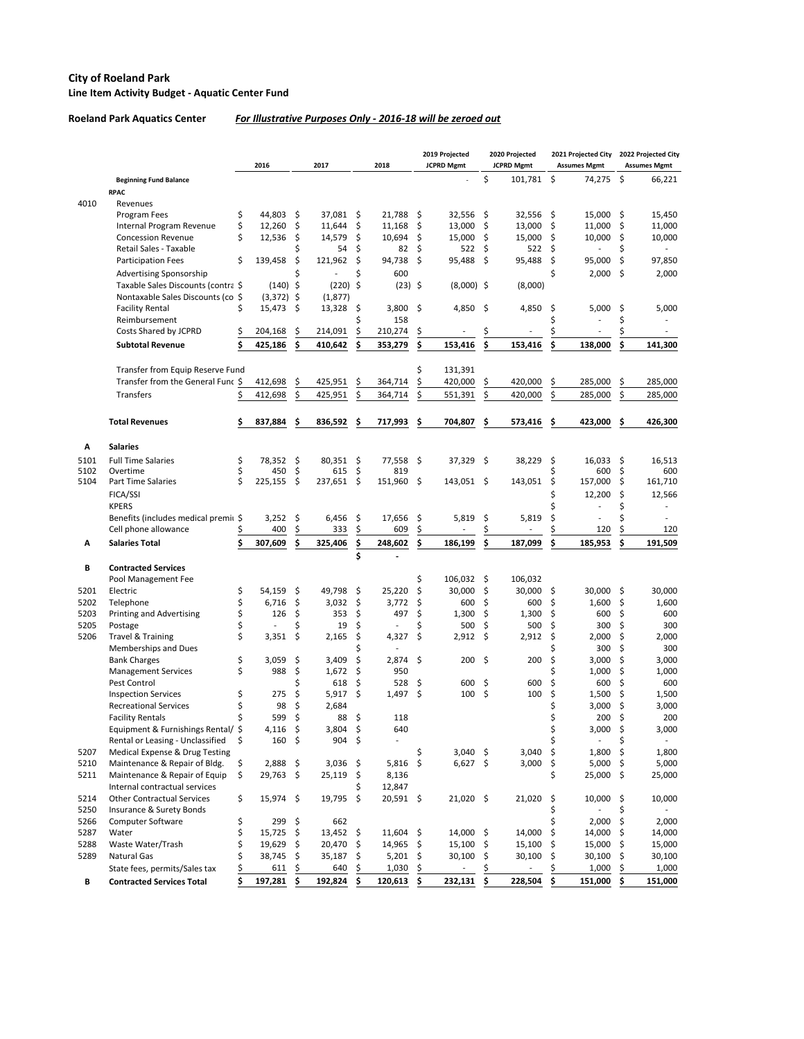#### **City of Roeland Park Line Item Activity Budget - Aquatic Center Fund**

#### **Roeland Park Aquatics Center** *For Illustrative Purposes Only - 2016-18 will be zeroed out*

|              |                                       |          | 2016          |                    | 2017          |           | 2018               |         | 2019 Projected<br><b>JCPRD Mgmt</b> |      | 2020 Projected<br><b>JCPRD Mgmt</b> |      | 2021 Projected City<br><b>Assumes Mgmt</b> |           | 2022 Projected City<br><b>Assumes Mgmt</b> |
|--------------|---------------------------------------|----------|---------------|--------------------|---------------|-----------|--------------------|---------|-------------------------------------|------|-------------------------------------|------|--------------------------------------------|-----------|--------------------------------------------|
|              | <b>Beginning Fund Balance</b>         |          |               |                    |               |           |                    |         |                                     | \$   | 101,781                             | \$   | 74,275                                     | \$        | 66,221                                     |
|              | <b>RPAC</b>                           |          |               |                    |               |           |                    |         |                                     |      |                                     |      |                                            |           |                                            |
| 4010         | Revenues                              |          |               |                    |               |           |                    |         |                                     |      |                                     |      |                                            |           |                                            |
|              | Program Fees                          | \$       | 44,803        | -\$                | 37,081        | Ŝ.        | 21,788             | - \$    | 32,556                              | -\$  | 32,556                              | - \$ | 15,000                                     | - Ś       | 15,450                                     |
|              | Internal Program Revenue              | \$       | 12,260        | \$                 | 11,644        | \$        | 11,168             | -\$     | 13,000                              | \$   | 13,000                              | \$   | 11,000                                     | \$        | 11,000                                     |
|              | <b>Concession Revenue</b>             | \$       | 12,536        | \$                 | 14,579        | \$        | 10,694             | \$      | 15,000                              | \$   | 15,000                              | \$   | 10,000                                     | \$        | 10,000                                     |
|              | Retail Sales - Taxable                |          |               | Ś                  | 54            | \$        | 82                 | \$      | 522                                 | \$   | 522                                 | \$   |                                            | \$        |                                            |
|              | <b>Participation Fees</b>             | \$       | 139,458       | \$                 | 121,962       | \$        | 94,738             | -\$     | 95,488                              | \$   | 95,488                              | \$   | 95,000                                     | \$        | 97,850                                     |
|              | <b>Advertising Sponsorship</b>        |          |               | Ś                  |               | Ś         | 600                |         |                                     |      |                                     | \$   | 2,000                                      | \$        | 2,000                                      |
|              | Taxable Sales Discounts (contra \$    |          | $(140)$ \$    |                    | (220)         | $\zeta$   | $(23)$ \$          |         | $(8,000)$ \$                        |      | (8,000)                             |      |                                            |           |                                            |
|              | Nontaxable Sales Discounts (co \$     |          | $(3,372)$ \$  |                    | (1,877)       |           |                    |         |                                     |      |                                     |      |                                            |           |                                            |
|              | <b>Facility Rental</b>                | \$       | 15,473        | -\$                | 13,328        | \$,       | $3,800$ \$         |         | 4,850                               | -\$  | 4,850                               | \$   | 5,000                                      | S         | 5,000                                      |
|              | Reimbursement                         |          |               |                    |               | Ś         | 158                |         |                                     |      |                                     |      |                                            | Ś         |                                            |
|              | Costs Shared by JCPRD                 | Ś.       | 204,168       | .S                 | 214,091       | \$        | 210,274            | \$      |                                     |      |                                     |      |                                            |           |                                            |
|              | <b>Subtotal Revenue</b>               | \$       | 425,186       | Ŝ                  | 410,642       |           | 353,279            | \$      | 153,416                             | \$   | 153,416                             | \$   | 138,000                                    | \$        | 141,300                                    |
|              |                                       |          |               |                    |               |           |                    |         |                                     |      |                                     |      |                                            |           |                                            |
|              | Transfer from Equip Reserve Fund      |          |               |                    |               |           |                    | Ś       | 131,391                             |      |                                     |      |                                            |           |                                            |
|              | Transfer from the General Func \$     |          | 412,698       | \$                 | 425,951       | \$        | 364,714            | \$      | 420,000                             | \$   | 420,000                             | \$   | 285,000                                    | \$        | 285,000                                    |
|              | Transfers                             |          | 412,698       | \$                 | 425,951       | \$        | 364,714            | \$      | 551,391                             | \$   | 420,000                             | \$   | 285,000                                    | \$        | 285,000                                    |
|              | <b>Total Revenues</b>                 | \$       | 837,884       | <b>S</b>           | 836,592       | -S        | 717,993            | -S      | 704,807                             | \$.  | 573,416                             | \$   | 423,000                                    | Ŝ         | 426,300                                    |
|              |                                       |          |               |                    |               |           |                    |         |                                     |      |                                     |      |                                            |           |                                            |
| Α            | <b>Salaries</b>                       |          |               |                    |               |           |                    |         |                                     |      |                                     |      |                                            |           |                                            |
| 5101<br>5102 | <b>Full Time Salaries</b><br>Overtime | \$<br>\$ | 78,352<br>450 | \$<br>\$           | 80,351<br>615 | -\$<br>\$ | $77,558$ \$<br>819 |         | 37,329 \$                           |      | 38,229                              | \$   | 16,033<br>600                              | -\$<br>\$ | 16,513<br>600                              |
| 5104         | <b>Part Time Salaries</b>             | \$       | 225,155       | \$                 | 237,651       | \$        | 151,960 \$         |         | 143,051 \$                          |      | 143,051                             | \$   | 157,000                                    | Ŝ.        | 161,710                                    |
|              |                                       |          |               |                    |               |           |                    |         |                                     |      |                                     |      |                                            |           |                                            |
|              | FICA/SSI                              |          |               |                    |               |           |                    |         |                                     |      |                                     |      | 12,200                                     | \$        | 12,566                                     |
|              | <b>KPERS</b>                          |          |               |                    |               |           |                    |         |                                     |      |                                     |      |                                            | Ś         |                                            |
|              | Benefits (includes medical premit \$  |          | 3,252         | \$                 | 6,456         | \$,       | 17,656             | -\$     | 5,819                               | \$   | 5,819                               | \$   |                                            |           |                                            |
|              | Cell phone allowance                  |          | 400           | \$                 | 333           | \$        | 609                | \$      |                                     |      |                                     |      | 120                                        | \$        | 120                                        |
| A            | <b>Salaries Total</b>                 |          | 307,609       | Ś                  | 325,406       | \$.<br>Ś  | 248,602            | \$.     | 186,199                             | \$   | 187,099                             | Ś    | 185,953                                    | \$        | 191,509                                    |
| В            | <b>Contracted Services</b>            |          |               |                    |               |           |                    |         |                                     |      |                                     |      |                                            |           |                                            |
|              | Pool Management Fee                   |          |               |                    |               |           |                    | \$      | 106,032                             | -\$  | 106,032                             |      |                                            |           |                                            |
| 5201         | Electric                              | \$       | 54,159        | \$                 | 49,798        | \$        | 25,220             | \$      | 30,000                              | \$   | 30,000                              | \$.  | 30,000                                     | -\$       | 30,000                                     |
| 5202         | Telephone                             | \$       | 6,716         | \$                 | 3,032         | \$        | 3,772              | -\$     | 600                                 | \$   | 600                                 | \$   | 1,600                                      | Ŝ.        | 1,600                                      |
| 5203         | <b>Printing and Advertising</b>       | \$       | 126           | \$                 | 353           | \$        | 497                | \$      | 1,300                               | \$   | 1,300                               | \$   | 600                                        | Ŝ         | 600                                        |
| 5205         | Postage                               | \$       |               | \$                 | 19            | \$        |                    | \$      | 500                                 | \$   | 500                                 | \$   | 300                                        | Ŝ         | 300                                        |
| 5206         | <b>Travel &amp; Training</b>          | \$       | 3,351         | \$                 | 2,165         | \$        | 4,327              | $\zeta$ | 2,912                               | \$   | 2,912                               | \$   | 2,000                                      | \$        | 2,000                                      |
|              | Memberships and Dues                  |          |               |                    |               | Ś         |                    |         |                                     |      |                                     |      | 300                                        | \$        | 300                                        |
|              | <b>Bank Charges</b>                   | \$       | 3,059         | \$                 | 3,409         | \$        | $2,874$ \$         |         | 200                                 | \$   | 200                                 | \$   | 3,000                                      | \$        | 3,000                                      |
|              | <b>Management Services</b>            | \$       | 988           | \$                 | 1,672         | \$        | 950                |         |                                     |      |                                     | Ś    | 1,000                                      | Ŝ.        | 1,000                                      |
|              | Pest Control                          |          |               | Ś                  | 618           | \$        | 528                | - \$    | 600                                 | - \$ | 600                                 | \$   | 600                                        | Ś.        | 600                                        |
|              | <b>Inspection Services</b>            | \$       | 275           | \$                 | 5,917         | \$        | 1,497              | \$      | 100                                 | \$   | 100                                 | \$   | 1,500                                      | \$        | 1,500                                      |
|              | <b>Recreational Services</b>          | \$       | 98            | \$                 | 2,684         |           |                    |         |                                     |      |                                     | \$   | 3,000                                      | \$        | 3,000                                      |
|              | <b>Facility Rentals</b>               |          | 599           | \$                 | 88            | \$        | 118                |         |                                     |      |                                     |      | 200                                        | \$        | 200                                        |
|              | Equipment & Furnishings Rental/ \$    |          | 4,116         | \$                 | 3,804         | \$        | 640                |         |                                     |      |                                     |      | 3,000                                      | \$        | 3,000                                      |
|              | Rental or Leasing - Unclassified      | \$       | 160           | \$                 | 904           | \$        |                    |         |                                     |      |                                     |      |                                            | \$        |                                            |
| 5207         | Medical Expense & Drug Testing        |          |               |                    |               |           |                    | \$      | $3,040$ \$                          |      | 3,040                               | \$   | 1,800                                      | \$        | 1,800                                      |
| 5210         | Maintenance & Repair of Bldg.         | \$       | 2,888         | \$                 | 3,036         | \$        | $5,816$ \$         |         | 6,627                               | \$   | 3,000                               | \$   | 5,000                                      | \$        | 5,000                                      |
| 5211         | Maintenance & Repair of Equip         | \$       | 29,763        | $\ddot{\varsigma}$ | 25,119        | \$        | 8,136              |         |                                     |      |                                     | \$   | 25,000                                     | \$        | 25,000                                     |
|              | Internal contractual services         |          |               |                    |               | Ś         | 12,847             |         |                                     |      |                                     |      |                                            |           |                                            |
| 5214         | <b>Other Contractual Services</b>     | \$       | 15,974        | -\$                | 19,795        | \$        | 20,591 \$          |         | 21,020 \$                           |      | 21,020                              | \$   | 10,000                                     | \$        | 10,000                                     |
| 5250         | Insurance & Surety Bonds              |          |               |                    |               |           |                    |         |                                     |      |                                     | \$   |                                            | \$        |                                            |
| 5266         | Computer Software                     | \$       | 299           | \$                 | 662           |           |                    |         |                                     |      |                                     |      | 2,000                                      | \$        | 2,000                                      |
| 5287         | Water                                 | \$       | 15,725        | \$                 | 13,452        | \$        | 11,604 \$          |         | 14,000                              | \$   | 14,000                              | \$   | 14,000                                     | \$        | 14,000                                     |
| 5288         | Waste Water/Trash                     | \$       | 19,629        | \$                 | 20,470        | \$        | 14,965             | \$      | 15,100                              | \$   | 15,100                              | \$   | 15,000                                     | \$        | 15,000                                     |
| 5289         | <b>Natural Gas</b>                    | \$       | 38,745        | \$.                | 35,187        | \$        | 5,201              | \$      | 30,100                              | \$,  | 30,100                              | \$,  | 30,100                                     | \$        | 30,100                                     |
|              | State fees, permits/Sales tax         | \$       | 611           | \$                 | 640           | \$        | 1,030              | \$      | $\overline{\phantom{a}}$            | \$   |                                     | Ś    | 1,000                                      | \$        | 1,000                                      |
| В            | <b>Contracted Services Total</b>      | \$       | 197,281       | -S                 | 192,824       | \$        | 120,613            | \$.     | 232,131                             | \$   | 228,504                             | \$.  | 151,000                                    | \$.       | 151,000                                    |
|              |                                       |          |               |                    |               |           |                    |         |                                     |      |                                     |      |                                            |           |                                            |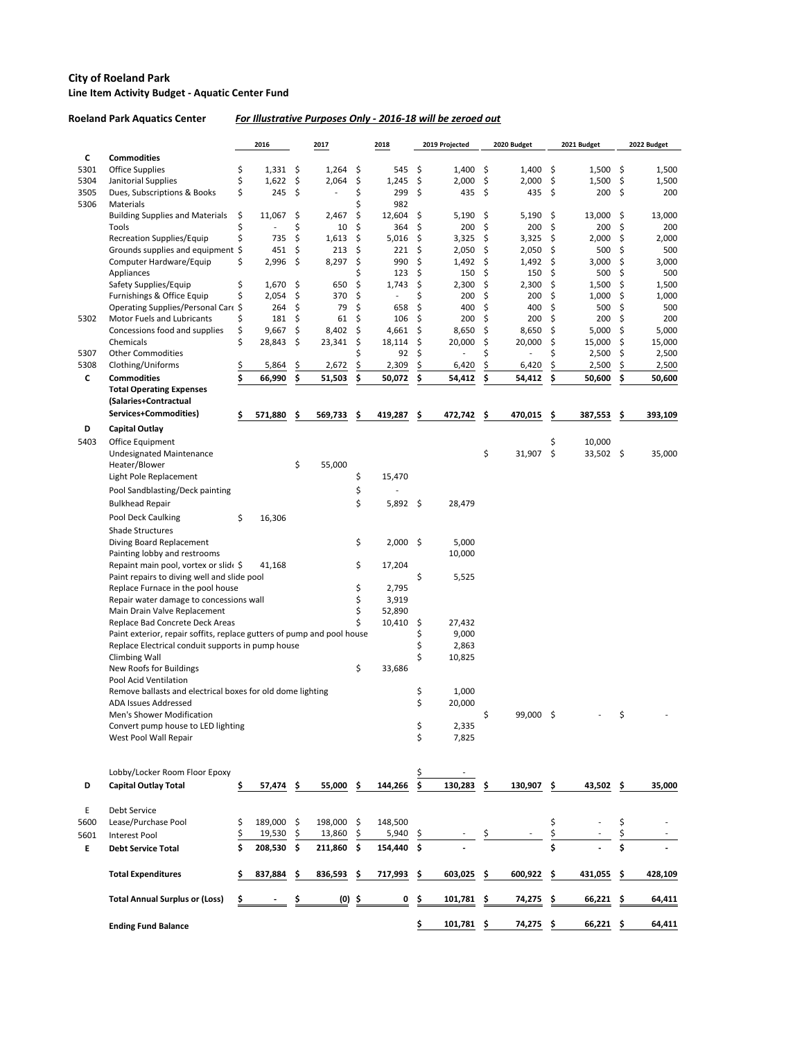#### **City of Roeland Park Line Item Activity Budget - Aquatic Center Fund**

## **Roeland Park Aquatics Center** *For Illustrative Purposes Only - 2016-18 will be zeroed out*

|      |                                                                                                           |          | 2016            |          | 2017            |          | 2018            |           | 2019 Projected  |          | 2020 Budget     |          | 2021 Budget     |          | 2022 Budget     |
|------|-----------------------------------------------------------------------------------------------------------|----------|-----------------|----------|-----------------|----------|-----------------|-----------|-----------------|----------|-----------------|----------|-----------------|----------|-----------------|
| C    | <b>Commodities</b>                                                                                        |          |                 |          |                 |          |                 |           |                 |          |                 |          |                 |          |                 |
| 5301 | <b>Office Supplies</b>                                                                                    | \$       | 1,331           | \$       | 1,264           | \$       | 545             | \$        | 1,400           | \$       | 1,400           | \$       | 1,500           | \$       | 1,500           |
| 5304 | Janitorial Supplies                                                                                       | \$       | 1,622           | \$       | 2,064           | \$       | 1,245           | \$        | 2,000           | \$       | 2,000           | \$       | 1,500           | \$       | 1,500           |
| 3505 | Dues, Subscriptions & Books                                                                               | \$       | 245             | \$       |                 | \$       | 299             | \$        | 435             | \$       | 435             | \$       | 200             | \$       | 200             |
| 5306 | Materials                                                                                                 |          |                 |          |                 |          | 982             |           |                 |          |                 |          |                 |          |                 |
|      | <b>Building Supplies and Materials</b><br>Tools                                                           | \$<br>\$ | 11,067          | \$<br>\$ | 2,467<br>10     | \$<br>\$ | 12,604<br>364   | \$<br>\$. | 5,190<br>200    | \$<br>\$ | 5,190<br>200    | \$<br>\$ | 13,000<br>200   | \$<br>Ŝ. | 13,000<br>200   |
|      | Recreation Supplies/Equip                                                                                 |          | 735             | \$       | 1,613           | \$       | 5,016           | \$        | 3,325           | \$       | 3,325           | \$       | 2,000           | \$       | 2,000           |
|      | Grounds supplies and equipment                                                                            | Ŝ        | 451             | \$       | 213             | \$       | 221             | \$        | 2,050           | \$       | 2,050           | \$       | 500             | \$       | 500             |
|      | Computer Hardware/Equip                                                                                   | \$       | 2,996           | \$       | 8,297           | \$       | 990             | \$        | 1,492           | \$       | 1,492           | \$       | 3,000           | \$       | 3,000           |
|      | Appliances                                                                                                |          |                 |          |                 | Ś        | 123             | \$        | 150             | \$       | 150             | \$       | 500             | \$       | 500             |
|      | Safety Supplies/Equip                                                                                     | \$       | 1,670           | \$       | 650             | \$       | 1,743           | \$        | 2,300           | \$       | 2,300           | \$       | 1,500           | \$       | 1,500           |
|      | Furnishings & Office Equip                                                                                |          | 2,054           | \$       | 370             | \$       |                 | Ś         | 200             | Ŝ        | 200             | \$       | 1,000           | \$       | 1,000           |
|      | Operating Supplies/Personal Care \$                                                                       |          | 264             | \$       | 79              | \$       | 658             | \$        | 400             | \$       | 400             | \$       | 500             | \$       | 500             |
| 5302 | Motor Fuels and Lubricants                                                                                |          | 181             | \$       | 61              | \$       | 106             | \$        | 200             | \$       | 200             | \$       | 200             | \$       | 200             |
|      | Concessions food and supplies<br>Chemicals                                                                | \$<br>\$ | 9,667<br>28,843 | \$<br>\$ | 8,402<br>23,341 | \$<br>\$ | 4,661<br>18,114 | \$<br>\$  | 8,650<br>20,000 | \$<br>\$ | 8,650<br>20,000 | \$<br>\$ | 5,000<br>15,000 | \$<br>Ŝ. | 5,000<br>15,000 |
| 5307 | <b>Other Commodities</b>                                                                                  |          |                 |          |                 | Ś        | 92              | Ŝ         |                 | Ś        |                 | \$       | 2,500           | \$       | 2,500           |
| 5308 | Clothing/Uniforms                                                                                         | \$       | 5,864           | \$       | 2,672           | \$       | 2,309           |           | 6,420           |          | 6,420           | \$       | 2,500           | \$       | 2,500           |
| C    | <b>Commodities</b>                                                                                        | \$       | 66,990          | \$       | 51,503          | \$       | 50,072          | \$        | 54,412          | Ś.       | 54,412          | \$.      | 50,600          | \$       | 50,600          |
|      | <b>Total Operating Expenses</b>                                                                           |          |                 |          |                 |          |                 |           |                 |          |                 |          |                 |          |                 |
|      | (Salaries+Contractual                                                                                     |          |                 |          |                 |          |                 |           |                 |          |                 |          |                 |          |                 |
|      | Services+Commodities)                                                                                     | \$       | 571,880         | \$       | 569,733         | \$       | 419,287         | \$        | 472,742         | \$       | 470,015         | \$       | 387,553         | \$       | 393,109         |
| D    | <b>Capital Outlay</b>                                                                                     |          |                 |          |                 |          |                 |           |                 |          |                 |          |                 |          |                 |
| 5403 | Office Equipment                                                                                          |          |                 |          |                 |          |                 |           |                 |          |                 | \$       | 10,000          |          |                 |
|      | <b>Undesignated Maintenance</b>                                                                           |          |                 |          |                 |          |                 |           |                 | \$       | 31,907          | \$       | 33,502 \$       |          | 35,000          |
|      | Heater/Blower                                                                                             |          |                 | \$       | 55,000          |          |                 |           |                 |          |                 |          |                 |          |                 |
|      | Light Pole Replacement                                                                                    |          |                 |          |                 | \$       | 15,470          |           |                 |          |                 |          |                 |          |                 |
|      | Pool Sandblasting/Deck painting                                                                           |          |                 |          |                 | \$       |                 |           |                 |          |                 |          |                 |          |                 |
|      | <b>Bulkhead Repair</b>                                                                                    |          |                 |          |                 | \$       | $5,892$ \$      |           | 28,479          |          |                 |          |                 |          |                 |
|      | Pool Deck Caulking                                                                                        | \$       | 16,306          |          |                 |          |                 |           |                 |          |                 |          |                 |          |                 |
|      | <b>Shade Structures</b>                                                                                   |          |                 |          |                 |          |                 |           |                 |          |                 |          |                 |          |                 |
|      | Diving Board Replacement                                                                                  |          |                 |          |                 | \$       | $2,000$ \$      |           | 5,000           |          |                 |          |                 |          |                 |
|      | Painting lobby and restrooms                                                                              |          |                 |          |                 |          |                 |           | 10,000          |          |                 |          |                 |          |                 |
|      | Repaint main pool, vortex or slid(\$                                                                      |          | 41,168          |          |                 | \$       | 17,204          |           |                 |          |                 |          |                 |          |                 |
|      | Paint repairs to diving well and slide pool                                                               |          |                 |          |                 |          |                 | \$        | 5,525           |          |                 |          |                 |          |                 |
|      | Replace Furnace in the pool house                                                                         |          |                 |          |                 | \$       | 2,795           |           |                 |          |                 |          |                 |          |                 |
|      | Repair water damage to concessions wall                                                                   |          |                 |          |                 | \$       | 3,919           |           |                 |          |                 |          |                 |          |                 |
|      | Main Drain Valve Replacement                                                                              |          |                 |          |                 | \$<br>\$ | 52,890          |           |                 |          |                 |          |                 |          |                 |
|      | Replace Bad Concrete Deck Areas<br>Paint exterior, repair soffits, replace gutters of pump and pool house |          |                 |          |                 |          | 10,410          | -S<br>Ş   | 27,432<br>9,000 |          |                 |          |                 |          |                 |
|      | Replace Electrical conduit supports in pump house                                                         |          |                 |          |                 |          |                 | \$        | 2,863           |          |                 |          |                 |          |                 |
|      | <b>Climbing Wall</b>                                                                                      |          |                 |          |                 |          |                 | \$        | 10,825          |          |                 |          |                 |          |                 |
|      | New Roofs for Buildings                                                                                   |          |                 |          |                 | \$       | 33,686          |           |                 |          |                 |          |                 |          |                 |
|      | Pool Acid Ventilation                                                                                     |          |                 |          |                 |          |                 |           |                 |          |                 |          |                 |          |                 |
|      | Remove ballasts and electrical boxes for old dome lighting                                                |          |                 |          |                 |          |                 | \$        | 1,000           |          |                 |          |                 |          |                 |
|      | <b>ADA Issues Addressed</b>                                                                               |          |                 |          |                 |          |                 | \$        | 20,000          |          |                 |          |                 |          |                 |
|      | Men's Shower Modification                                                                                 |          |                 |          |                 |          |                 |           |                 | \$       | 99,000 \$       |          |                 | \$       |                 |
|      | Convert pump house to LED lighting                                                                        |          |                 |          |                 |          |                 | \$<br>\$  | 2,335           |          |                 |          |                 |          |                 |
|      | West Pool Wall Repair                                                                                     |          |                 |          |                 |          |                 |           | 7,825           |          |                 |          |                 |          |                 |
|      |                                                                                                           |          |                 |          |                 |          |                 |           |                 |          |                 |          |                 |          |                 |
|      | Lobby/Locker Room Floor Epoxy                                                                             |          |                 |          |                 |          |                 | \$        |                 |          |                 |          |                 |          |                 |
| D    | <b>Capital Outlay Total</b>                                                                               | \$       | 57,474          | \$       | 55,000          | \$       | 144,266         | \$        | 130,283         | S        | 130,907         | \$       | 43,502 \$       |          | 35,000          |
|      |                                                                                                           |          |                 |          |                 |          |                 |           |                 |          |                 |          |                 |          |                 |
| E    | Debt Service                                                                                              |          |                 |          |                 |          |                 |           |                 |          |                 |          |                 |          |                 |
| 5600 | Lease/Purchase Pool                                                                                       | \$       | 189,000 \$      |          | 198,000         | \$       | 148,500         |           |                 |          |                 | \$       |                 | \$       |                 |
| 5601 | <b>Interest Pool</b>                                                                                      | \$       | 19,530          | \$.      | 13,860          | \$       | 5,940           | -Ş        |                 |          |                 |          |                 |          |                 |
| E    | <b>Debt Service Total</b>                                                                                 | \$       | 208,530         | \$       | 211,860         | \$       | 154,440 \$      |           |                 |          |                 | Ś        |                 | \$       |                 |
|      | <b>Total Expenditures</b>                                                                                 | \$       | 837,884         | \$.      | 836,593         | \$,      | 717,993         | \$        | 603,025         | \$.      | 600,922         | \$       | 431,055         | \$       | 428,109         |
|      | <b>Total Annual Surplus or (Loss)</b>                                                                     | \$       |                 |          | $(0)$ \$        |          | 0               | \$        | 101,781         | \$.      | 74,275          | \$.      | $66,221$ \$     |          | 64,411          |
|      |                                                                                                           |          |                 |          |                 |          |                 | \$        | 101,781         | \$.      | 74,275          | \$.      | 66,221 \$       |          | 64,411          |
|      | <b>Ending Fund Balance</b>                                                                                |          |                 |          |                 |          |                 |           |                 |          |                 |          |                 |          |                 |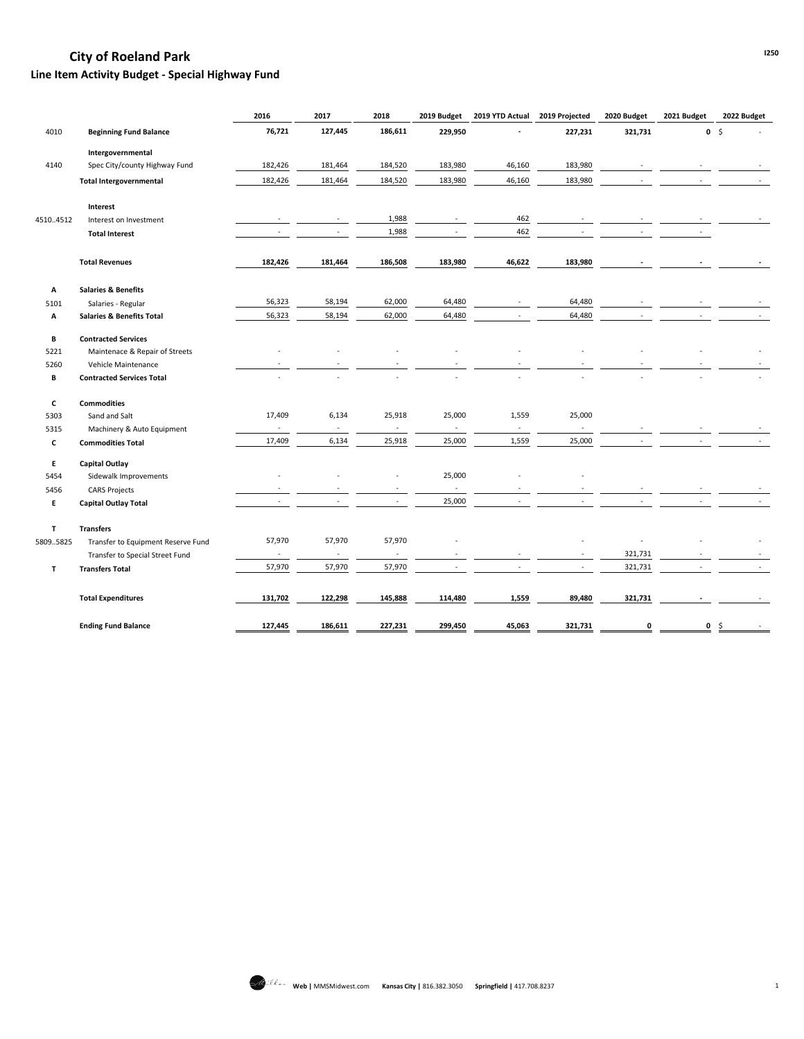## **Line Item Activity Budget - Special Highway Fund**

|              |                                      | 2016                     | 2017                     | 2018                     | 2019 Budget              | 2019 YTD Actual             | 2019 Projected           | 2020 Budget | 2021 Budget | 2022 Budget     |
|--------------|--------------------------------------|--------------------------|--------------------------|--------------------------|--------------------------|-----------------------------|--------------------------|-------------|-------------|-----------------|
| 4010         | <b>Beginning Fund Balance</b>        | 76,721                   | 127,445                  | 186,611                  | 229,950                  |                             | 227,231                  | 321,731     |             | $0 \quad \zeta$ |
|              | Intergovernmental                    |                          |                          |                          |                          |                             |                          |             |             |                 |
| 4140         | Spec City/county Highway Fund        | 182,426                  | 181,464                  | 184,520                  | 183,980                  | 46,160                      | 183,980                  |             |             |                 |
|              | <b>Total Intergovernmental</b>       | 182,426                  | 181,464                  | 184,520                  | 183,980                  | 46,160                      | 183,980                  |             |             |                 |
|              | Interest                             |                          |                          |                          |                          |                             |                          |             |             |                 |
| 45104512     | Interest on Investment               | $\blacksquare$           | $\overline{\phantom{a}}$ | 1,988                    | $\blacksquare$           | 462                         |                          |             |             |                 |
|              | <b>Total Interest</b>                |                          |                          | 1,988                    |                          | 462                         |                          |             |             |                 |
|              | <b>Total Revenues</b>                | 182,426                  | 181,464                  | 186,508                  | 183,980                  | 46,622                      | 183,980                  |             |             |                 |
| Α            | <b>Salaries &amp; Benefits</b>       |                          |                          |                          |                          |                             |                          |             |             |                 |
| 5101         | Salaries - Regular                   | 56,323                   | 58,194                   | 62,000                   | 64,480                   |                             | 64,480                   |             |             |                 |
| Α            | <b>Salaries &amp; Benefits Total</b> | 56,323                   | 58,194                   | 62,000                   | 64,480                   |                             | 64,480                   |             |             |                 |
| B            | <b>Contracted Services</b>           |                          |                          |                          |                          |                             |                          |             |             |                 |
| 5221         | Maintenace & Repair of Streets       | ÷,                       |                          |                          |                          |                             |                          |             |             |                 |
| 5260         | Vehicle Maintenance                  |                          |                          |                          |                          |                             |                          |             |             |                 |
| В            | <b>Contracted Services Total</b>     |                          |                          |                          |                          |                             |                          |             |             |                 |
| C            | <b>Commodities</b>                   |                          |                          |                          |                          |                             |                          |             |             |                 |
| 5303         | Sand and Salt                        | 17,409                   | 6,134                    | 25,918                   | 25,000                   | 1,559                       | 25,000                   |             |             |                 |
| 5315         | Machinery & Auto Equipment           | $\blacksquare$           | $\blacksquare$           | $\blacksquare$           | $\overline{\phantom{a}}$ | $\mathcal{L}_{\mathcal{A}}$ | $\overline{\phantom{a}}$ |             |             |                 |
| $\mathbf c$  | <b>Commodities Total</b>             | 17,409                   | 6,134                    | 25,918                   | 25,000                   | 1,559                       | 25,000                   |             |             |                 |
| E.           | <b>Capital Outlay</b>                |                          |                          |                          |                          |                             |                          |             |             |                 |
| 5454         | Sidewalk Improvements                |                          |                          |                          | 25,000                   |                             |                          |             |             |                 |
| 5456         | <b>CARS Projects</b>                 |                          |                          |                          |                          |                             |                          |             |             |                 |
| E.           | <b>Capital Outlay Total</b>          |                          |                          | $\sim$                   | 25,000                   |                             |                          |             |             |                 |
| $\mathbf{T}$ | <b>Transfers</b>                     |                          |                          |                          |                          |                             |                          |             |             |                 |
| 58095825     | Transfer to Equipment Reserve Fund   | 57,970                   | 57,970                   | 57,970                   |                          |                             |                          |             |             |                 |
|              | Transfer to Special Street Fund      | $\overline{\phantom{a}}$ | $\overline{\phantom{a}}$ | $\overline{\phantom{a}}$ |                          |                             | $\overline{\phantom{a}}$ | 321,731     |             |                 |
| T            | <b>Transfers Total</b>               | 57,970                   | 57,970                   | 57,970                   |                          |                             | $\omega$                 | 321,731     |             | $\sim$          |
|              | <b>Total Expenditures</b>            | 131,702                  | 122,298                  | 145,888                  | 114,480                  | 1,559                       | 89,480                   | 321,731     |             |                 |
|              | <b>Ending Fund Balance</b>           | 127,445                  | 186,611                  | 227,231                  | 299,450                  | 45,063                      | 321,731                  | 0           | $\mathbf 0$ | -\$             |

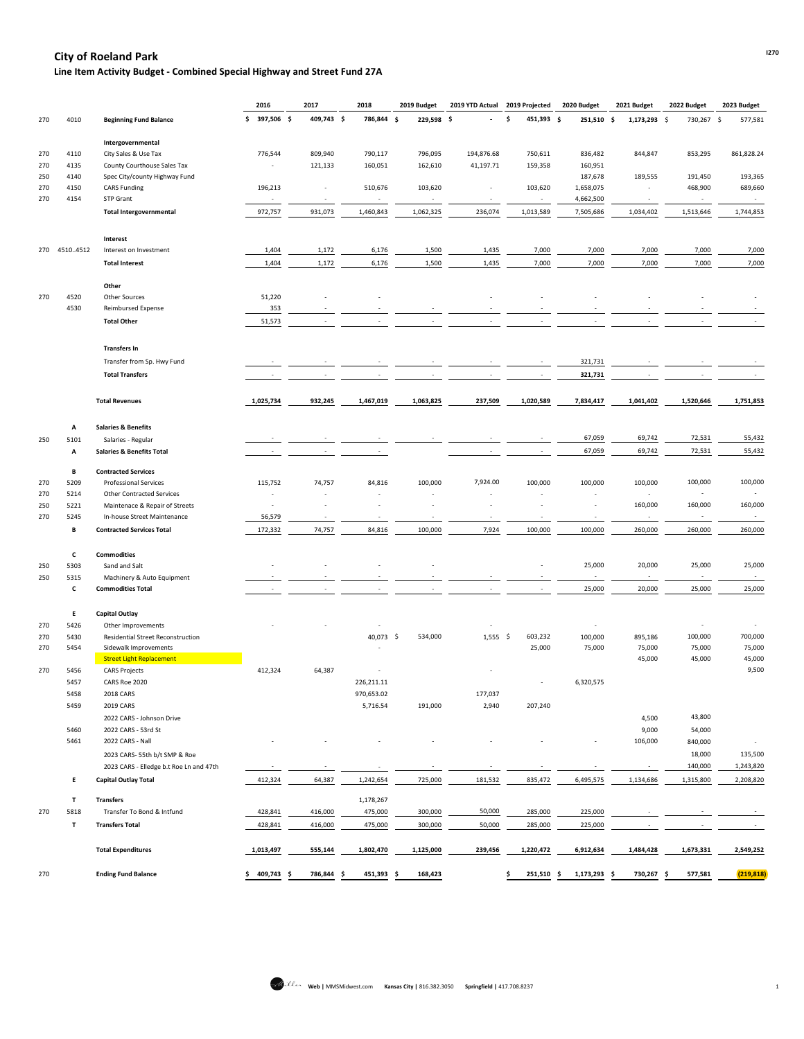# **I270 City of Roeland Park**

**Line Item Activity Budget - Combined Special Highway and Street Fund 27A**

|     |              |                                                   | 2016                     | 2017                     | 2018 |            | 2019 Budget |                          | 2019 YTD Actual 2019 Projected | 2020 Budget              | 2021 Budget              | 2022 Budget | 2023 Budget |
|-----|--------------|---------------------------------------------------|--------------------------|--------------------------|------|------------|-------------|--------------------------|--------------------------------|--------------------------|--------------------------|-------------|-------------|
| 270 | 4010         | <b>Beginning Fund Balance</b>                     | $$397,506$ \$            | 409,743 \$               |      | 786,844 \$ | 229,598 \$  |                          | 451,393 \$                     | 251,510 \$               | 1,173,293 \$             | 730,267 \$  | 577,581     |
|     |              | Intergovernmental                                 |                          |                          |      |            |             |                          |                                |                          |                          |             |             |
| 270 | 4110         | City Sales & Use Tax                              | 776,544                  | 809,940                  |      | 790,117    | 796,095     | 194,876.68               | 750,611                        | 836,482                  | 844,847                  | 853,295     | 861,828.24  |
| 270 | 4135         | County Courthouse Sales Tax                       |                          | 121,133                  |      | 160,051    | 162,610     | 41,197.71                | 159,358                        | 160,951                  |                          |             |             |
| 250 | 4140         | Spec City/county Highway Fund                     |                          |                          |      |            |             |                          |                                | 187,678                  | 189,555                  | 191,450     | 193,365     |
| 270 | 4150         | <b>CARS Funding</b>                               | 196,213                  | $\overline{\phantom{a}}$ |      | 510,676    | 103,620     |                          | 103,620                        | 1,658,075                | $\overline{\phantom{a}}$ | 468,900     | 689,660     |
| 270 | 4154         | <b>STP Grant</b>                                  | $\sim$                   | $\sim$                   |      | $\sim$     | $\sim$      | $\overline{\phantom{a}}$ | $\sim$                         | 4,662,500                | $\sim$                   | $\sim$      | $\sim$      |
|     |              | <b>Total Intergovernmental</b>                    | 972,757                  | 931,073                  |      | 1,460,843  | 1,062,325   | 236,074                  | 1,013,589                      | 7,505,686                | 1,034,402                | 1,513,646   | 1,744,853   |
|     |              |                                                   |                          |                          |      |            |             |                          |                                |                          |                          |             |             |
|     |              | Interest                                          |                          |                          |      |            |             |                          |                                |                          |                          |             |             |
|     | 270 45104512 | Interest on Investment                            | 1,404                    | 1,172                    |      | 6,176      | 1,500       | 1,435                    | 7,000                          | 7,000                    | 7,000                    | 7,000       | 7,000       |
|     |              | <b>Total Interest</b>                             | 1,404                    | 1,172                    |      | 6,176      | 1,500       | 1,435                    | 7,000                          | 7,000                    | 7,000                    | 7,000       | 7,000       |
|     |              | Other                                             |                          |                          |      |            |             |                          |                                |                          |                          |             |             |
| 270 | 4520         | <b>Other Sources</b>                              | 51,220                   |                          |      |            |             |                          |                                |                          |                          |             |             |
|     | 4530         | Reimbursed Expense                                | 353                      |                          |      |            |             |                          |                                |                          |                          |             |             |
|     |              | <b>Total Other</b>                                | 51,573                   |                          |      |            |             |                          |                                |                          |                          |             |             |
|     |              |                                                   |                          |                          |      |            |             |                          |                                |                          |                          |             |             |
|     |              | <b>Transfers In</b><br>Transfer from Sp. Hwy Fund |                          |                          |      |            |             |                          |                                |                          |                          |             |             |
|     |              |                                                   |                          |                          |      |            |             |                          |                                | 321,731                  |                          |             |             |
|     |              | <b>Total Transfers</b>                            |                          |                          |      |            |             |                          |                                | 321,731                  |                          |             |             |
|     |              | <b>Total Revenues</b>                             | 1,025,734                | 932,245                  |      | 1,467,019  | 1,063,825   | 237,509                  | 1,020,589                      | 7,834,417                | 1,041,402                | 1,520,646   | 1,751,853   |
|     |              |                                                   |                          |                          |      |            |             |                          |                                |                          |                          |             |             |
|     | Α            | <b>Salaries &amp; Benefits</b>                    |                          |                          |      |            |             |                          |                                | 67,059                   | 69,742                   | 72,531      | 55,432      |
| 250 | 5101         | Salaries - Regular                                |                          |                          |      |            |             |                          |                                |                          |                          |             |             |
|     | Α            | <b>Salaries &amp; Benefits Total</b>              |                          |                          |      |            |             |                          |                                | 67,059                   | 69,742                   | 72,531      | 55,432      |
|     | В            | <b>Contracted Services</b>                        |                          |                          |      |            |             |                          |                                |                          |                          |             |             |
| 270 | 5209         | <b>Professional Services</b>                      | 115,752                  | 74,757                   |      | 84,816     | 100,000     | 7,924.00                 | 100,000                        | 100,000                  | 100,000                  | 100,000     | 100,000     |
| 270 | 5214         | <b>Other Contracted Services</b>                  |                          |                          |      |            |             |                          |                                |                          |                          |             |             |
| 250 | 5221         | Maintenace & Repair of Streets                    | $\overline{\phantom{a}}$ |                          |      |            |             |                          |                                |                          | 160,000                  | 160,000     | 160,000     |
| 270 | 5245         | In-house Street Maintenance                       | 56,579                   |                          |      |            |             |                          |                                |                          |                          | $\sim$      |             |
|     | В            | <b>Contracted Services Total</b>                  | 172,332                  | 74,757                   |      | 84,816     | 100,000     | 7,924                    | 100,000                        | 100,000                  | 260,000                  | 260,000     | 260,000     |
|     | C            | <b>Commodities</b>                                |                          |                          |      |            |             |                          |                                |                          |                          |             |             |
| 250 | 5303         | Sand and Salt                                     |                          |                          |      |            |             |                          |                                | 25,000                   | 20,000                   | 25,000      | 25,000      |
| 250 | 5315         | Machinery & Auto Equipment                        |                          |                          |      |            |             |                          |                                | $\overline{\phantom{a}}$ |                          | $\sim$      | $\sim$      |
|     | C            | <b>Commodities Total</b>                          |                          |                          |      |            |             |                          |                                | 25,000                   | 20,000                   | 25,000      | 25,000      |
|     | E.           | <b>Capital Outlay</b>                             |                          |                          |      |            |             |                          |                                |                          |                          |             |             |
| 270 | 5426         | Other Improvements                                |                          |                          |      |            |             |                          |                                | $\overline{\phantom{a}}$ |                          |             |             |
| 270 | 5430         | Residential Street Reconstruction                 |                          |                          |      | 40,073 \$  | 534,000     | $1,555$ \$               | 603,232                        | 100,000                  | 895,186                  | 100,000     | 700,000     |
| 270 | 5454         | Sidewalk Improvements                             |                          |                          |      |            |             |                          | 25,000                         | 75,000                   | 75,000                   | 75,000      | 75,000      |
|     |              | <b>Street Light Replacement</b>                   |                          |                          |      |            |             |                          |                                |                          | 45,000                   | 45,000      | 45,000      |
| 270 | 5456         | <b>CARS Projects</b>                              | 412,324                  | 64,387                   |      |            |             |                          |                                |                          |                          |             | 9,500       |
|     | 5457         | CARS Roe 2020                                     |                          |                          |      | 226,211.11 |             |                          |                                | 6,320,575                |                          |             |             |
|     | 5458         | 2018 CARS                                         |                          |                          |      | 970,653.02 |             | 177,037                  |                                |                          |                          |             |             |
|     |              |                                                   |                          |                          |      |            |             |                          |                                |                          |                          |             |             |
|     | 5459         | 2019 CARS                                         |                          |                          |      | 5,716.54   | 191,000     | 2,940                    | 207,240                        |                          |                          |             |             |
|     |              | 2022 CARS - Johnson Drive                         |                          |                          |      |            |             |                          |                                |                          | 4,500                    | 43,800      |             |
|     | 5460         | 2022 CARS - 53rd St                               |                          |                          |      |            |             |                          |                                |                          | 9,000                    | 54,000      |             |
|     | 5461         | 2022 CARS - Nall                                  |                          |                          |      |            |             |                          |                                |                          | 106,000                  | 840,000     |             |
|     |              | 2023 CARS-55th b/t SMP & Roe                      |                          |                          |      |            |             |                          |                                |                          |                          | 18,000      | 135,500     |
|     |              | 2023 CARS - Elledge b.t Roe Ln and 47th           |                          |                          |      |            |             |                          |                                |                          |                          | 140,000     | 1,243,820   |
|     | E.           | <b>Capital Outlay Total</b>                       | 412,324                  | 64,387                   |      | 1,242,654  | 725,000     | 181,532                  | 835,472                        | 6,495,575                | 1,134,686                | 1,315,800   | 2,208,820   |

|     |      | Transfers                  |           |         | 1,178,267 |           |         |           |           |           |           |            |
|-----|------|----------------------------|-----------|---------|-----------|-----------|---------|-----------|-----------|-----------|-----------|------------|
| 270 | 5818 | Transfer To Bond & Intfund | 428,841   | 416,000 | 475,000   | 300,000   | 50,000  | 285,000   | 225,000   |           |           |            |
|     |      | <b>Transfers Total</b>     | 428,841   | 416,000 | 475,000   | 300,000   | 50,000  | 285,000   | 225,000   |           |           |            |
|     |      | <b>Total Expenditures</b>  | 1,013,497 | 555,144 | 1,802,470 | 1,125,000 | 239,456 | 1,220,472 | 6,912,634 | 1,484,428 | 1,673,331 | 2,549,252  |
| 270 |      | <b>Ending Fund Balance</b> | 409,743   | 786,844 | 451,393   | 168,423   |         | 251,510   | 1,173,293 | 730,267   | 577,581   | (219, 818) |

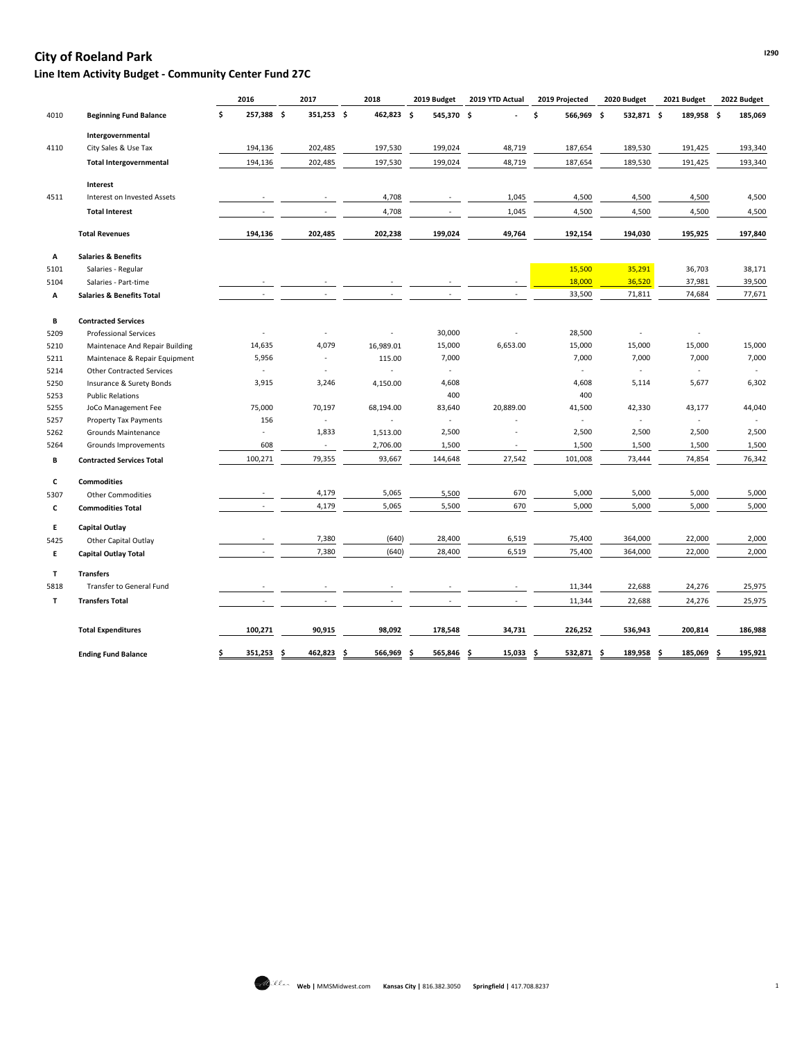## **I290 City of Roeland Park**

## **Line Item Activity Budget - Community Center Fund 27C**

|      |                                      | 2016                     | 2017                     | 2018       | 2019 Budget              | 2019 YTD Actual          | 2019 Projected           | 2020 Budget              | 2021 Budget              | 2022 Budget              |
|------|--------------------------------------|--------------------------|--------------------------|------------|--------------------------|--------------------------|--------------------------|--------------------------|--------------------------|--------------------------|
| 4010 | <b>Beginning Fund Balance</b>        | 257,388 \$<br>\$         | 351,253 \$               | 462,823 \$ | 545,370 \$               |                          | \$<br>566,969 \$         | 532,871 \$               | 189,958 \$               | 185,069                  |
|      | Intergovernmental                    |                          |                          |            |                          |                          |                          |                          |                          |                          |
| 4110 | City Sales & Use Tax                 | 194,136                  | 202,485                  | 197,530    | 199,024                  | 48,719                   | 187,654                  | 189,530                  | 191,425                  | 193,340                  |
|      | <b>Total Intergovernmental</b>       | 194,136                  | 202,485                  | 197,530    | 199,024                  | 48,719                   | 187,654                  | 189,530                  | 191,425                  | 193,340                  |
|      | Interest                             |                          |                          |            |                          |                          |                          |                          |                          |                          |
| 4511 | Interest on Invested Assets          |                          |                          | 4,708      |                          | 1,045                    | 4,500                    | 4,500                    | 4,500                    | 4,500                    |
|      | <b>Total Interest</b>                | $\overline{\phantom{a}}$ |                          | 4,708      |                          | 1,045                    | 4,500                    | 4,500                    | 4,500                    | 4,500                    |
|      | <b>Total Revenues</b>                | 194,136                  | 202,485                  | 202,238    | 199,024                  | 49,764                   | 192,154                  | 194,030                  | 195,925                  | 197,840                  |
| Α    | <b>Salaries &amp; Benefits</b>       |                          |                          |            |                          |                          |                          |                          |                          |                          |
| 5101 | Salaries - Regular                   |                          |                          |            |                          |                          | 15,500                   | 35,291                   | 36,703                   | 38,171                   |
| 5104 | Salaries - Part-time                 |                          |                          |            |                          | $\overline{\phantom{a}}$ | 18,000                   | 36,520                   | 37,981                   | 39,500                   |
| Α    | <b>Salaries &amp; Benefits Total</b> | $\overline{\phantom{a}}$ |                          |            |                          |                          | 33,500                   | 71,811                   | 74,684                   | 77,671                   |
| В    | <b>Contracted Services</b>           |                          |                          |            |                          |                          |                          |                          |                          |                          |
| 5209 | <b>Professional Services</b>         |                          |                          |            | 30,000                   |                          | 28,500                   |                          |                          |                          |
| 5210 | Maintenace And Repair Building       | 14,635                   | 4,079                    | 16,989.01  | 15,000                   | 6,653.00                 | 15,000                   | 15,000                   | 15,000                   | 15,000                   |
| 5211 | Maintenace & Repair Equipment        | 5,956                    | $\overline{\phantom{a}}$ | 115.00     | 7,000                    |                          | 7,000                    | 7,000                    | 7,000                    | 7,000                    |
| 5214 | <b>Other Contracted Services</b>     | $\overline{\phantom{a}}$ | $\overline{\phantom{a}}$ |            |                          |                          | $\blacksquare$           | $\overline{a}$           | $\sim$                   | $\overline{\phantom{a}}$ |
| 5250 | Insurance & Surety Bonds             | 3,915                    | 3,246                    | 4,150.00   | 4,608                    |                          | 4,608                    | 5,114                    | 5,677                    | 6,302                    |
| 5253 | <b>Public Relations</b>              |                          |                          |            | 400                      |                          | 400                      |                          |                          |                          |
| 5255 | JoCo Management Fee                  | 75,000                   | 70,197                   | 68,194.00  | 83,640                   | 20,889.00                | 41,500                   | 42,330                   | 43,177                   | 44,040                   |
| 5257 | <b>Property Tax Payments</b>         | 156                      | $\overline{\phantom{a}}$ |            | $\overline{\phantom{a}}$ |                          | $\overline{\phantom{a}}$ | $\overline{\phantom{a}}$ | $\overline{\phantom{a}}$ | $\overline{\phantom{a}}$ |
| 5262 | Grounds Maintenance                  | $\overline{\phantom{a}}$ | 1,833                    | 1,513.00   | 2,500                    |                          | 2,500                    | 2,500                    | 2,500                    | 2,500                    |
| 5264 | Grounds Improvements                 | 608                      | $\sim$                   | 2,706.00   | 1,500                    | $\overline{\phantom{a}}$ | 1,500                    | 1,500                    | 1,500                    | 1,500                    |
| В    | <b>Contracted Services Total</b>     | 100,271                  | 79,355                   | 93,667     | 144,648                  | 27,542                   | 101,008                  | 73,444                   | 74,854                   | 76,342                   |
| C    | <b>Commodities</b>                   |                          |                          |            |                          |                          |                          |                          |                          |                          |
| 5307 | <b>Other Commodities</b>             |                          | 4,179                    | 5,065      | 5,500                    | 670                      | 5,000                    | 5,000                    | 5,000                    | 5,000                    |
| C    | <b>Commodities Total</b>             |                          | 4,179                    | 5,065      | 5,500                    | 670                      | 5,000                    | 5,000                    | 5,000                    | 5,000                    |
| E.   | Capital Outlay                       |                          |                          |            |                          |                          |                          |                          |                          |                          |
| 5425 | Other Capital Outlay                 |                          | 7,380                    | (640)      | 28,400                   | 6,519                    | 75,400                   | 364,000                  | 22,000                   | 2,000                    |
| E.   | <b>Capital Outlay Total</b>          |                          | 7,380                    | (640)      | 28,400                   | 6,519                    | 75,400                   | 364,000                  | 22,000                   | 2,000                    |
| T    | <b>Transfers</b>                     |                          |                          |            |                          |                          |                          |                          |                          |                          |
| 5818 | Transfer to General Fund             |                          |                          |            |                          |                          | 11,344                   | 22,688                   | 24,276                   | 25,975                   |
| T    | <b>Transfers Total</b>               |                          |                          |            |                          |                          | 11,344                   | 22,688                   | 24,276                   | 25,975                   |
|      | <b>Total Expenditures</b>            | 100,271                  | 90,915                   | 98,092     | 178,548                  | 34,731                   | 226,252                  | 536,943                  | 200,814                  | 186,988                  |
|      | <b>Ending Fund Balance</b>           | 351,253 \$               | $462,823$ \$             | 566,969    | <u>565,846 \$</u>        | $15,033$ \$              | 532,871 \$               | 189,958                  | 185,069<br>- 5           | 195,921                  |
|      |                                      |                          |                          |            |                          |                          |                          |                          |                          |                          |

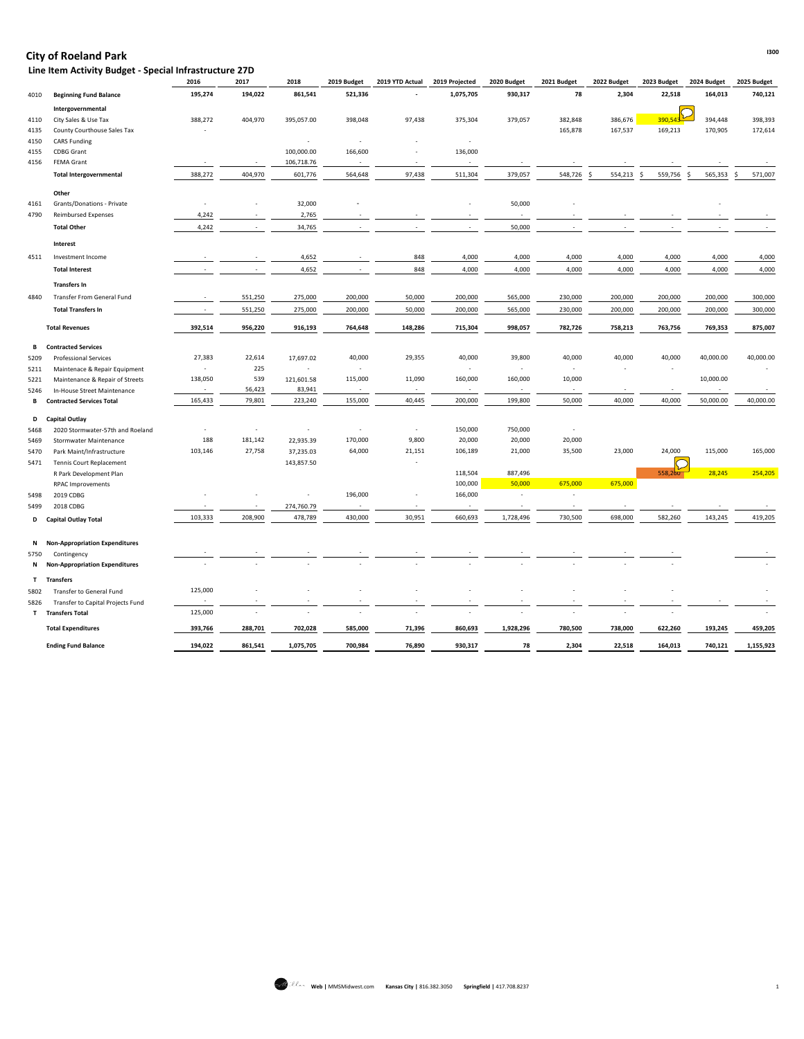## **I300 City of Roeland Park**

 **Line Item Activity Budget - Special Infrastructure 27D**

|           |                                                                 | 2016                                | 2017                     | 2018                     | 2019 Budget       | 2019 YTD Actual                    | 2019 Projected           | 2020 Budget                           | 2021 Budget              | 2022 Budget              | 2023 Budget                   | 2024 Budget | 2025 Budget  |
|-----------|-----------------------------------------------------------------|-------------------------------------|--------------------------|--------------------------|-------------------|------------------------------------|--------------------------|---------------------------------------|--------------------------|--------------------------|-------------------------------|-------------|--------------|
| 4010      | <b>Beginning Fund Balance</b>                                   | 195,274                             | 194,022                  | 861,541                  | 521,336           |                                    | 1,075,705                | 930,317                               | 78                       | 2,304                    | 22,518                        | 164,013     | 740,121      |
|           | Intergovernmental                                               |                                     |                          |                          |                   |                                    |                          |                                       |                          |                          |                               |             |              |
| 4110      | City Sales & Use Tax                                            | 388,272                             | 404,970                  | 395,057.00               | 398,048           | 97,438                             | 375,304                  | 379,057                               | 382,848                  | 386,676                  | 390,543                       | 394,448     | 398,393      |
| 4135      | County Courthouse Sales Tax                                     |                                     |                          |                          |                   |                                    |                          |                                       | 165,878                  | 167,537                  | 169,213                       | 170,905     | 172,614      |
| 4150      | <b>CARS Funding</b>                                             |                                     |                          |                          |                   |                                    |                          |                                       |                          |                          |                               |             |              |
| 4155      | <b>CDBG Grant</b>                                               |                                     |                          | 100,000.00               | 166,600           |                                    | 136,000                  |                                       |                          |                          |                               |             |              |
| 4156      | <b>FEMA Grant</b>                                               |                                     | $\sim$                   | 106,718.76               |                   | $\overline{\phantom{a}}$           | $\sim$                   |                                       |                          |                          |                               |             |              |
|           | <b>Total Intergovernmental</b>                                  | 388,272                             | 404,970                  | 601,776                  | 564,648           | 97,438                             | 511,304                  | 379,057                               | 548,726                  | 554,213                  | 559,756<br>-S                 | 565,353     | 571,007<br>S |
|           | Other                                                           |                                     |                          |                          |                   |                                    |                          |                                       |                          |                          |                               |             |              |
| 4161      | Grants/Donations - Private                                      |                                     |                          | 32,000                   |                   |                                    |                          | 50,000                                |                          |                          |                               |             |              |
| 4790      | <b>Reimbursed Expenses</b>                                      | 4,242                               | $\overline{\phantom{a}}$ | 2,765                    |                   |                                    |                          | $\overline{\phantom{a}}$              |                          |                          |                               |             |              |
|           | <b>Total Other</b>                                              | 4,242                               | $\overline{\phantom{a}}$ | 34,765                   |                   |                                    | $\sim$                   | 50,000                                |                          |                          | $\overline{\phantom{a}}$      |             |              |
|           | Interest                                                        |                                     |                          |                          |                   |                                    |                          |                                       |                          |                          |                               |             |              |
| 4511      | Investment Income                                               |                                     |                          | 4,652                    |                   | 848                                | 4,000                    | 4,000                                 | 4,000                    | 4,000                    | 4,000                         | 4,000       | 4,000        |
|           | <b>Total Interest</b>                                           |                                     |                          | 4,652                    |                   | 848                                | 4,000                    | 4,000                                 | 4,000                    | 4,000                    | 4,000                         | 4,000       | 4,000        |
|           | <b>Transfers In</b>                                             |                                     |                          |                          |                   |                                    |                          |                                       |                          |                          |                               |             |              |
| 4840      | <b>Transfer From General Fund</b>                               |                                     | 551,250                  | 275,000                  | 200,000           | 50,000                             | 200,000                  | 565,000                               | 230,000                  | 200,000                  | 200,000                       | 200,000     | 300,000      |
|           | <b>Total Transfers In</b>                                       |                                     | 551,250                  | 275,000                  | 200,000           | 50,000                             | 200,000                  | 565,000                               | 230,000                  | 200,000                  | 200,000                       | 200,000     | 300,000      |
|           | <b>Total Revenues</b>                                           | 392,514                             | 956,220                  | 916,193                  | 764,648           | 148,286                            | 715,304                  | 998,057                               | 782,726                  | 758,213                  | 763,756                       | 769,353     | 875,007      |
|           |                                                                 |                                     |                          |                          |                   |                                    |                          |                                       |                          |                          |                               |             |              |
|           | <b>B</b> Contracted Services                                    |                                     |                          |                          |                   |                                    |                          |                                       |                          |                          |                               |             |              |
| 5209      | <b>Professional Services</b>                                    | 27,383                              | 22,614                   | 17,697.02                | 40,000            | 29,355                             | 40,000                   | 39,800                                | 40,000                   | 40,000                   | 40,000                        | 40,000.00   | 40,000.00    |
| 5211      | Maintenace & Repair Equipment                                   | $\overline{\phantom{a}}$<br>138,050 | 225<br>539               | $\overline{\phantom{a}}$ | $\sim$<br>115,000 | 11,090                             | $\sim$<br>160,000        | $\sim$<br>160,000                     | $\sim$<br>10,000         | $\overline{\phantom{a}}$ | $\overline{\phantom{a}}$      | 10,000.00   |              |
| 5221      | Maintenance & Repair of Streets                                 | $\sim$                              | 56,423                   | 121,601.58<br>83,941     | $\sim$            |                                    | $\sim$                   | $\overline{\phantom{a}}$              | $\sim$                   |                          | $\overline{\phantom{a}}$      |             |              |
| 5246<br>B | In-House Street Maintenance<br><b>Contracted Services Total</b> | 165,433                             | 79,801                   | 223,240                  | 155,000           | 40,445                             | 200,000                  | 199,800                               | 50,000                   | 40,000                   | 40,000                        | 50,000.00   | 40,000.00    |
|           |                                                                 |                                     |                          |                          |                   |                                    |                          |                                       |                          |                          |                               |             |              |
|           | D Capital Outlay                                                |                                     |                          |                          |                   |                                    |                          |                                       |                          |                          |                               |             |              |
| 5468      | 2020 Stormwater-57th and Roeland                                |                                     |                          |                          |                   | $\overline{\phantom{a}}$           | 150,000                  | 750,000                               | $\overline{\phantom{a}}$ |                          |                               |             |              |
| 5469      | <b>Stormwater Maintenance</b>                                   | 188                                 | 181,142                  | 22,935.39                | 170,000           | 9,800                              | 20,000                   | 20,000                                | 20,000                   |                          |                               |             |              |
| 5470      | Park Maint/Infrastructure                                       | 103,146                             | 27,758                   | 37,235.03                | 64,000            | 21,151                             | 106,189                  | 21,000                                | 35,500                   | 23,000                   | 24,000<br>$\overline{\frown}$ | 115,000     | 165,000      |
| 5471      | Tennis Court Replacement                                        |                                     |                          | 143,857.50               |                   |                                    |                          |                                       |                          |                          | $\mathcal{L}$                 |             |              |
|           | R Park Development Plan                                         |                                     |                          |                          |                   |                                    | 118,504                  | 887,496                               |                          |                          | 558,260                       | 28,245      | 254,205      |
|           | RPAC Improvements                                               |                                     |                          |                          |                   |                                    | 100,000                  | 50,000                                | 675,000                  | 675,000                  |                               |             |              |
| 5498      | 2019 CDBG                                                       |                                     |                          | $\overline{\phantom{a}}$ | 196,000           | $\overline{\phantom{a}}$           | 166,000                  | $\overline{\phantom{a}}$              | $\overline{\phantom{a}}$ |                          |                               |             |              |
| 5499      | 2018 CDBG                                                       | 103,333                             | $\sim$<br>208,900        | 274,760.79<br>478,789    | $\sim$<br>430,000 | $\overline{\phantom{a}}$<br>30,951 | $\sim$<br>660,693        | $\overline{\phantom{a}}$<br>1,728,496 | 730,500                  | 698,000                  | $\sim$<br>582,260             | 143,245     | 419,205      |
|           | D Capital Outlay Total                                          |                                     |                          |                          |                   |                                    |                          |                                       |                          |                          |                               |             |              |
| N         | <b>Non-Appropriation Expenditures</b>                           |                                     |                          |                          |                   |                                    |                          |                                       |                          |                          |                               |             |              |
| 5750      | Contingency                                                     |                                     |                          |                          |                   |                                    |                          |                                       |                          |                          |                               |             |              |
|           | N Non-Appropriation Expenditures                                |                                     |                          |                          |                   |                                    |                          |                                       |                          |                          |                               |             |              |
|           | T Transfers                                                     |                                     |                          |                          |                   |                                    |                          |                                       |                          |                          |                               |             |              |
| 5802      | Transfer to General Fund                                        | 125,000                             |                          |                          |                   |                                    |                          |                                       |                          |                          |                               |             |              |
| 5826      | Transfer to Capital Projects Fund                               | $\overline{\phantom{a}}$            |                          |                          |                   |                                    |                          |                                       |                          |                          |                               |             |              |
|           | T Transfers Total                                               | 125,000                             |                          | $\overline{\phantom{a}}$ |                   |                                    | $\overline{\phantom{a}}$ | $\overline{\phantom{a}}$              |                          |                          | $\blacksquare$                |             |              |
|           | <b>Total Expenditures</b>                                       | 393,766                             | 288,701                  | 702,028                  | 585,000           | 71,396                             | 860,693                  | 1,928,296                             | 780,500                  | 738,000                  | 622,260                       | 193,245     | 459,205      |
|           | <b>Ending Fund Balance</b>                                      | 194,022                             | 861,541                  | 1,075,705                | 700,984           | 76,890                             | 930,317                  | 78                                    | 2,304                    | 22,518                   | 164,013                       | 740,121     | 1,155,923    |

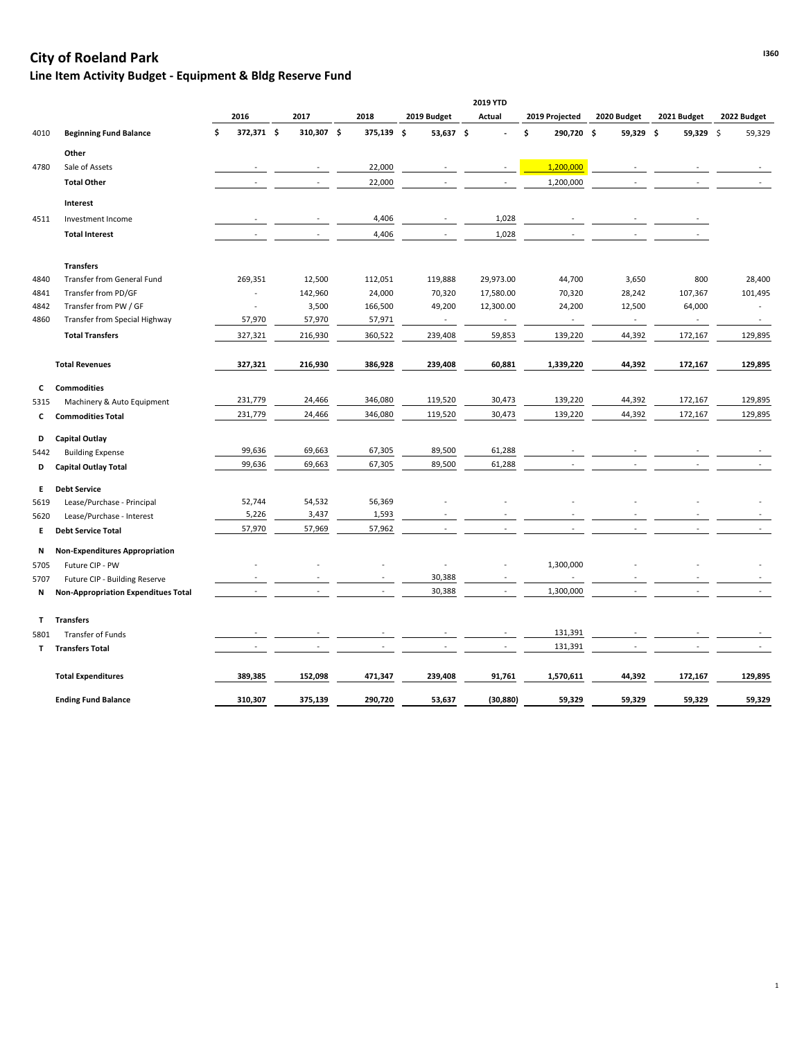# **Islam City of Roeland Park** and the set of the set of the set of the set of the set of the set of the set of the set of the set of the set of the set of the set of the set of the set of the set of the set of the set of th

## **Line Item Activity Budget - Equipment & Bldg Reserve Fund**

|      |                                            |                  |                          |            |             | 2019 YTD |           |                  |             |                          |             |
|------|--------------------------------------------|------------------|--------------------------|------------|-------------|----------|-----------|------------------|-------------|--------------------------|-------------|
|      |                                            | 2016             | 2017                     | 2018       | 2019 Budget | Actual   |           | 2019 Projected   | 2020 Budget | 2021 Budget              | 2022 Budget |
| 4010 | <b>Beginning Fund Balance</b>              | \$<br>372,371 \$ | 310,307 \$               | 375,139 \$ | 53,637 \$   |          |           | \$<br>290,720 \$ | 59,329 \$   | 59,329 \$                | 59,329      |
|      | Other                                      |                  |                          |            |             |          |           |                  |             |                          |             |
| 4780 | Sale of Assets                             |                  |                          | 22,000     |             |          |           | 1,200,000        |             |                          |             |
|      | <b>Total Other</b>                         |                  |                          | 22,000     |             |          |           | 1,200,000        |             |                          |             |
|      | Interest                                   |                  |                          |            |             |          |           |                  |             |                          |             |
| 4511 | Investment Income                          | $\sim$           | $\sim$                   | 4,406      |             |          | 1,028     | $\sim$           |             |                          |             |
|      | <b>Total Interest</b>                      | $\sim$           | $\overline{\phantom{a}}$ | 4,406      |             |          | 1,028     | $\sim$           |             |                          |             |
|      | <b>Transfers</b>                           |                  |                          |            |             |          |           |                  |             |                          |             |
| 4840 | <b>Transfer from General Fund</b>          | 269,351          | 12,500                   | 112,051    | 119,888     |          | 29,973.00 | 44,700           | 3,650       | 800                      | 28,400      |
| 4841 | Transfer from PD/GF                        |                  | 142,960                  | 24,000     | 70,320      |          | 17,580.00 | 70,320           | 28,242      | 107,367                  | 101,495     |
| 4842 | Transfer from PW / GF                      |                  | 3,500                    | 166,500    | 49,200      |          | 12,300.00 | 24,200           | 12,500      | 64,000                   |             |
| 4860 | Transfer from Special Highway              | 57,970           | 57,970                   | 57,971     | $\sim$      |          | $\sim$    | $\blacksquare$   | $\sim$      | $\overline{\phantom{a}}$ | $\sim$      |
|      | <b>Total Transfers</b>                     | 327,321          | 216,930                  | 360,522    | 239,408     |          | 59,853    | 139,220          | 44,392      | 172,167                  | 129,895     |
|      | <b>Total Revenues</b>                      | 327,321          | 216,930                  | 386,928    | 239,408     |          | 60,881    | 1,339,220        | 44,392      | 172,167                  | 129,895     |
|      |                                            |                  |                          |            |             |          |           |                  |             |                          |             |
| C    | <b>Commodities</b>                         |                  |                          |            |             |          |           |                  |             |                          |             |
| 5315 | Machinery & Auto Equipment                 | 231,779          | 24,466                   | 346,080    | 119,520     |          | 30,473    | 139,220          | 44,392      | 172,167                  | 129,895     |
| C    | <b>Commodities Total</b>                   | 231,779          | 24,466                   | 346,080    | 119,520     |          | 30,473    | 139,220          | 44,392      | 172,167                  | 129,895     |
| D    | <b>Capital Outlay</b>                      |                  |                          |            |             |          |           |                  |             |                          |             |
| 5442 | <b>Building Expense</b>                    | 99,636           | 69,663                   | 67,305     | 89,500      |          | 61,288    |                  |             |                          |             |
| D    | <b>Capital Outlay Total</b>                | 99,636           | 69,663                   | 67,305     | 89,500      |          | 61,288    |                  |             |                          |             |
| Е.   | <b>Debt Service</b>                        |                  |                          |            |             |          |           |                  |             |                          |             |
| 5619 | Lease/Purchase - Principal                 | 52,744           | 54,532                   | 56,369     |             |          |           |                  |             |                          |             |
| 5620 | Lease/Purchase - Interest                  | 5,226            | 3,437                    | 1,593      |             |          |           |                  |             |                          |             |
| Е.   | <b>Debt Service Total</b>                  | 57,970           | 57,969                   | 57,962     |             |          |           |                  |             |                          |             |
| N    | <b>Non-Expenditures Appropriation</b>      |                  |                          |            |             |          |           |                  |             |                          |             |
| 5705 | Future CIP - PW                            |                  |                          |            |             |          |           | 1,300,000        |             |                          |             |
| 5707 | Future CIP - Building Reserve              |                  |                          |            | 30,388      |          |           |                  |             |                          |             |
| N    | <b>Non-Appropriation Expenditues Total</b> |                  |                          |            | 30,388      |          |           | 1,300,000        |             |                          |             |
| Τ    | <b>Transfers</b>                           |                  |                          |            |             |          |           |                  |             |                          |             |
| 5801 | <b>Transfer of Funds</b>                   |                  |                          |            |             |          |           | 131,391          |             |                          |             |
| T    | <b>Transfers Total</b>                     |                  |                          |            |             |          |           | 131,391          |             |                          |             |
|      | <b>Total Expenditures</b>                  | 389,385          | 152,098                  | 471,347    | 239,408     |          | 91,761    | 1,570,611        | 44,392      | 172,167                  | 129,895     |
|      | <b>Ending Fund Balance</b>                 | 310,307          | 375,139                  | 290,720    | 53,637      |          | (30, 880) | 59,329           | 59,329      | 59,329                   | 59,329      |

1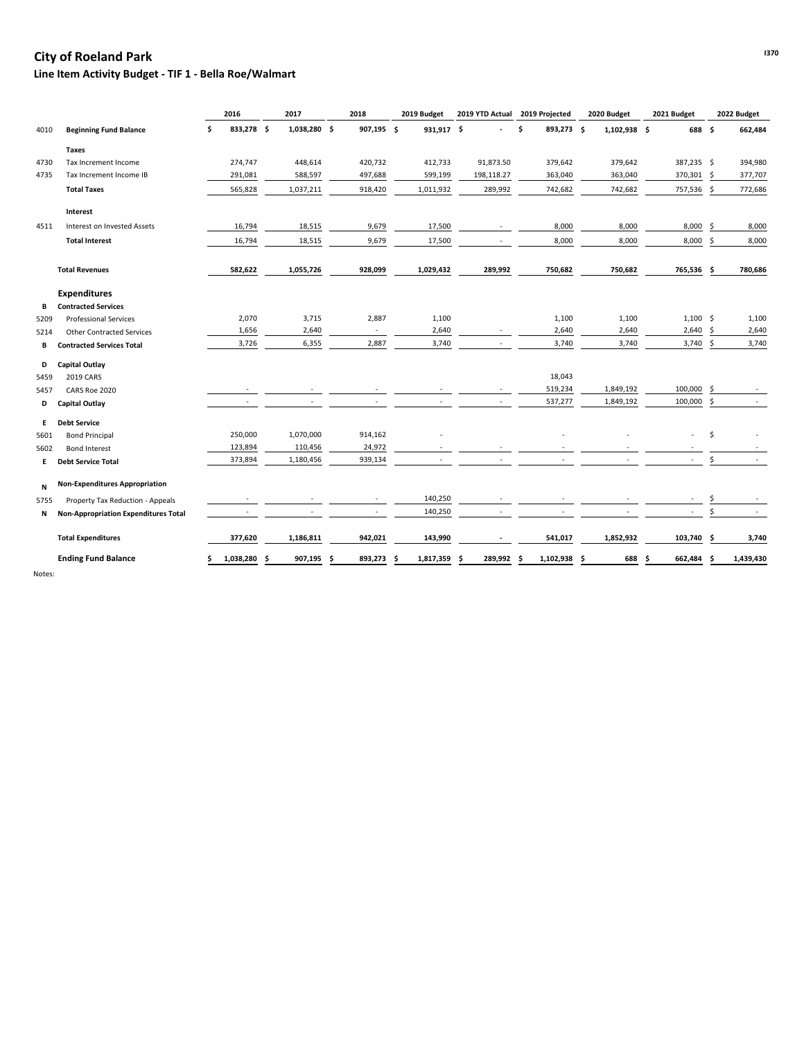## **I370 City of Roeland Park**

#### **Line Item Activity Budget - TIF 1 - Bella Roe/Walmart**

|      |                                             |    | 2016       | 2017          |    | 2018                     | 2019 Budget     |     | 2019 YTD Actual          |    | 2019 Projected |    | 2020 Budget  |   | 2021 Budget |     | 2022 Budget |
|------|---------------------------------------------|----|------------|---------------|----|--------------------------|-----------------|-----|--------------------------|----|----------------|----|--------------|---|-------------|-----|-------------|
| 4010 | <b>Beginning Fund Balance</b>               | \$ | 833,278 \$ | 1,038,280 \$  |    | 907,195 \$               | 931,917 \$      |     |                          | Ś. | 893,273 \$     |    | 1,102,938 \$ |   | 688 \$      |     | 662,484     |
|      | <b>Taxes</b>                                |    |            |               |    |                          |                 |     |                          |    |                |    |              |   |             |     |             |
| 4730 | Tax Increment Income                        |    | 274,747    | 448,614       |    | 420,732                  | 412,733         |     | 91,873.50                |    | 379,642        |    | 379,642      |   | 387,235 \$  |     | 394,980     |
| 4735 | Tax Increment Income IB                     |    | 291,081    | 588,597       |    | 497,688                  | 599,199         |     | 198,118.27               |    | 363,040        |    | 363,040      |   | 370,301 \$  |     | 377,707     |
|      | <b>Total Taxes</b>                          |    | 565,828    | 1,037,211     |    | 918,420                  | 1,011,932       |     | 289,992                  |    | 742,682        |    | 742,682      |   | 757,536 \$  |     | 772,686     |
|      | Interest                                    |    |            |               |    |                          |                 |     |                          |    |                |    |              |   |             |     |             |
| 4511 | Interest on Invested Assets                 |    | 16,794     | 18,515        |    | 9,679                    | 17,500          |     | $\sim$                   |    | 8,000          |    | 8,000        |   | 8,000       | \$  | 8,000       |
|      | <b>Total Interest</b>                       |    | 16,794     | 18,515        |    | 9,679                    | 17,500          |     |                          |    | 8,000          |    | 8,000        |   | 8,000       | -\$ | 8,000       |
|      | <b>Total Revenues</b>                       |    | 582,622    | 1,055,726     |    | 928,099                  | 1,029,432       |     | 289,992                  |    | 750,682        |    | 750,682      |   | 765,536 \$  |     | 780,686     |
|      | <b>Expenditures</b>                         |    |            |               |    |                          |                 |     |                          |    |                |    |              |   |             |     |             |
| В    | <b>Contracted Services</b>                  |    |            |               |    |                          |                 |     |                          |    |                |    |              |   |             |     |             |
| 5209 | <b>Professional Services</b>                |    | 2,070      | 3,715         |    | 2,887                    | 1,100           |     |                          |    | 1,100          |    | 1,100        |   | $1,100$ \$  |     | 1,100       |
| 5214 | <b>Other Contracted Services</b>            |    | 1,656      | 2,640         |    | $\overline{\phantom{a}}$ | 2,640           |     | $\overline{\phantom{a}}$ |    | 2,640          |    | 2,640        |   | 2,640       | Ŝ.  | 2,640       |
| В    | <b>Contracted Services Total</b>            |    | 3,726      | 6,355         |    | 2,887                    | 3,740           |     |                          |    | 3,740          |    | 3,740        |   | 3,740       | \$  | 3,740       |
| D    | <b>Capital Outlay</b>                       |    |            |               |    |                          |                 |     |                          |    |                |    |              |   |             |     |             |
| 5459 | 2019 CARS                                   |    |            |               |    |                          |                 |     |                          |    | 18,043         |    |              |   |             |     |             |
| 5457 | CARS Roe 2020                               |    |            |               |    |                          |                 |     |                          |    | 519,234        |    | 1,849,192    |   | 100,000     | Ŝ.  |             |
| D    | <b>Capital Outlay</b>                       |    |            |               |    |                          |                 |     |                          |    | 537,277        |    | 1,849,192    |   | 100,000     | \$  |             |
| E.   | <b>Debt Service</b>                         |    |            |               |    |                          |                 |     |                          |    |                |    |              |   |             |     |             |
| 5601 | <b>Bond Principal</b>                       |    | 250,000    | 1,070,000     |    | 914,162                  |                 |     |                          |    |                |    |              |   |             | \$  |             |
| 5602 | <b>Bond Interest</b>                        |    | 123,894    | 110,456       |    | 24,972                   |                 |     |                          |    |                |    |              |   |             |     |             |
| E.   | <b>Debt Service Total</b>                   |    | 373,894    | 1,180,456     |    | 939,134                  |                 |     |                          |    |                |    |              |   |             | \$  |             |
| N    | <b>Non-Expenditures Appropriation</b>       |    |            |               |    |                          |                 |     |                          |    |                |    |              |   |             |     |             |
| 5755 | Property Tax Reduction - Appeals            |    |            |               |    |                          | 140,250         |     |                          |    |                |    |              |   |             |     |             |
| N    | <b>Non-Appropriation Expenditures Total</b> |    |            |               |    |                          | 140,250         |     |                          |    |                |    |              |   |             |     |             |
|      | <b>Total Expenditures</b>                   |    | 377,620    | 1,186,811     |    | 942,021                  | 143,990         |     |                          |    | 541,017        |    | 1,852,932    |   | 103,740     | \$  | 3,740       |
|      | <b>Ending Fund Balance</b>                  | Ŝ  | 1,038,280  | \$<br>907,195 | -S | 893,273                  | 1,817,359<br>.S | -\$ | 289,992                  | -S | 1,102,938      | -S | 688          | S | 662,484     | -S  | 1,439,430   |

Notes: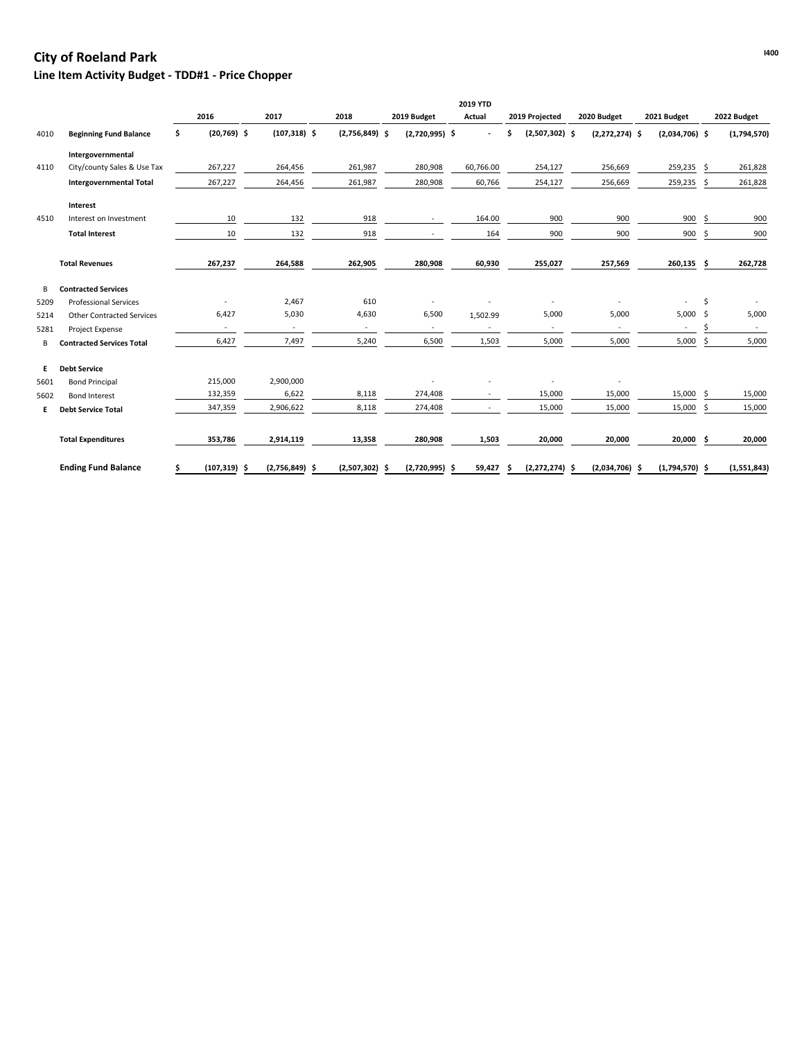# **Internal Park I400 City of Roeland Park I400**

## **Line Item Activity Budget - TDD#1 - Price Chopper**

|      |                                  |                          |                  |                  |                  | 2019 YTD  |    |                  |                  |                  |    |             |
|------|----------------------------------|--------------------------|------------------|------------------|------------------|-----------|----|------------------|------------------|------------------|----|-------------|
|      |                                  | 2016                     | 2017             | 2018             | 2019 Budget      | Actual    |    | 2019 Projected   | 2020 Budget      | 2021 Budget      |    | 2022 Budget |
| 4010 | <b>Beginning Fund Balance</b>    | \$<br>$(20,769)$ \$      | $(107, 318)$ \$  | $(2,756,849)$ \$ | $(2,720,995)$ \$ |           | Ś  | $(2,507,302)$ \$ | $(2,272,274)$ \$ | $(2,034,706)$ \$ |    | (1,794,570) |
|      | Intergovernmental                |                          |                  |                  |                  |           |    |                  |                  |                  |    |             |
| 4110 | City/county Sales & Use Tax      | 267,227                  | 264,456          | 261,987          | 280,908          | 60,766.00 |    | 254,127          | 256,669          | 259,235          | \$ | 261,828     |
|      | <b>Intergovernmental Total</b>   | 267,227                  | 264,456          | 261,987          | 280,908          | 60,766    |    | 254,127          | 256,669          | 259,235          | \$ | 261,828     |
|      | <b>Interest</b>                  |                          |                  |                  |                  |           |    |                  |                  |                  |    |             |
| 4510 | Interest on Investment           | 10                       | 132              | 918              | $\sim$           | 164.00    |    | 900              | 900              | 900              | Š. | 900         |
|      | <b>Total Interest</b>            | 10                       | 132              | 918              |                  | 164       |    | 900              | 900              | 900              | \$ | 900         |
|      | <b>Total Revenues</b>            | 267,237                  | 264,588          | 262,905          | 280,908          | 60,930    |    | 255,027          | 257,569          | 260,135          | Ŝ. | 262,728     |
| В    | <b>Contracted Services</b>       |                          |                  |                  |                  |           |    |                  |                  |                  |    |             |
| 5209 | <b>Professional Services</b>     |                          | 2,467            | 610              |                  |           |    |                  |                  |                  | \$ |             |
| 5214 | <b>Other Contracted Services</b> | 6,427                    | 5,030            | 4,630            | 6,500            | 1,502.99  |    | 5,000            | 5,000            | 5,000            | \$ | 5,000       |
| 5281 | Project Expense                  | $\overline{\phantom{a}}$ | $\blacksquare$   |                  | $\sim$           |           |    | $\sim$           | $\sim$           |                  |    | $\sim$      |
| B    | <b>Contracted Services Total</b> | 6,427                    | 7,497            | 5,240            | 6,500            | 1,503     |    | 5,000            | 5,000            | 5,000            | \$ | 5,000       |
| E.   | <b>Debt Service</b>              |                          |                  |                  |                  |           |    |                  |                  |                  |    |             |
| 5601 | <b>Bond Principal</b>            | 215,000                  | 2,900,000        |                  |                  |           |    |                  |                  |                  |    |             |
| 5602 | <b>Bond Interest</b>             | 132,359                  | 6,622            | 8,118            | 274,408          |           |    | 15,000           | 15,000           | 15,000           | \$ | 15,000      |
| Е.   | <b>Debt Service Total</b>        | 347,359                  | 2,906,622        | 8,118            | 274,408          | $\sim$    |    | 15,000           | 15,000           | 15,000           | Ŝ. | 15,000      |
|      | <b>Total Expenditures</b>        | 353,786                  | 2,914,119        | 13,358           | 280,908          | 1,503     |    | 20,000           | 20,000           | 20,000           | \$ | 20,000      |
|      | <b>Ending Fund Balance</b>       | \$<br>$(107, 319)$ \$    | $(2,756,849)$ \$ | $(2,507,302)$ \$ | $(2,720,995)$ \$ | 59,427    | -Ś | $(2,272,274)$ \$ | $(2,034,706)$ \$ | $(1,794,570)$ \$ |    | (1,551,843) |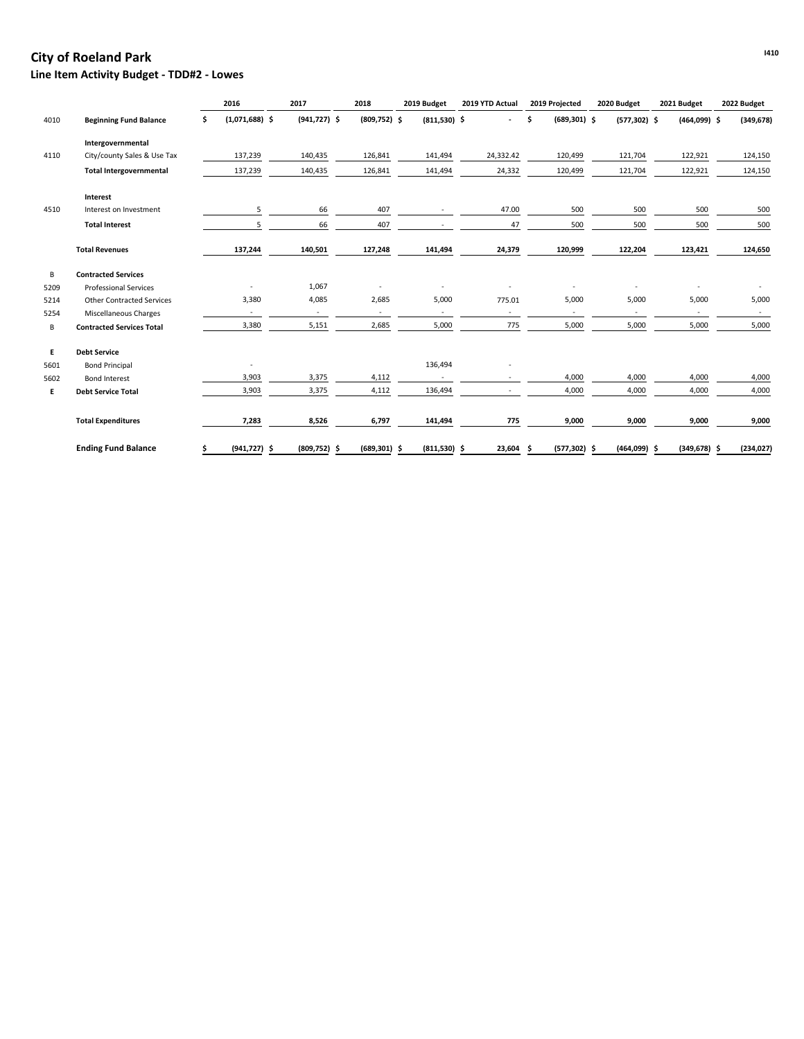## **I410 City of Roeland Park Line Item Activity Budget - TDD#2 - Lowes**

|      |                                  | 2016                    | 2017                     | 2018            | 2019 Budget              | 2019 YTD Actual          | 2019 Projected        | 2020 Budget     | 2021 Budget              | 2022 Budget |
|------|----------------------------------|-------------------------|--------------------------|-----------------|--------------------------|--------------------------|-----------------------|-----------------|--------------------------|-------------|
| 4010 | <b>Beginning Fund Balance</b>    | $(1,071,688)$ \$<br>\$. | $(941, 727)$ \$          | $(809, 752)$ \$ | $(811,530)$ \$           |                          | $(689, 301)$ \$<br>\$ | $(577, 302)$ \$ | $(464,099)$ \$           | (349, 678)  |
|      | Intergovernmental                |                         |                          |                 |                          |                          |                       |                 |                          |             |
| 4110 | City/county Sales & Use Tax      | 137,239                 | 140,435                  | 126,841         | 141,494                  | 24,332.42                | 120,499               | 121,704         | 122,921                  | 124,150     |
|      | <b>Total Intergovernmental</b>   | 137,239                 | 140,435                  | 126,841         | 141,494                  | 24,332                   | 120,499               | 121,704         | 122,921                  | 124,150     |
|      | Interest                         |                         |                          |                 |                          |                          |                       |                 |                          |             |
| 4510 | Interest on Investment           | 5                       | 66                       | 407             |                          | 47.00                    | 500                   | 500             | 500                      | 500         |
|      | <b>Total Interest</b>            | 5                       | 66                       | 407             |                          | 47                       | 500                   | 500             | 500                      | 500         |
|      | <b>Total Revenues</b>            | 137,244                 | 140,501                  | 127,248         | 141,494                  | 24,379                   | 120,999               | 122,204         | 123,421                  | 124,650     |
| B    | <b>Contracted Services</b>       |                         |                          |                 |                          |                          |                       |                 |                          |             |
| 5209 | <b>Professional Services</b>     |                         | 1,067                    |                 |                          |                          |                       |                 |                          |             |
| 5214 | <b>Other Contracted Services</b> | 3,380                   | 4,085                    | 2,685           | 5,000                    | 775.01                   | 5,000                 | 5,000           | 5,000                    | 5,000       |
| 5254 | Miscellaneous Charges            |                         | $\overline{\phantom{a}}$ |                 | $\overline{\phantom{a}}$ | $\overline{\phantom{a}}$ | $\blacksquare$        |                 | $\overline{\phantom{a}}$ | $\sim$      |
| В    | <b>Contracted Services Total</b> | 3,380                   | 5,151                    | 2,685           | 5,000                    | 775                      | 5,000                 | 5,000           | 5,000                    | 5,000       |
| E    | <b>Debt Service</b>              |                         |                          |                 |                          |                          |                       |                 |                          |             |
| 5601 | <b>Bond Principal</b>            |                         |                          |                 | 136,494                  |                          |                       |                 |                          |             |
| 5602 | <b>Bond Interest</b>             | 3,903                   | 3,375                    | 4,112           | $\sim$                   |                          | 4,000                 | 4,000           | 4,000                    | 4,000       |
| E.   | <b>Debt Service Total</b>        | 3,903                   | 3,375                    | 4,112           | 136,494                  | $\overline{\phantom{a}}$ | 4,000                 | 4,000           | 4,000                    | 4,000       |
|      | <b>Total Expenditures</b>        | 7,283                   | 8,526                    | 6,797           | 141,494                  | 775                      | 9,000                 | 9,000           | 9,000                    | 9,000       |
|      | <b>Ending Fund Balance</b>       | $(941, 727)$ \$<br>Ŝ.   | $(809, 752)$ \$          | $(689, 301)$ \$ | $(811,530)$ \$           | 23,604 \$                | $(577, 302)$ \$       | $(464,099)$ \$  | $(349, 678)$ \$          | (234, 027)  |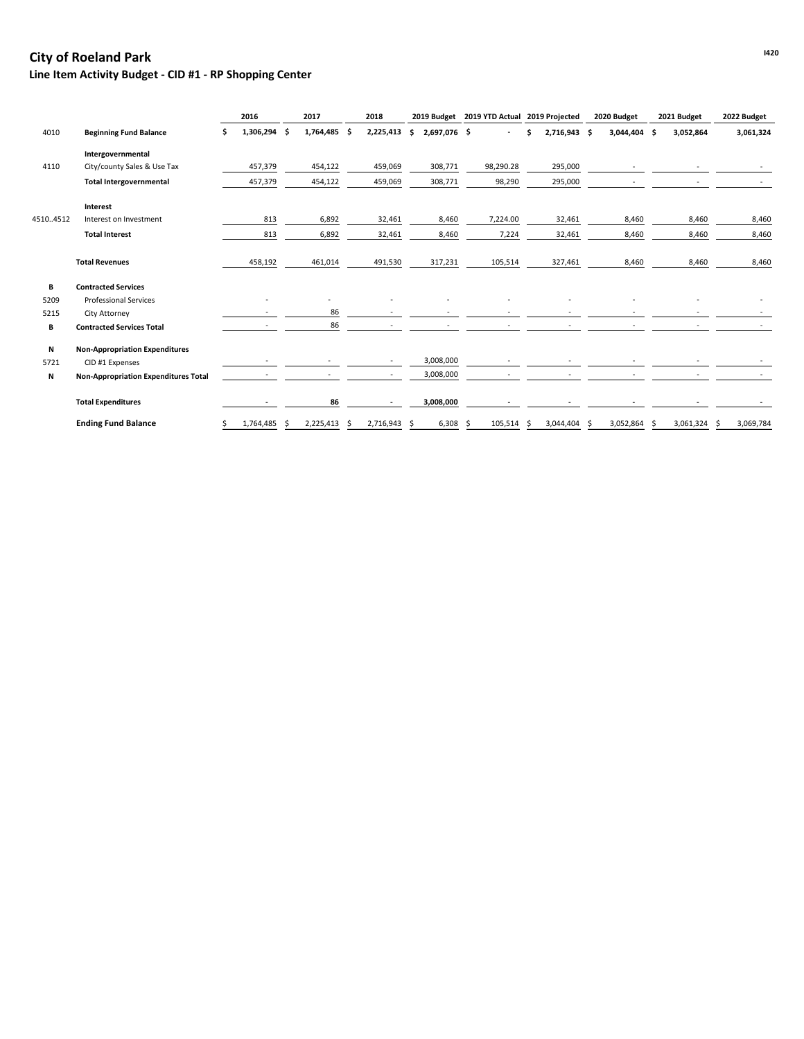# **IA20 City of Roeland Park**

**Line Item Activity Budget - CID #1 - RP Shopping Center**

|          | 2016                                        |                   | 2017 |              | 2018 |                          |    | 2019 Budget 2019 YTD Actual 2019 Projected |    |           |   | 2020 Budget |    | 2021 Budget |     | 2022 Budget |                |
|----------|---------------------------------------------|-------------------|------|--------------|------|--------------------------|----|--------------------------------------------|----|-----------|---|-------------|----|-------------|-----|-------------|----------------|
| 4010     | <b>Beginning Fund Balance</b>               | 1,306,294 \$<br>s |      | 1,764,485 \$ |      | 2,225,413                | Ś. | 2,697,076 \$                               |    |           |   | 2,716,943   | .S | 3,044,404   | - S | 3,052,864   | 3,061,324      |
|          | Intergovernmental                           |                   |      |              |      |                          |    |                                            |    |           |   |             |    |             |     |             |                |
| 4110     | City/county Sales & Use Tax                 | 457,379           |      | 454,122      |      | 459,069                  |    | 308,771                                    |    | 98,290.28 |   | 295,000     |    |             |     |             |                |
|          | <b>Total Intergovernmental</b>              | 457,379           |      | 454,122      |      | 459,069                  |    | 308,771                                    |    | 98,290    |   | 295,000     |    |             |     |             |                |
|          | Interest                                    |                   |      |              |      |                          |    |                                            |    |           |   |             |    |             |     |             |                |
| 45104512 | Interest on Investment                      | 813               |      | 6,892        |      | 32,461                   |    | 8,460                                      |    | 7,224.00  |   | 32,461      |    | 8,460       |     | 8,460       | 8,460          |
|          | <b>Total Interest</b>                       | 813               |      | 6,892        |      | 32,461                   |    | 8,460                                      |    | 7,224     |   | 32,461      |    | 8,460       |     | 8,460       | 8,460          |
|          | <b>Total Revenues</b>                       | 458,192           |      | 461,014      |      | 491,530                  |    | 317,231                                    |    | 105,514   |   | 327,461     |    | 8,460       |     | 8,460       | 8,460          |
| В        | <b>Contracted Services</b>                  |                   |      |              |      |                          |    |                                            |    |           |   |             |    |             |     |             |                |
| 5209     | <b>Professional Services</b>                |                   |      |              |      |                          |    |                                            |    |           |   |             |    |             |     |             |                |
| 5215     | City Attorney                               |                   |      | 86           |      |                          |    |                                            |    |           |   |             |    |             |     |             |                |
| В        | <b>Contracted Services Total</b>            |                   |      | 86           |      |                          |    |                                            |    |           |   |             |    |             |     |             |                |
| N        | <b>Non-Appropriation Expenditures</b>       |                   |      |              |      |                          |    |                                            |    |           |   |             |    |             |     |             |                |
| 5721     | CID #1 Expenses                             |                   |      |              |      | $\overline{\phantom{0}}$ |    | 3,008,000                                  |    |           |   |             |    |             |     |             |                |
| N        | <b>Non-Appropriation Expenditures Total</b> |                   |      |              |      | $\overline{\phantom{a}}$ |    | 3,008,000                                  |    |           |   |             |    |             |     |             |                |
|          | <b>Total Expenditures</b>                   |                   |      | 86           |      | $\blacksquare$           |    | 3,008,000                                  |    |           |   |             |    |             |     |             |                |
|          | <b>Ending Fund Balance</b>                  | 1,764,485<br>s    | S    | 2,225,413    | -S   | 2,716,943                | -S | 6,308                                      | -S | 105,514   | S | 3,044,404   | S  | 3,052,864   |     | 3,061,324   | 3,069,784<br>S |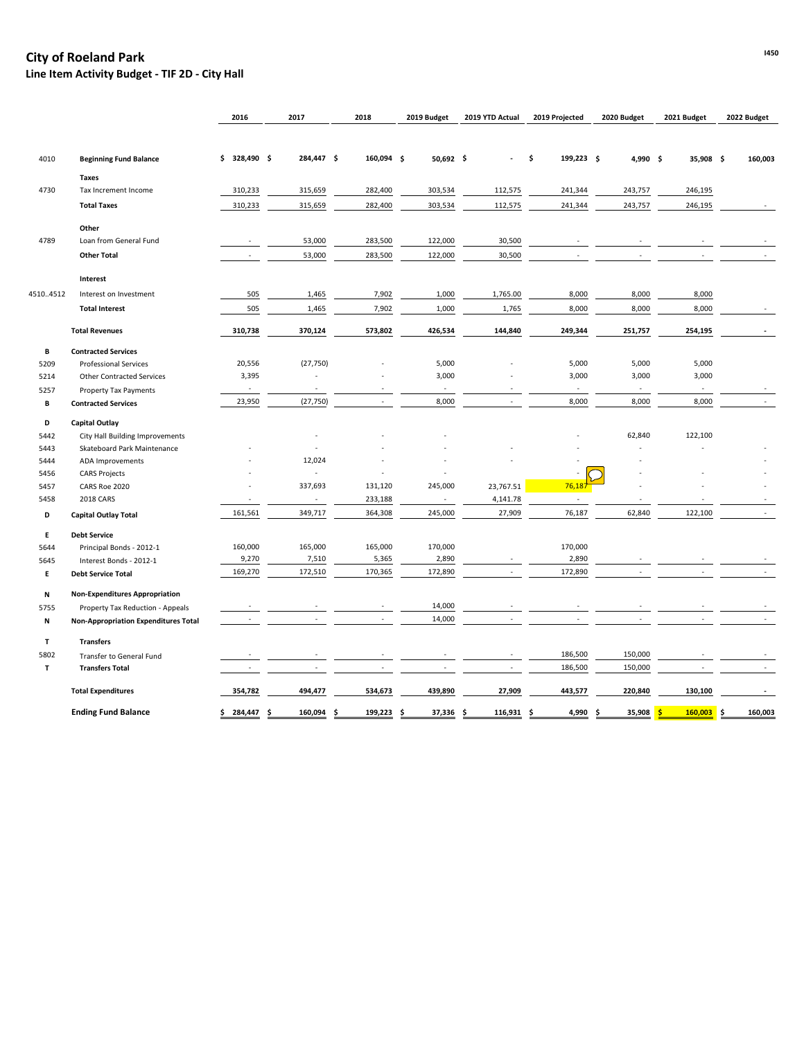## **I450 City of Roeland Park**

**Line Item Activity Budget - TIF 2D - City Hall**

|          |                                             | 2016           | 2017       | 2018       | 2019 Budget              | 2019 YTD Actual | 2019 Projected    | 2020 Budget<br>2021 Budget |                          | 2022 Budget |  |
|----------|---------------------------------------------|----------------|------------|------------|--------------------------|-----------------|-------------------|----------------------------|--------------------------|-------------|--|
|          |                                             |                |            |            |                          |                 |                   |                            |                          |             |  |
| 4010     | <b>Beginning Fund Balance</b>               | $$328,490$ \$  | 284,447 \$ | 160,094 \$ | $50,692$ \$              |                 | 199,223 \$<br>-\$ | 4,990 \$                   | 35,908 \$                | 160,003     |  |
|          | <b>Taxes</b>                                |                |            |            |                          |                 |                   |                            |                          |             |  |
| 4730     | Tax Increment Income                        | 310,233        | 315,659    | 282,400    | 303,534                  | 112,575         | 241,344           | 243,757                    | 246,195                  |             |  |
|          | <b>Total Taxes</b>                          | 310,233        | 315,659    | 282,400    | 303,534                  | 112,575         | 241,344           | 243,757                    | 246,195                  |             |  |
|          |                                             |                |            |            |                          |                 |                   |                            |                          |             |  |
|          | Other                                       |                |            |            |                          |                 |                   |                            |                          |             |  |
| 4789     | Loan from General Fund                      |                | 53,000     | 283,500    | 122,000                  | 30,500          |                   |                            |                          |             |  |
|          | <b>Other Total</b>                          |                | 53,000     | 283,500    | 122,000                  | 30,500          |                   |                            |                          |             |  |
|          | Interest                                    |                |            |            |                          |                 |                   |                            |                          |             |  |
| 45104512 | Interest on Investment                      | 505            | 1,465      | 7,902      | 1,000                    | 1,765.00        | 8,000             | 8,000                      | 8,000                    |             |  |
|          | <b>Total Interest</b>                       | 505            | 1,465      | 7,902      | 1,000                    | 1,765           | 8,000             | 8,000                      | 8,000                    |             |  |
|          | <b>Total Revenues</b>                       | 310,738        | 370,124    | 573,802    | 426,534                  | 144,840         | 249,344           | 251,757                    | 254,195                  |             |  |
| В        | <b>Contracted Services</b>                  |                |            |            |                          |                 |                   |                            |                          |             |  |
| 5209     | <b>Professional Services</b>                | 20,556         | (27, 750)  |            | 5,000                    |                 | 5,000             | 5,000                      | 5,000                    |             |  |
| 5214     | <b>Other Contracted Services</b>            | 3,395          |            |            | 3,000                    |                 | 3,000             | 3,000                      | 3,000                    |             |  |
| 5257     | <b>Property Tax Payments</b>                | $\sim$         |            |            | $\overline{\phantom{a}}$ |                 |                   | $\overline{\phantom{a}}$   | $\overline{\phantom{a}}$ |             |  |
| В        | <b>Contracted Services</b>                  | 23,950         | (27, 750)  |            | 8,000                    |                 | 8,000             | 8,000                      | 8,000                    |             |  |
| D        | <b>Capital Outlay</b>                       |                |            |            |                          |                 |                   |                            |                          |             |  |
| 5442     | City Hall Building Improvements             |                |            |            |                          |                 |                   | 62,840                     | 122,100                  |             |  |
| 5443     | Skateboard Park Maintenance                 |                |            |            |                          |                 |                   |                            |                          |             |  |
| 5444     | ADA Improvements                            |                | 12,024     |            |                          |                 |                   |                            |                          |             |  |
| 5456     | <b>CARS Projects</b>                        |                |            | $\sim$     |                          |                 |                   |                            |                          |             |  |
| 5457     | CARS Roe 2020                               |                | 337,693    | 131,120    | 245,000                  | 23,767.51       | 76,18             |                            |                          |             |  |
| 5458     | 2018 CARS                                   | $\blacksquare$ |            | 233,188    | $\overline{\phantom{a}}$ | 4,141.78        |                   |                            |                          |             |  |
| D        | <b>Capital Outlay Total</b>                 | 161,561        | 349,717    | 364,308    | 245,000                  | 27,909          | 76,187            | 62,840                     | 122,100                  |             |  |
| E.       | <b>Debt Service</b>                         |                |            |            |                          |                 |                   |                            |                          |             |  |
| 5644     | Principal Bonds - 2012-1                    | 160,000        | 165,000    | 165,000    | 170,000                  |                 | 170,000           |                            |                          |             |  |
| 5645     | Interest Bonds - 2012-1                     | 9,270          | 7,510      | 5,365      | 2,890                    |                 | 2,890             |                            |                          |             |  |
| Е        | <b>Debt Service Total</b>                   | 169,270        | 172,510    | 170,365    | 172,890                  |                 | 172,890           |                            |                          |             |  |
| N        | <b>Non-Expenditures Appropriation</b>       |                |            |            |                          |                 |                   |                            |                          |             |  |
| 5755     | Property Tax Reduction - Appeals            |                |            |            | 14,000                   |                 |                   |                            |                          |             |  |
| N        | <b>Non-Appropriation Expenditures Total</b> |                |            |            | 14,000                   |                 |                   |                            |                          |             |  |
| T        | <b>Transfers</b>                            |                |            |            |                          |                 |                   |                            |                          |             |  |
| 5802     | Transfer to General Fund                    |                |            |            |                          |                 | 186,500           | 150,000                    |                          |             |  |
| T        | <b>Transfers Total</b>                      |                |            |            |                          |                 | 186,500           | 150,000                    |                          |             |  |
|          | <b>Total Expenditures</b>                   | 354,782        | 494,477    | 534,673    | 439,890                  | 27,909          | 443,577           | 220,840                    | 130,100                  |             |  |
|          | <b>Ending Fund Balance</b>                  | \$284,447      | 160,094 \$ | 199,223 \$ | 37,336 \$                | 116,931 \$      | 4,990 \$          | 35,908 <mark>\$</mark>     | $160,003$ \$             | 160,003     |  |
|          |                                             |                |            |            |                          |                 |                   |                            |                          |             |  |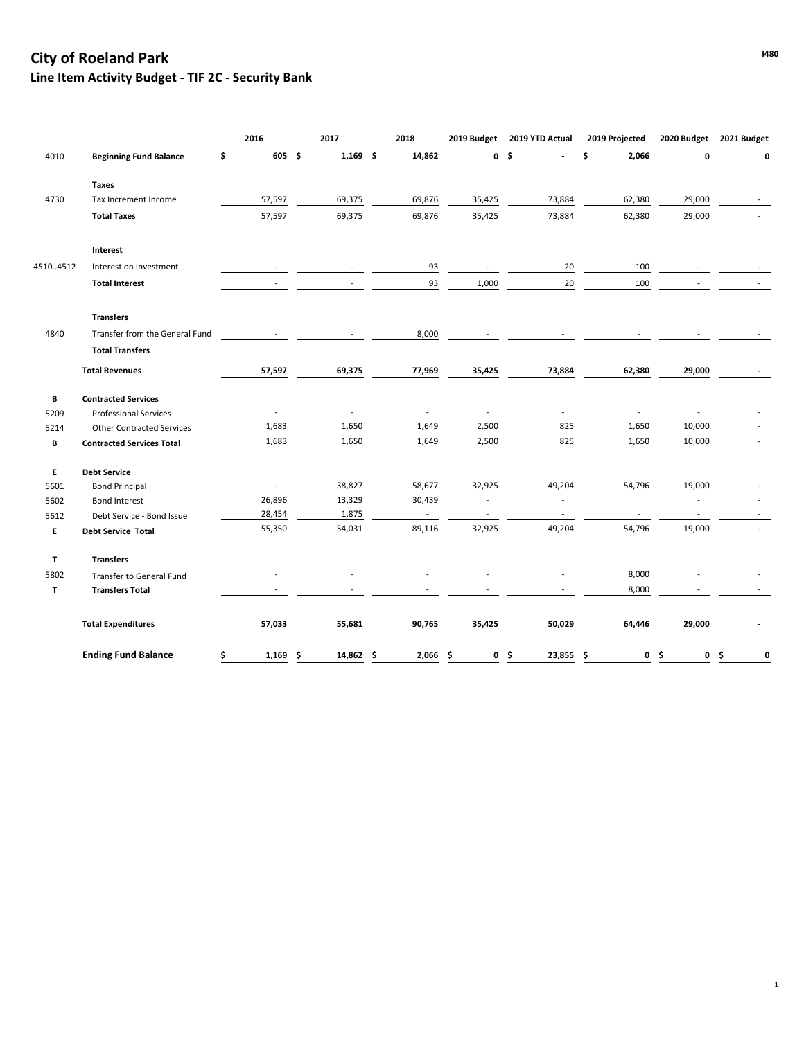## **IABO City of Roeland Park Line Item Activity Budget - TIF 2C - Security Bank**

|              |                                  | 2016         | 2017                     | 2018        | 2019 Budget              | 2019 YTD Actual          | 2019 Projected           | 2020 Budget              | 2021 Budget |
|--------------|----------------------------------|--------------|--------------------------|-------------|--------------------------|--------------------------|--------------------------|--------------------------|-------------|
| 4010         | <b>Beginning Fund Balance</b>    | \$<br>605 \$ | $1,169$ \$               | 14,862      |                          | 0 <sup>5</sup>           | 2,066<br>\$              | 0                        | $\Omega$    |
|              | <b>Taxes</b>                     |              |                          |             |                          |                          |                          |                          |             |
| 4730         | Tax Increment Income             | 57,597       | 69,375                   | 69,876      | 35,425                   | 73,884                   | 62,380                   | 29,000                   |             |
|              | <b>Total Taxes</b>               | 57,597       | 69,375                   | 69,876      | 35,425                   | 73,884                   | 62,380                   | 29,000                   |             |
|              | Interest                         |              |                          |             |                          |                          |                          |                          |             |
| 45104512     | Interest on Investment           |              |                          | 93          |                          | 20                       | 100                      |                          |             |
|              | <b>Total Interest</b>            |              |                          | 93          | 1,000                    | $20\,$                   | 100                      |                          |             |
|              | <b>Transfers</b>                 |              |                          |             |                          |                          |                          |                          |             |
| 4840         | Transfer from the General Fund   |              |                          | 8,000       |                          |                          |                          |                          |             |
|              | <b>Total Transfers</b>           |              |                          |             |                          |                          |                          |                          |             |
|              | <b>Total Revenues</b>            | 57,597       | 69,375                   | 77,969      | 35,425                   | 73,884                   | 62,380                   | 29,000                   |             |
| B            | <b>Contracted Services</b>       |              |                          |             |                          |                          |                          |                          |             |
| 5209         | <b>Professional Services</b>     |              | $\overline{\phantom{a}}$ |             |                          |                          |                          |                          |             |
| 5214         | <b>Other Contracted Services</b> | 1,683        | 1,650                    | 1,649       | 2,500                    | 825                      | 1,650                    | 10,000                   |             |
| В            | <b>Contracted Services Total</b> | 1,683        | 1,650                    | 1,649       | 2,500                    | 825                      | 1,650                    | 10,000                   |             |
| E            | <b>Debt Service</b>              |              |                          |             |                          |                          |                          |                          |             |
| 5601         | <b>Bond Principal</b>            |              | 38,827                   | 58,677      | 32,925                   | 49,204                   | 54,796                   | 19,000                   |             |
| 5602         | <b>Bond Interest</b>             | 26,896       | 13,329                   | 30,439      |                          |                          |                          |                          |             |
| 5612         | Debt Service - Bond Issue        | 28,454       | 1,875                    | $\sim$      | $\overline{\phantom{a}}$ | $\overline{\phantom{a}}$ | $\overline{\phantom{a}}$ | $\overline{\phantom{a}}$ |             |
| E            | Debt Service Total               | 55,350       | 54,031                   | 89,116      | 32,925                   | 49,204                   | 54,796                   | 19,000                   |             |
| $\mathbf{T}$ | <b>Transfers</b>                 |              |                          |             |                          |                          |                          |                          |             |
| 5802         | Transfer to General Fund         |              |                          |             |                          |                          | 8,000                    |                          |             |
| $\mathbf{T}$ | <b>Transfers Total</b>           |              |                          |             |                          |                          | 8,000                    |                          |             |
|              | <b>Total Expenditures</b>        | 57,033       | 55,681                   | 90,765      | 35,425                   | 50,029                   | 64,446                   | 29,000                   |             |
|              | <b>Ending Fund Balance</b>       | 1,169<br>s   | 14,862<br>\$.            | 2,066<br>-S | \$.<br>0                 | 23,855<br>\$.            | Ŝ.<br>0                  | 0<br>-S                  | 0<br>.s     |

1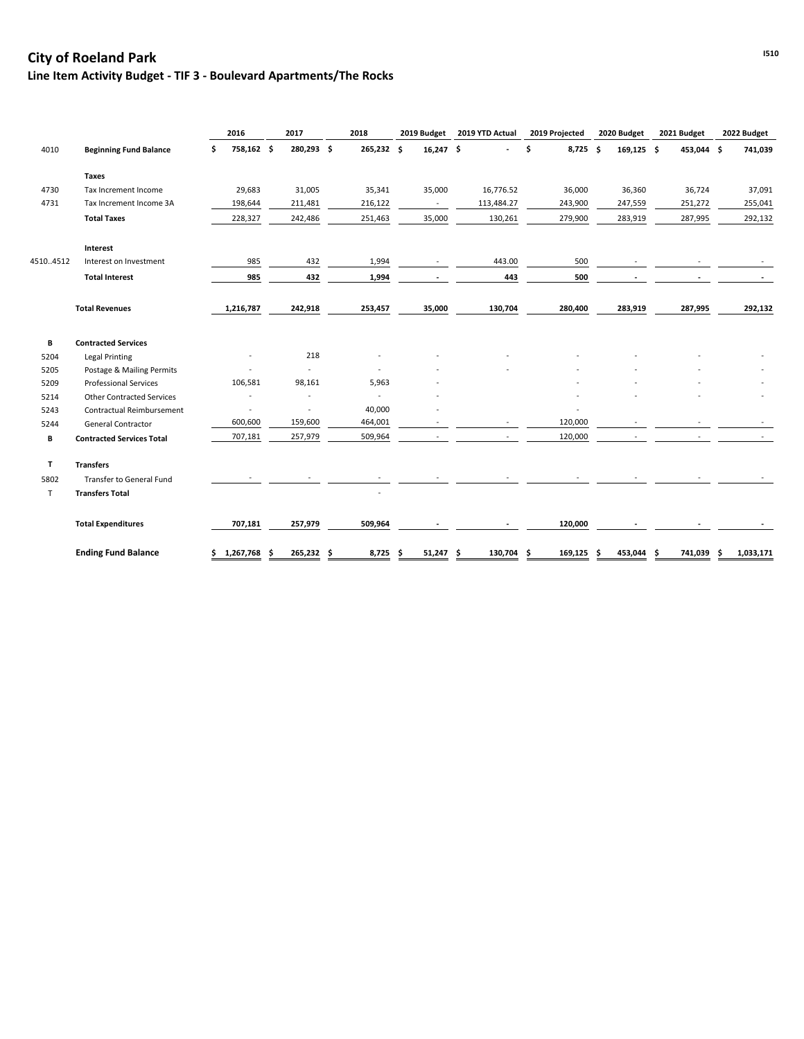## **IS10 City of Roeland Park** and  $\frac{1510}{200}$ **Line Item Activity Budget - TIF 3 - Boulevard Apartments/The Rocks**

|          |                                  | 2016             | 2017                     | 2018           | 2019 Budget | 2019 YTD Actual | 2019 Projected   | 2020 Budget | 2021 Budget | 2022 Budget      |
|----------|----------------------------------|------------------|--------------------------|----------------|-------------|-----------------|------------------|-------------|-------------|------------------|
| 4010     | <b>Beginning Fund Balance</b>    | 758,162 \$<br>\$ | 280,293 \$               | 265,232 \$     | 16,247 \$   |                 | \$<br>$8,725$ \$ | 169,125 \$  | 453,044 \$  | 741,039          |
|          | <b>Taxes</b>                     |                  |                          |                |             |                 |                  |             |             |                  |
| 4730     | Tax Increment Income             | 29,683           | 31,005                   | 35,341         | 35,000      | 16,776.52       | 36,000           | 36,360      | 36,724      | 37,091           |
| 4731     | Tax Increment Income 3A          | 198,644          | 211,481                  | 216,122        | $\sim$      | 113,484.27      | 243,900          | 247,559     | 251,272     | 255,041          |
|          | <b>Total Taxes</b>               | 228,327          | 242,486                  | 251,463        | 35,000      | 130,261         | 279,900          | 283,919     | 287,995     | 292,132          |
|          | Interest                         |                  |                          |                |             |                 |                  |             |             |                  |
| 45104512 | Interest on Investment           | 985              | 432                      | 1,994          |             | 443.00          | 500              |             |             |                  |
|          | <b>Total Interest</b>            | 985              | 432                      | 1,994          |             | 443             | 500              |             |             |                  |
|          | <b>Total Revenues</b>            | 1,216,787        | 242,918                  | 253,457        | 35,000      | 130,704         | 280,400          | 283,919     | 287,995     | 292,132          |
| В        | <b>Contracted Services</b>       |                  |                          |                |             |                 |                  |             |             |                  |
| 5204     | <b>Legal Printing</b>            |                  | 218                      |                |             |                 |                  |             |             |                  |
| 5205     | Postage & Mailing Permits        |                  | $\overline{a}$           |                |             |                 |                  |             |             |                  |
| 5209     | <b>Professional Services</b>     | 106,581          | 98,161                   | 5,963          |             |                 |                  |             |             |                  |
| 5214     | <b>Other Contracted Services</b> |                  | $\overline{\phantom{a}}$ | $\blacksquare$ |             |                 |                  |             |             |                  |
| 5243     | Contractual Reimbursement        |                  |                          | 40,000         |             |                 |                  |             |             |                  |
| 5244     | <b>General Contractor</b>        | 600,600          | 159,600                  | 464,001        |             |                 | 120,000          |             |             |                  |
| В        | <b>Contracted Services Total</b> | 707,181          | 257,979                  | 509,964        |             |                 | 120,000          |             |             |                  |
| T        | <b>Transfers</b>                 |                  |                          |                |             |                 |                  |             |             |                  |
| 5802     | Transfer to General Fund         |                  |                          |                |             |                 |                  |             |             |                  |
| T        | <b>Transfers Total</b>           |                  |                          |                |             |                 |                  |             |             |                  |
|          | <b>Total Expenditures</b>        | 707,181          | 257,979                  | 509,964        |             |                 | 120,000          |             |             |                  |
|          | <b>Ending Fund Balance</b>       | \$1,267,768      | 265,232 \$               | $8,725$ \$     | $51,247$ \$ | 130,704 \$      | $169, 125$ \$    | 453,044 \$  | 741,039     | 1,033,171<br>-\$ |